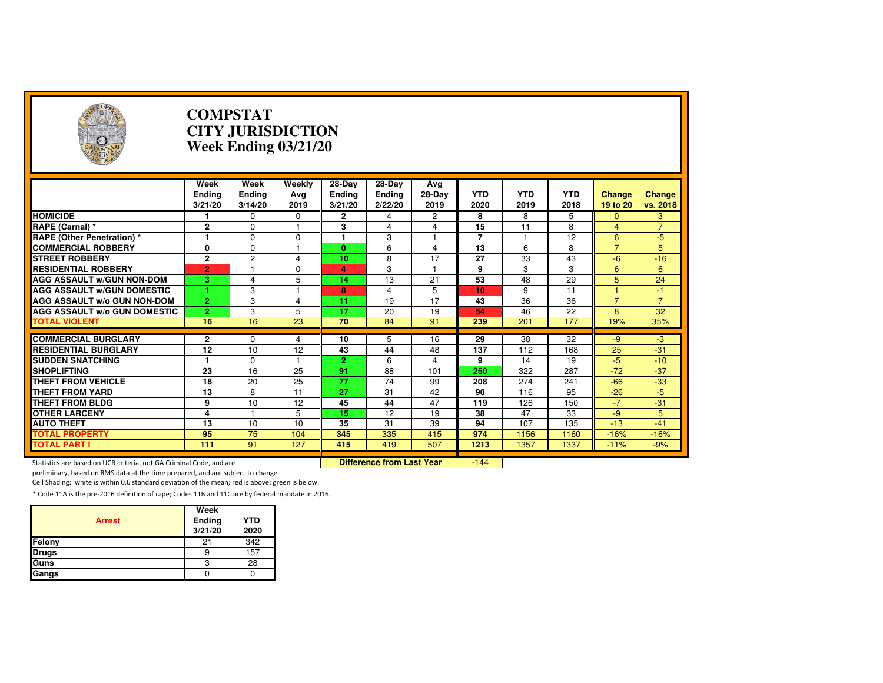| Э                                                                   |                                  | <b>COMPSTAT</b>                  | <b>CITY JURISDICTION</b><br><b>Week Ending 03/21/20</b> |                                      |                                  |                       |                    |                    |                    |                           |                    |
|---------------------------------------------------------------------|----------------------------------|----------------------------------|---------------------------------------------------------|--------------------------------------|----------------------------------|-----------------------|--------------------|--------------------|--------------------|---------------------------|--------------------|
|                                                                     | Week<br><b>Ending</b><br>3/21/20 | Week<br><b>Ending</b><br>3/14/20 | Weekly<br>Avg<br>2019                                   | $28-Dav$<br><b>Ending</b><br>3/21/20 | $28-Dav$<br>Ending<br>2/22/20    | Avg<br>28-Day<br>2019 | <b>YTD</b><br>2020 | <b>YTD</b><br>2019 | <b>YTD</b><br>2018 | <b>Change</b><br>19 to 20 | Change<br>vs. 2018 |
| <b>HOMICIDE</b>                                                     |                                  | $\Omega$                         | $\Omega$                                                | $\mathbf{2}$                         | 4                                | 2                     | 8                  | 8                  | 5                  | $\mathbf{0}$              | 3                  |
| RAPE (Carnal) *                                                     | 2                                | $\Omega$                         | -1                                                      | 3                                    | 4                                | $\overline{4}$        | 15                 | 11                 | 8                  | $\overline{4}$            | $\overline{7}$     |
| <b>RAPE (Other Penetration) *</b>                                   | $\blacksquare$                   | $\Omega$                         | $\Omega$                                                | 1                                    | 3                                | $\mathbf{1}$          | $\overline{7}$     |                    | $\overline{12}$    | 6                         | $-5$               |
| <b>COMMERCIAL ROBBERY</b>                                           | 0                                | $\Omega$                         | $\overline{1}$                                          | $\mathbf{0}$                         | 6                                | $\overline{4}$        | 13                 | 6                  | 8                  | $\overline{7}$            | 5                  |
| <b>STREET ROBBERY</b>                                               | $\overline{2}$                   | $\overline{c}$                   | $\overline{4}$                                          | 10                                   | 8                                | 17                    | 27                 | 33                 | 43                 | $-6$                      | $-16$              |
| <b>RESIDENTIAL ROBBERY</b>                                          | $\overline{2}$                   | $\overline{1}$                   | $\Omega$                                                | 4                                    | 3                                | $\overline{1}$        | 9                  | 3                  | 3                  | $6\phantom{1}$            | $6\phantom{1}$     |
| <b>AGG ASSAULT W/GUN NON-DOM</b>                                    | $\overline{\mathbf{3}}$          | $\overline{4}$                   | 5                                                       | 14                                   | 13                               | 21                    | 53                 | 48                 | 29                 | 5                         | 24                 |
| <b>AGG ASSAULT W/GUN DOMESTIC</b>                                   | 1                                | 3                                |                                                         | 8                                    | $\overline{4}$                   | 5                     | 10                 | 9                  | 11                 |                           | $-1$               |
| <b>AGG ASSAULT W/o GUN NON-DOM</b>                                  | $\overline{2}$                   | 3                                | 4                                                       | 11                                   | 19                               | 17                    | 43                 | 36                 | 36                 | $\overline{7}$            | $\overline{7}$     |
| <b>AGG ASSAULT W/o GUN DOMESTIC</b>                                 | $\overline{2}$                   | 3                                | 5                                                       | 17                                   | 20                               | 19                    | 54                 | 46                 | 22                 | 8                         | 32                 |
| <b>TOTAL VIOLENT</b>                                                | 16                               | 16                               | 23                                                      | 70                                   | 84                               | 91                    | 239                | 201                | 177                | 19%                       | 35%                |
|                                                                     |                                  |                                  |                                                         |                                      |                                  |                       |                    |                    |                    |                           |                    |
| <b>COMMERCIAL BURGLARY</b>                                          | $\mathbf{2}$                     | 0                                | 4                                                       | 10                                   | 5                                | 16                    | 29                 | 38                 | 32                 | -9                        | $-3$               |
| <b>RESIDENTIAL BURGLARY</b>                                         | 12                               | 10                               | 12                                                      | 43                                   | 44                               | 48                    | 137                | 112                | 168                | 25                        | $-31$              |
| <b>SUDDEN SNATCHING</b>                                             | 1                                | $\Omega$                         | $\overline{1}$                                          | $\overline{2}$                       | 6                                | $\overline{4}$        | 9                  | 14                 | 19                 | $-5$                      | $-10$              |
| <b>SHOPLIFTING</b>                                                  | $\overline{23}$                  | $\overline{16}$                  | $\overline{25}$                                         | 91                                   | $\overline{88}$                  | 101                   | 250                | 322                | 287                | $-72$                     | $-37$              |
| <b>THEFT FROM VEHICLE</b>                                           | 18                               | 20                               | 25                                                      | 77                                   | $\overline{74}$                  | 99                    | 208                | 274                | 241                | $-66$                     | $-33$              |
| <b>THEFT FROM YARD</b>                                              | 13                               | 8                                | 11                                                      | 27                                   | 31                               | 42                    | 90                 | 116                | 95                 | $-26$                     | $-5$               |
| THEFT FROM BLDG                                                     | 9                                | 10                               | 12                                                      | 45                                   | 44                               | 47                    | 119                | 126                | 150                | $-7$                      | $-31$              |
| <b>OTHER LARCENY</b>                                                | 4                                | $\mathbf{1}$                     | 5                                                       | 15                                   | 12                               | 19                    | 38                 | 47                 | 33                 | -9                        | 5                  |
| <b>AUTO THEFT</b>                                                   | 13                               | 10                               | 10                                                      | 35                                   | 31                               | 39                    | 94                 | 107                | 135                | $-13$                     | $-41$              |
| <b>TOTAL PROPERTY</b>                                               | 95                               | 75                               | 104                                                     | 345                                  | 335                              | 415                   | 974                | 1156               | 1160               | $-16%$                    | $-16%$             |
| <b>TOTAL PART I</b>                                                 | 111                              | 91                               | 127                                                     | 415                                  | 419                              | 507                   | 1213               | 1357               | 1337               | $-11%$                    | $-9%$              |
| Statistics are based on UCR criteria, not GA Criminal Code, and are |                                  |                                  |                                                         |                                      | <b>Difference from Last Year</b> |                       | $-144$             |                    |                    |                           |                    |

preliminary, based on RMS data at the time prepared, and are subject to change.

Cell Shading: white is within 0.6 standard deviation of the mean; red is above; green is below.

| <b>Arrest</b> | Week<br>Ending<br>3/21/20 | <b>YTD</b><br>2020 |
|---------------|---------------------------|--------------------|
| Felony        | 21                        | 342                |
| <b>Drugs</b>  |                           | 157                |
| Guns          | 3                         | 28                 |
| Gangs         |                           |                    |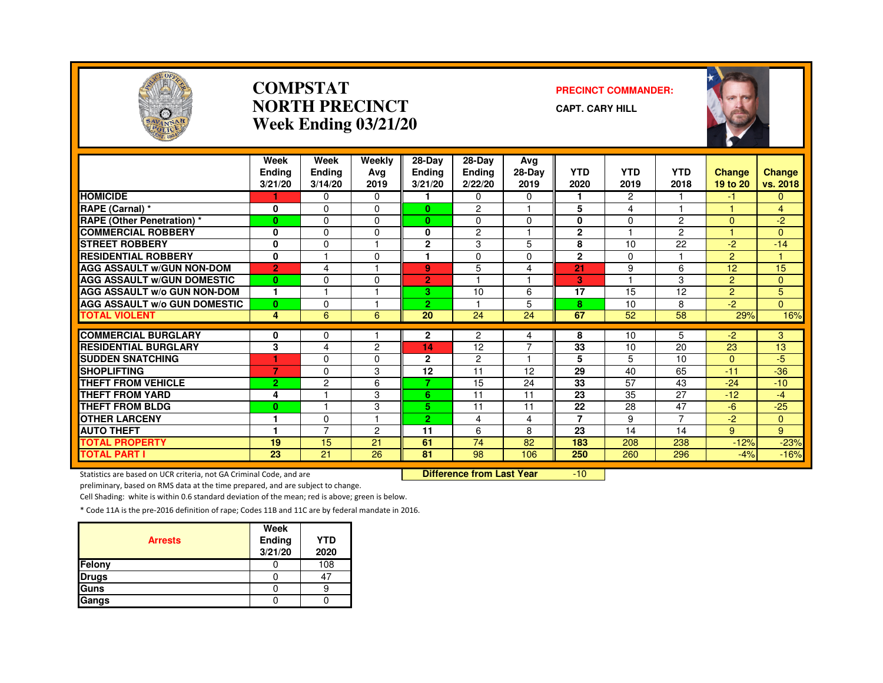

#### **COMPSTATNORTH PRECINCTWeek Ending 03/21/20**

#### **PRECINCT COMMANDER:**

**CAPT. CARY HILL**



|                                     | Week<br><b>Endina</b><br>3/21/20 | Week<br><b>Ending</b><br>3/14/20 | Weekly<br>Avg<br>2019 | 28-Day<br><b>Ending</b><br>3/21/20 | 28-Day<br>Ending<br>2/22/20 | Avg<br>$28-Dav$<br>2019 | <b>YTD</b><br>2020 | <b>YTD</b><br>2019 | <b>YTD</b><br>2018 | Change<br>19 to 20 | <b>Change</b><br>vs. 2018 |
|-------------------------------------|----------------------------------|----------------------------------|-----------------------|------------------------------------|-----------------------------|-------------------------|--------------------|--------------------|--------------------|--------------------|---------------------------|
| <b>HOMICIDE</b>                     |                                  | $\Omega$                         | 0                     |                                    | $\Omega$                    | 0                       | 1                  | $\overline{2}$     |                    | -1                 | $\Omega$                  |
| RAPE (Carnal) *                     | 0                                | $\Omega$                         | $\Omega$              | $\bf{0}$                           | $\overline{c}$              |                         | 5                  | 4                  |                    |                    | $\overline{4}$            |
| <b>RAPE (Other Penetration) *</b>   | $\bf{0}$                         | $\Omega$                         | $\Omega$              | $\bf{0}$                           | $\mathbf{0}$                | $\Omega$                | 0                  | $\Omega$           | $\overline{2}$     | $\Omega$           | $-2$                      |
| <b>COMMERCIAL ROBBERY</b>           | 0                                | $\Omega$                         | 0                     | 0                                  | $\overline{c}$              |                         | $\overline{2}$     |                    | $\mathcal{P}$      |                    | $\mathbf{0}$              |
| <b>STREET ROBBERY</b>               | 0                                | $\Omega$                         |                       | $\mathbf{2}$                       | 3                           | 5                       | 8                  | 10                 | 22                 | $-2$               | $-14$                     |
| <b>RESIDENTIAL ROBBERY</b>          | $\mathbf{0}$                     |                                  | 0                     | ٩                                  | $\mathbf{0}$                | $\Omega$                | $\mathbf{2}$       | $\Omega$           |                    | $\overline{2}$     |                           |
| <b>AGG ASSAULT W/GUN NON-DOM</b>    | $\overline{2}$                   | 4                                |                       | 9                                  | 5                           | 4                       | 21                 | 9                  | 6                  | 12                 | 15                        |
| <b>AGG ASSAULT W/GUN DOMESTIC</b>   | $\bf{0}$                         | $\Omega$                         | $\Omega$              | $\overline{2}$                     |                             |                         | 3                  |                    | 3                  | $\overline{2}$     | $\mathbf{0}$              |
| <b>AGG ASSAULT W/o GUN NON-DOM</b>  | 1                                |                                  |                       | 3                                  | 10                          | 6                       | 17                 | 15                 | 12                 | $\overline{2}$     | 5                         |
| <b>AGG ASSAULT W/o GUN DOMESTIC</b> | $\bf{0}$                         | $\Omega$                         |                       | $\overline{2}$                     |                             | 5                       | 8                  | 10                 | 8                  | $-2$               | $\Omega$                  |
| <b>TOTAL VIOLENT</b>                | 4                                | 6                                | 6                     | 20                                 | 24                          | 24                      | 67                 | 52                 | 58                 | 29%                | 16%                       |
|                                     |                                  |                                  |                       |                                    |                             |                         |                    |                    |                    |                    |                           |
| <b>COMMERCIAL BURGLARY</b>          | 0                                | 0                                |                       | $\mathbf{2}$                       | $\overline{c}$              | 4                       | 8                  | 10                 | 5                  | -2                 | 3                         |
| <b>RESIDENTIAL BURGLARY</b>         | 3                                | 4                                | $\overline{c}$        | 14                                 | 12                          | $\overline{7}$          | 33                 | 10                 | 20                 | 23                 | 13                        |
| <b>SUDDEN SNATCHING</b>             | ٠                                | $\Omega$                         | 0                     | $\mathbf{2}$                       | $\overline{c}$              |                         | 5                  | 5.                 | 10                 | $\Omega$           | $-5$                      |
| <b>SHOPLIFTING</b>                  | 7                                | $\Omega$                         | 3                     | 12                                 | 11                          | 12                      | 29                 | 40                 | 65                 | $-11$              | $-36$                     |
| <b>THEFT FROM VEHICLE</b>           | $\overline{2}$                   | 2                                | 6                     | 7                                  | 15                          | 24                      | 33                 | 57                 | 43                 | $-24$              | $-10$                     |
| <b>THEFT FROM YARD</b>              | 4                                |                                  | 3                     | 6                                  | 11                          | 11                      | 23                 | 35                 | 27                 | $-12$              | $-4$                      |
| <b>THEFT FROM BLDG</b>              | $\bf{0}$                         |                                  | 3                     | 5                                  | 11                          | 11                      | 22                 | 28                 | 47                 | $-6$               | $-25$                     |
| <b>OTHER LARCENY</b>                | ۴                                | $\Omega$                         |                       | $\overline{2}$                     | 4                           | 4                       | 7                  | 9                  | $\overline{7}$     | -2                 | $\mathbf{0}$              |
| <b>AUTO THEFT</b>                   |                                  | $\overline{7}$                   | 2                     | 11                                 | 6                           | 8                       | 23                 | 14                 | 14                 | 9                  | 9                         |
| <b>TOTAL PROPERTY</b>               | 19                               | 15                               | 21                    | 61                                 | 74                          | 82                      | 183                | 208                | 238                | $-12%$             | $-23%$                    |
| <b>TOTAL PART I</b>                 | 23                               | $\overline{21}$                  | 26                    | 81                                 | 98                          | 106                     | 250                | 260                | 296                | $-4%$              | $-16%$                    |

Statistics are based on UCR criteria, not GA Criminal Code, and are **Difference from Last Year** 

-10

preliminary, based on RMS data at the time prepared, and are subject to change.

Cell Shading: white is within 0.6 standard deviation of the mean; red is above; green is below.

| <b>Arrests</b> | Week<br><b>Ending</b><br>3/21/20 | <b>YTD</b><br>2020 |
|----------------|----------------------------------|--------------------|
| Felony         |                                  | 108                |
| <b>Drugs</b>   |                                  | 47                 |
| Guns           |                                  |                    |
| Gangs          |                                  |                    |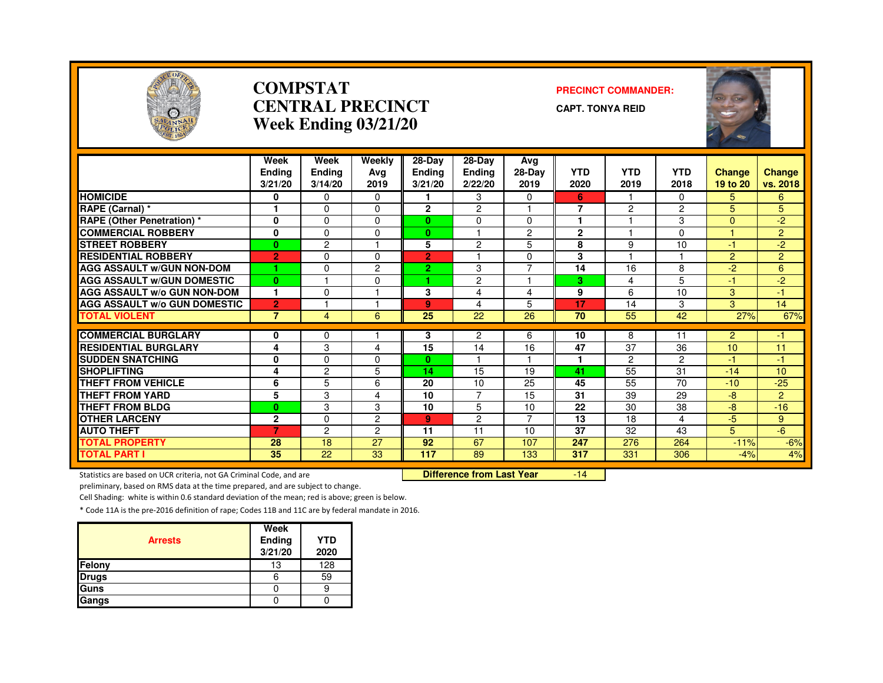

#### **COMPSTATCENTRAL PRECINCTWeek Ending 03/21/20**

#### **PRECINCT COMMANDER:**

**CAPT. TONYA REID**



|                                                           | Week<br><b>Ending</b>          | Week<br><b>Ending</b> | Weekly<br>Avg        | 28-Day<br><b>Ending</b> | 28-Day<br><b>Ending</b> | Avg<br>28-Day        | <b>YTD</b>     | <b>YTD</b>    | <b>YTD</b>           | <b>Change</b>  | <b>Change</b>  |
|-----------------------------------------------------------|--------------------------------|-----------------------|----------------------|-------------------------|-------------------------|----------------------|----------------|---------------|----------------------|----------------|----------------|
|                                                           | 3/21/20                        | 3/14/20               | 2019                 | 3/21/20                 | 2/22/20                 | 2019                 | 2020           | 2019          | 2018                 | 19 to 20       | vs. 2018       |
| <b>HOMICIDE</b>                                           | 0                              | $\mathbf{0}$          | $\Omega$             |                         | 3                       | $\Omega$             | 6              |               | $\Omega$             | 5              | 6              |
| <b>RAPE (Carnal) *</b>                                    |                                | $\Omega$              | 0                    | $\mathbf{2}$            | 2                       |                      | $\overline{7}$ | 2             | $\overline{2}$       | 5              | 5              |
| <b>RAPE (Other Penetration) *</b>                         | 0                              | $\Omega$              | 0                    | $\mathbf{0}$            | $\mathbf 0$             | 0                    | 1              |               | 3                    | $\Omega$       | $-2$           |
| <b>COMMERCIAL ROBBERY</b>                                 | 0                              | $\Omega$              | 0                    | $\bf{0}$                |                         | $\overline{c}$       | $\mathbf{2}$   |               | 0                    |                | $\overline{2}$ |
| <b>STREET ROBBERY</b>                                     | $\bf{0}$                       | $\overline{2}$        |                      | 5                       | $\overline{c}$          | 5                    | 8              | 9             | 10                   | $-1$           | $-2$           |
| <b>RESIDENTIAL ROBBERY</b>                                | $\overline{2}$                 | $\Omega$              | $\Omega$             | $\overline{2}$          |                         | $\Omega$             | 3              |               |                      | $\overline{2}$ | $\overline{2}$ |
| <b>AGG ASSAULT W/GUN NON-DOM</b>                          |                                | $\Omega$              | $\overline{2}$       | $\overline{2}$          | 3                       | $\overline{7}$       | 14             | 16            | 8                    | $-2$           | 6              |
| <b>AGG ASSAULT W/GUN DOMESTIC</b>                         | $\bf{0}$                       |                       | 0                    | 1.                      | $\overline{c}$          |                      | з              | 4             | 5                    | $-1$           | $-2$           |
| <b>AGG ASSAULT W/o GUN NON-DOM</b>                        | 1                              | $\Omega$              |                      | 3                       | 4                       | 4                    | 9              | 6             | 10                   | $\overline{3}$ | -1             |
| <b>AGG ASSAULT W/o GUN DOMESTIC</b>                       | $\overline{2}$                 |                       |                      | 9                       | 4                       | 5                    | 17             | 14            | 3                    | 3              | 14             |
| <b>TOTAL VIOLENT</b>                                      | $\overline{7}$                 | 4                     | 6                    | 25                      | 22                      | 26                   | 70             | 55            | 42                   | 27%            | 67%            |
|                                                           |                                |                       |                      |                         |                         |                      |                |               |                      |                |                |
| <b>COMMERCIAL BURGLARY</b><br><b>RESIDENTIAL BURGLARY</b> | 0                              | $\Omega$<br>3         |                      | 3                       | $\overline{c}$<br>14    | 6                    | 10<br>47       | 8<br>37       | 11                   | $\overline{2}$ | -1<br>11       |
|                                                           | 4                              | $\Omega$              | 4                    | 15                      |                         | 16                   | 1              | $\mathcal{P}$ | 36                   | 10             |                |
| <b>SUDDEN SNATCHING</b><br><b>SHOPLIFTING</b>             | $\bf{0}$<br>4                  | $\overline{2}$        | 0<br>5               | $\mathbf{0}$<br>14      | 15                      | 19                   | 41             | 55            | $\overline{2}$<br>31 | $-1$<br>$-14$  | -1<br>10       |
| <b>THEFT FROM VEHICLE</b>                                 |                                |                       |                      | 20                      | 10                      | 25                   | 45             | 55            | 70                   | $-10$          | $-25$          |
| <b>THEFT FROM YARD</b>                                    | 6<br>5                         | 5<br>3                | 6<br>4               | 10                      | $\overline{7}$          | 15                   | 31             | 39            | 29                   | $-8$           | $\overline{2}$ |
| <b>THEFT FROM BLDG</b>                                    |                                | 3                     |                      |                         |                         |                      | 22             |               | 38                   | $-8$           | $-16$          |
|                                                           | $\bf{0}$                       |                       | 3                    | 10                      | 5                       | 10<br>$\overline{7}$ | 13             | 30            |                      |                |                |
| <b>OTHER LARCENY</b>                                      | $\mathbf{2}$<br>$\overline{7}$ | $\Omega$              | $\overline{2}$       | 9                       | 2                       |                      | 37             | 18<br>32      | 4                    | $-5$<br>5      | 9<br>$-6$      |
| <b>AUTO THEFT</b>                                         | 28                             | $\overline{c}$<br>18  | $\overline{2}$<br>27 | 11<br>92                | 11<br>67                | 10<br>107            |                | 276           | 43                   |                |                |
| <b>TOTAL PROPERTY</b>                                     |                                |                       |                      |                         |                         |                      | 247            |               | 264                  | $-11%$         | $-6%$          |
| <b>TOTAL PART I</b>                                       | 35                             | 22                    | 33                   | 117                     | 89                      | 133                  | 317            | 331           | 306                  | $-4%$          | 4%             |

Statistics are based on UCR criteria, not GA Criminal Code, and are **Difference from Last Year** 

-14

preliminary, based on RMS data at the time prepared, and are subject to change.

Cell Shading: white is within 0.6 standard deviation of the mean; red is above; green is below.

| <b>Arrests</b> | Week<br>Ending<br>3/21/20 | <b>YTD</b><br>2020 |
|----------------|---------------------------|--------------------|
| Felony         | 13                        | 128                |
| <b>Drugs</b>   |                           | 59                 |
| Guns           |                           |                    |
| Gangs          |                           |                    |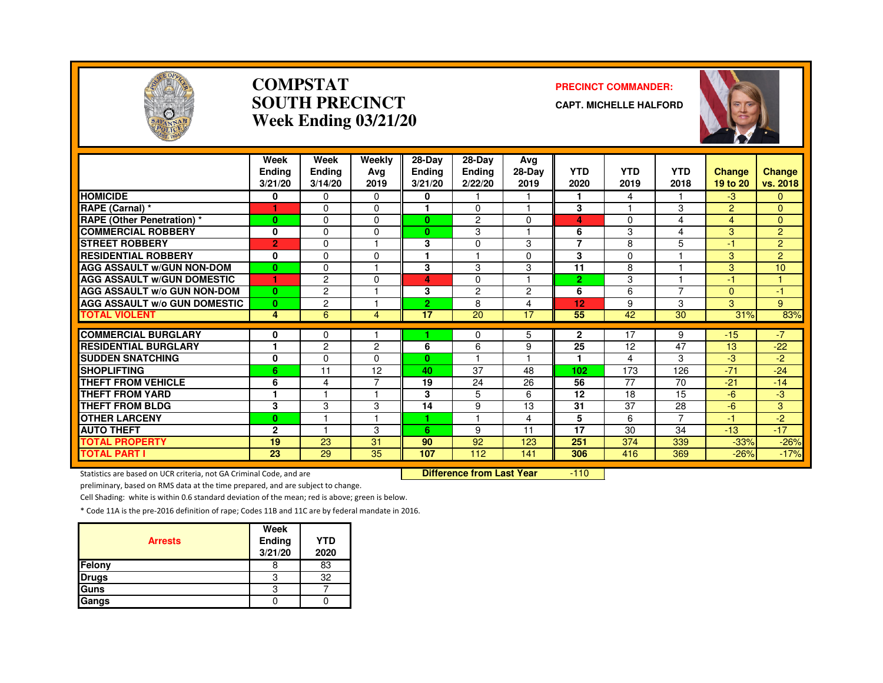

#### **COMPSTATSOUTH PRECINCTWeek Ending 03/21/20**

#### **PRECINCT COMMANDER:**

**CAPT. MICHELLE HALFORD**



|                                     | Week<br><b>Ending</b><br>3/21/20 | Week<br>Ending<br>3/14/20 | Weekly<br>Avg<br>2019 | 28-Day<br><b>Ending</b><br>3/21/20 | $28-Dav$<br><b>Ending</b><br>2/22/20 | Ava<br>28-Day<br>2019   | <b>YTD</b><br>2020 | <b>YTD</b><br>2019 | <b>YTD</b><br>2018 | <b>Change</b><br>19 to 20 | Change<br>vs. 2018 |
|-------------------------------------|----------------------------------|---------------------------|-----------------------|------------------------------------|--------------------------------------|-------------------------|--------------------|--------------------|--------------------|---------------------------|--------------------|
| <b>HOMICIDE</b>                     | 0                                | 0                         | $\Omega$              | 0                                  |                                      |                         | 1                  | 4                  |                    | $-3$                      | $\mathbf{0}$       |
| RAPE (Carnal) *                     |                                  | $\Omega$                  | $\Omega$              | 1                                  | $\Omega$                             |                         | 3                  |                    | 3                  | 2                         | $\mathbf{0}$       |
| <b>RAPE (Other Penetration)</b> *   | $\mathbf{0}$                     | $\Omega$                  | $\Omega$              | $\mathbf{0}$                       | 2                                    | $\Omega$                | 4                  | 0                  | 4                  | 4                         | $\mathbf{0}$       |
| <b>COMMERCIAL ROBBERY</b>           | 0                                | $\Omega$                  | $\Omega$              | $\mathbf{0}$                       | 3                                    |                         | 6                  | 3                  | 4                  | 3                         | 2                  |
| <b>STREET ROBBERY</b>               | $\overline{2}$                   | $\Omega$                  |                       | 3                                  | $\Omega$                             | 3                       | 7                  | 8                  | 5                  | $-1$                      | $\overline{2}$     |
| <b>RESIDENTIAL ROBBERY</b>          | 0                                | $\Omega$                  | $\Omega$              |                                    |                                      | $\Omega$                | 3                  | $\Omega$           |                    | 3                         | $\overline{2}$     |
| <b>AGG ASSAULT W/GUN NON-DOM</b>    | $\mathbf{0}$                     | $\mathbf 0$               |                       | 3                                  | 3                                    | 3                       | 11                 | 8                  |                    | 3                         | 10                 |
| <b>AGG ASSAULT W/GUN DOMESTIC</b>   | 1                                | $\overline{c}$            | $\Omega$              | 4                                  | $\Omega$                             | $\overline{\mathbf{A}}$ | $\overline{2}$     | 3                  |                    | $-1$                      | и                  |
| <b>AGG ASSAULT w/o GUN NON-DOM</b>  | $\mathbf{0}$                     | $\overline{c}$            |                       | 3                                  | $\overline{2}$                       | $\overline{2}$          | 6                  | 6                  | 7                  | $\Omega$                  | -1                 |
| <b>AGG ASSAULT w/o GUN DOMESTIC</b> | $\mathbf{0}$                     | $\overline{c}$            |                       | 2.                                 | 8                                    | $\overline{4}$          | 12                 | 9                  | 3                  | 3                         | 9 <sup>°</sup>     |
| <b>TOTAL VIOLENT</b>                | 4                                | 6                         | 4                     | 17                                 | 20                                   | 17                      | 55                 | 42                 | 30                 | 31%                       | 83%                |
|                                     |                                  |                           |                       |                                    |                                      |                         |                    |                    |                    |                           |                    |
| <b>COMMERCIAL BURGLARY</b>          | 0                                | 0                         |                       |                                    | 0                                    | 5                       | $\mathbf{2}$       | 17                 | 9                  | $-15$                     | $-7$               |
| <b>RESIDENTIAL BURGLARY</b>         | 1                                | $\overline{2}$            | $\overline{2}$        | 6                                  | 6                                    | 9                       | 25<br>1            | 12                 | 47                 | 13                        | $-22$              |
| <b>SUDDEN SNATCHING</b>             | 0                                | $\Omega$                  | 0                     | $\mathbf{0}$                       |                                      |                         |                    | 4                  | 3                  | -3                        | -2                 |
| <b>SHOPLIFTING</b>                  | 6                                | 11                        | 12<br>⇁               | 40                                 | 37                                   | 48                      | 102                | 173                | 126                | $-71$                     | $-24$              |
| THEFT FROM VEHICLE                  | 6                                | 4                         |                       | 19                                 | 24                                   | 26                      | 56                 | 77                 | 70                 | $-21$                     | $-14$              |
| <b>THEFT FROM YARD</b>              | 1                                |                           |                       | 3                                  | 5                                    | 6                       | 12                 | 18                 | 15                 | $-6$                      | -3                 |
| <b>THEFT FROM BLDG</b>              | 3                                | 3                         | 3                     | 14                                 | 9                                    | 13                      | 31                 | 37                 | 28                 | $-6$                      | 3                  |
| <b>OTHER LARCENY</b>                | $\bf{0}$                         |                           |                       |                                    |                                      | 4                       | 5                  | 6                  | $\overline{7}$     | $-1$                      | $-2$               |
| <b>AUTO THEFT</b>                   | $\mathbf{2}$                     |                           | 3                     | 6                                  | 9                                    | 11                      | 17                 | 30                 | 34                 | $-13$                     | $-17$              |
| <b>TOTAL PROPERTY</b>               | 19                               | 23                        | 31                    | 90                                 | 92                                   | 123                     | 251                | 374                | 339                | $-33%$                    | $-26%$             |
| <b>TOTAL PART I</b>                 | 23                               | 29                        | 35                    | 107                                | 112                                  | 141                     | 306                | 416                | 369                | $-26%$                    | $-17%$             |

Statistics are based on UCR criteria, not GA Criminal Code, and are **Difference from Last Year** 

 $-110$ 

preliminary, based on RMS data at the time prepared, and are subject to change.

Cell Shading: white is within 0.6 standard deviation of the mean; red is above; green is below.

| <b>Arrests</b> | Week<br>Ending<br>3/21/20 | <b>YTD</b><br>2020 |
|----------------|---------------------------|--------------------|
| Felony         |                           | 83                 |
| <b>Drugs</b>   | 3                         | 32                 |
| Guns           | ຊ                         |                    |
| Gangs          |                           |                    |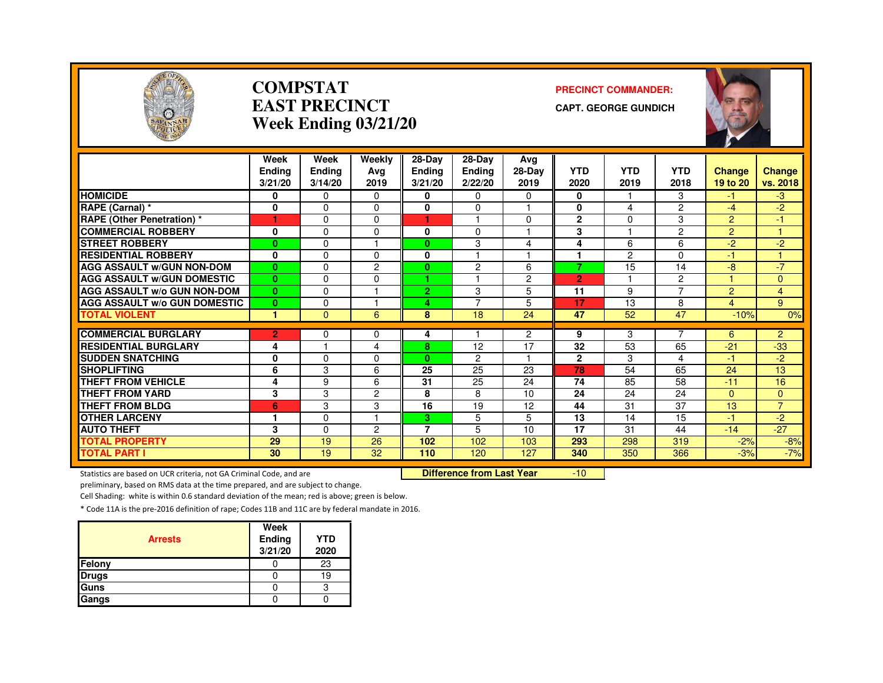

#### **COMPSTATEAST PRECINCTWeek Ending 03/21/20**

#### **PRECINCT COMMANDER:**

**CAPT. GEORGE GUNDICH**



|                                     | Week<br><b>Ending</b><br>3/21/20 | Week<br>Ending<br>3/14/20 | Weekly<br>Avg<br>2019   | $28-Dav$<br><b>Ending</b><br>3/21/20 | $28-Dav$<br><b>Ending</b><br>2/22/20 | Ava<br>28-Day<br>2019 | <b>YTD</b><br>2020 | YTD<br>2019    | <b>YTD</b><br>2018 | <b>Change</b><br>19 to 20 | <b>Change</b><br>vs. 2018 |
|-------------------------------------|----------------------------------|---------------------------|-------------------------|--------------------------------------|--------------------------------------|-----------------------|--------------------|----------------|--------------------|---------------------------|---------------------------|
| <b>HOMICIDE</b>                     | 0                                | 0                         | 0                       | 0                                    | 0                                    | 0                     | 0                  |                | 3                  | -1                        | $-3$                      |
| RAPE (Carnal) *                     | 0                                | $\Omega$                  | 0                       | 0                                    | $\Omega$                             |                       | $\mathbf 0$        | 4              | $\overline{2}$     | $-4$                      | $-2$                      |
| <b>RAPE (Other Penetration) *</b>   | 1                                | $\Omega$                  | 0                       | ٠                                    |                                      | $\Omega$              | $\overline{2}$     | $\Omega$       | 3                  | $\overline{2}$            | $-1$                      |
| <b>COMMERCIAL ROBBERY</b>           | 0                                | $\Omega$                  | 0                       | 0                                    | 0                                    | 1                     | 3                  | -1             | $\overline{2}$     | $\overline{2}$            | 4                         |
| <b>STREET ROBBERY</b>               | $\bf{0}$                         | $\Omega$                  |                         | $\bf{0}$                             | 3                                    | 4                     | 4                  | 6              | 6                  | $-2$                      | $-2$                      |
| <b>RESIDENTIAL ROBBERY</b>          | 0                                | $\Omega$                  | 0                       | 0                                    |                                      |                       |                    | $\overline{c}$ | 0                  | $-1$                      |                           |
| <b>AGG ASSAULT W/GUN NON-DOM</b>    | $\bf{0}$                         | $\Omega$                  | 2                       | 0                                    | 2                                    | 6                     | 7                  | 15             | 14                 | -8                        | $-7$                      |
| <b>AGG ASSAULT W/GUN DOMESTIC</b>   | $\bf{0}$                         | $\Omega$                  | 0                       | ٠                                    |                                      | 2                     | $\overline{2}$     |                | $\overline{c}$     |                           | $\mathbf{0}$              |
| <b>AGG ASSAULT W/o GUN NON-DOM</b>  | $\mathbf{0}$                     | $\Omega$                  | н                       | $\overline{2}$                       | 3                                    | 5                     | 11                 | 9              | $\overline{ }$     | $\overline{2}$            | $\overline{4}$            |
| <b>AGG ASSAULT w/o GUN DOMESTIC</b> | $\bf{0}$                         | $\Omega$                  | 1                       | 4                                    | $\overline{7}$                       | 5                     | 17                 | 13             | 8                  | $\overline{4}$            | 9                         |
| <b>TOTAL VIOLENT</b>                | 1                                | $\Omega$                  | 6                       | 8                                    | 18                                   | 24                    | 47                 | 52             | 47                 | $-10%$                    | 0%                        |
|                                     |                                  |                           |                         |                                      |                                      |                       |                    |                | ⇁                  |                           |                           |
| <b>COMMERCIAL BURGLARY</b>          | $\overline{2}$                   | $\Omega$                  | 0                       | 4                                    |                                      | $\overline{2}$        | 9                  | 3              |                    | 6                         | $\overline{2}$            |
| <b>RESIDENTIAL BURGLARY</b>         | 4                                |                           | 4                       | 8                                    | 12                                   | 17                    | 32                 | 53             | 65                 | $-21$                     | $-33$                     |
| <b>SUDDEN SNATCHING</b>             | 0                                | $\Omega$                  | 0                       | $\bf{0}$                             | $\overline{c}$                       | 1                     | $\mathbf{2}$       | 3              | 4                  | $-1$                      | $-2$                      |
| <b>SHOPLIFTING</b>                  | 6                                | 3                         | 6                       | 25                                   | 25                                   | 23                    | 78                 | 54             | 65                 | 24                        | 13                        |
| <b>THEFT FROM VEHICLE</b>           | 4                                | 9                         | 6                       | 31                                   | 25                                   | 24                    | 74                 | 85             | 58                 | $-11$                     | 16                        |
| <b>THEFT FROM YARD</b>              | 3                                | 3                         | 2                       | 8                                    | 8                                    | 10                    | 24                 | 24             | 24                 | $\Omega$                  | $\Omega$                  |
| <b>THEFT FROM BLDG</b>              | 6                                | 3                         | 3                       | 16                                   | 19                                   | 12                    | 44                 | 31             | 37                 | 13                        | $\overline{7}$            |
| <b>OTHER LARCENY</b>                | 1                                | $\Omega$                  | $\overline{\mathbf{1}}$ | 3.                                   | 5                                    | 5                     | 13                 | 14             | 15                 | $-1$                      | $-2$                      |
| <b>AUTO THEFT</b>                   | 3                                | $\Omega$                  | 2                       | 7                                    | 5                                    | 10                    | 17                 | 31             | 44                 | $-14$                     | $-27$                     |
| <b>TOTAL PROPERTY</b>               | 29                               | 19                        | 26                      | 102                                  | 102                                  | 103                   | 293                | 298            | 319                | $-2%$                     | $-8%$                     |
| <b>TOTAL PART I</b>                 | 30                               | 19                        | 32                      | 110                                  | 120                                  | 127                   | 340                | 350            | 366                | $-3%$                     | $-7%$                     |

Statistics are based on UCR criteria, not GA Criminal Code, and are **Difference from Last Year** 

 $-10$ 

preliminary, based on RMS data at the time prepared, and are subject to change.

Cell Shading: white is within 0.6 standard deviation of the mean; red is above; green is below.

| <b>Arrests</b> | Week<br>Ending<br>3/21/20 | <b>YTD</b><br>2020 |
|----------------|---------------------------|--------------------|
| Felony         |                           | 23                 |
| <b>Drugs</b>   |                           | 19                 |
| Guns           |                           | с                  |
| Gangs          |                           |                    |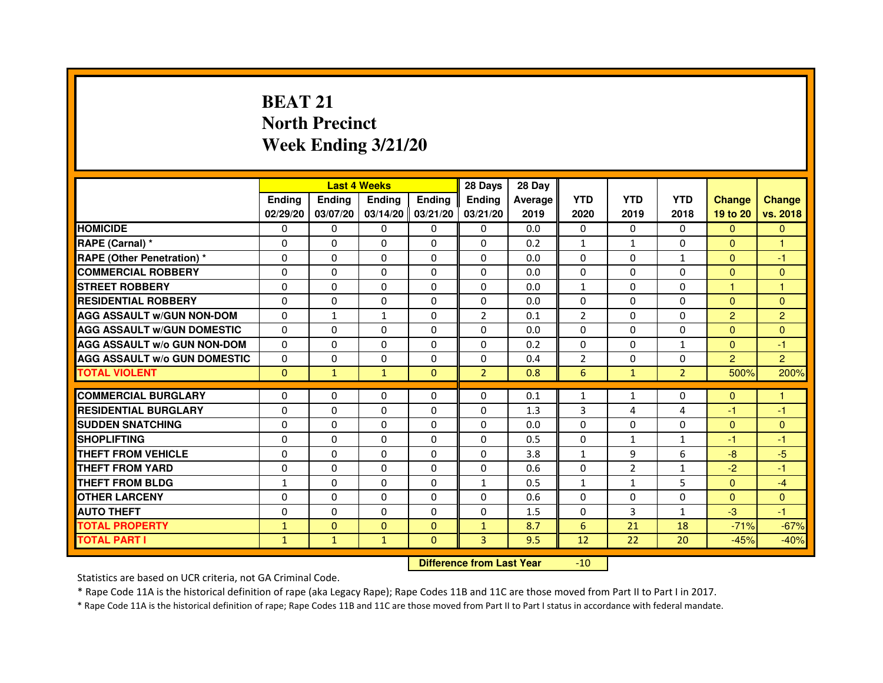# **BEAT 21 North PrecinctWeek Ending 3/21/20**

|                                     |               | <b>Last 4 Weeks</b>              |                   |                | 28 Days        | 28 Day  |                |                |                |                |                |
|-------------------------------------|---------------|----------------------------------|-------------------|----------------|----------------|---------|----------------|----------------|----------------|----------------|----------------|
|                                     | <b>Ending</b> | Ending                           | <b>Ending</b>     | <b>Ending</b>  | <b>Ending</b>  | Average | <b>YTD</b>     | <b>YTD</b>     | <b>YTD</b>     | <b>Change</b>  | <b>Change</b>  |
|                                     | 02/29/20      | 03/07/20                         | 03/14/20 03/21/20 |                | 03/21/20       | 2019    | 2020           | 2019           | 2018           | 19 to 20       | vs. 2018       |
| <b>HOMICIDE</b>                     | 0             | $\Omega$                         | $\Omega$          | $\Omega$       | 0              | 0.0     | $\Omega$       | $\Omega$       | $\Omega$       | $\Omega$       | $\Omega$       |
| RAPE (Carnal) *                     | 0             | 0                                | 0                 | 0              | 0              | 0.2     | $\mathbf{1}$   | $\mathbf{1}$   | 0              | $\Omega$       | 1              |
| <b>RAPE (Other Penetration) *</b>   | 0             | 0                                | $\Omega$          | 0              | $\Omega$       | 0.0     | $\Omega$       | $\Omega$       | $\mathbf{1}$   | $\Omega$       | $-1$           |
| <b>COMMERCIAL ROBBERY</b>           | $\Omega$      | $\Omega$                         | $\Omega$          | $\Omega$       | $\Omega$       | 0.0     | $\Omega$       | $\Omega$       | $\Omega$       | $\Omega$       | $\Omega$       |
| <b>STREET ROBBERY</b>               | $\Omega$      | $\Omega$                         | $\Omega$          | $\Omega$       | $\Omega$       | 0.0     | $\mathbf{1}$   | $\Omega$       | $\Omega$       | $\mathbf{1}$   | $\mathbf{1}$   |
| <b>RESIDENTIAL ROBBERY</b>          | $\Omega$      | $\Omega$                         | $\Omega$          | $\Omega$       | 0              | 0.0     | $\Omega$       | $\Omega$       | 0              | $\Omega$       | $\Omega$       |
| <b>AGG ASSAULT w/GUN NON-DOM</b>    | $\Omega$      | $\mathbf{1}$                     | $\mathbf{1}$      | $\Omega$       | $\overline{2}$ | 0.1     | $\overline{2}$ | $\Omega$       | $\Omega$       | $\overline{2}$ | $\overline{2}$ |
| <b>AGG ASSAULT w/GUN DOMESTIC</b>   | $\Omega$      | $\mathbf 0$                      | $\Omega$          | $\Omega$       | $\Omega$       | 0.0     | $\Omega$       | $\Omega$       | $\Omega$       | $\Omega$       | $\Omega$       |
| <b>AGG ASSAULT W/o GUN NON-DOM</b>  | 0             | 0                                | 0                 | 0              | 0              | 0.2     | 0              | $\mathbf{0}$   | $\mathbf{1}$   | $\Omega$       | $-1$           |
| <b>AGG ASSAULT w/o GUN DOMESTIC</b> | $\Omega$      | $\mathbf 0$                      | $\Omega$          | 0              | 0              | 0.4     | $\overline{2}$ | $\Omega$       | $\Omega$       | $\overline{2}$ | $\overline{2}$ |
| <b>TOTAL VIOLENT</b>                | $\mathbf 0$   | $\mathbf{1}$                     | $\mathbf{1}$      | $\mathbf{0}$   | $\overline{2}$ | 0.8     | 6              | $\mathbf{1}$   | $\overline{2}$ | 500%           | 200%           |
| <b>COMMERCIAL BURGLARY</b>          | $\Omega$      | $\Omega$                         | 0                 | $\Omega$       | 0              | 0.1     | $\mathbf{1}$   | $\mathbf{1}$   | 0              | $\Omega$       | 1.             |
| <b>RESIDENTIAL BURGLARY</b>         | $\Omega$      | $\Omega$                         | $\Omega$          | $\Omega$       | $\Omega$       | 1.3     | 3              | 4              | 4              | $-1$           | $-1$           |
| <b>SUDDEN SNATCHING</b>             | $\Omega$      | $\Omega$                         | $\Omega$          | $\Omega$       | $\Omega$       | 0.0     | $\Omega$       | $\Omega$       | $\Omega$       | $\Omega$       | $\Omega$       |
| <b>SHOPLIFTING</b>                  | 0             | 0                                | 0                 | 0              | 0              | 0.5     | $\Omega$       | 1              | 1              | $-1$           | $-1$           |
| <b>THEFT FROM VEHICLE</b>           | $\Omega$      | $\Omega$                         | $\Omega$          | $\Omega$       | 0              | 3.8     | $\mathbf{1}$   | 9              | 6              | $-8$           | $-5$           |
| <b>THEFT FROM YARD</b>              | $\mathbf 0$   | 0                                | $\mathbf 0$       | 0              | 0              | 0.6     | $\mathbf{0}$   | $\overline{2}$ | $\mathbf{1}$   | $-2$           | $-1$           |
| <b>THEFT FROM BLDG</b>              | $\mathbf{1}$  | $\Omega$                         | $\Omega$          | $\Omega$       | $\mathbf{1}$   | 0.5     | $\mathbf{1}$   | $\mathbf{1}$   | 5              | $\Omega$       | $-4$           |
| <b>OTHER LARCENY</b>                | $\mathbf 0$   | $\Omega$                         | $\mathbf 0$       | $\Omega$       | 0              | 0.6     | $\Omega$       | $\mathbf{0}$   | 0              | $\Omega$       | $\Omega$       |
| <b>AUTO THEFT</b>                   | $\Omega$      | $\Omega$                         | $\Omega$          | $\Omega$       | $\Omega$       | 1.5     | $\Omega$       | 3              | $\mathbf{1}$   | $-3$           | $-1$           |
| <b>TOTAL PROPERTY</b>               | $\mathbf{1}$  | $\mathbf{0}$                     | $\Omega$          | $\mathbf{0}$   | $\mathbf{1}$   | 8.7     | 6              | 21             | 18             | $-71%$         | $-67%$         |
| <b>TOTAL PART I</b>                 | $\mathbf{1}$  | $\mathbf{1}$                     | $\mathbf{1}$      | $\overline{0}$ | 3              | 9.5     | 12             | 22             | 20             | $-45%$         | $-40%$         |
|                                     |               | <b>Difference from Last Year</b> |                   | $-10$          |                |         |                |                |                |                |                |

Statistics are based on UCR criteria, not GA Criminal Code.

\* Rape Code 11A is the historical definition of rape (aka Legacy Rape); Rape Codes 11B and 11C are those moved from Part II to Part I in 2017.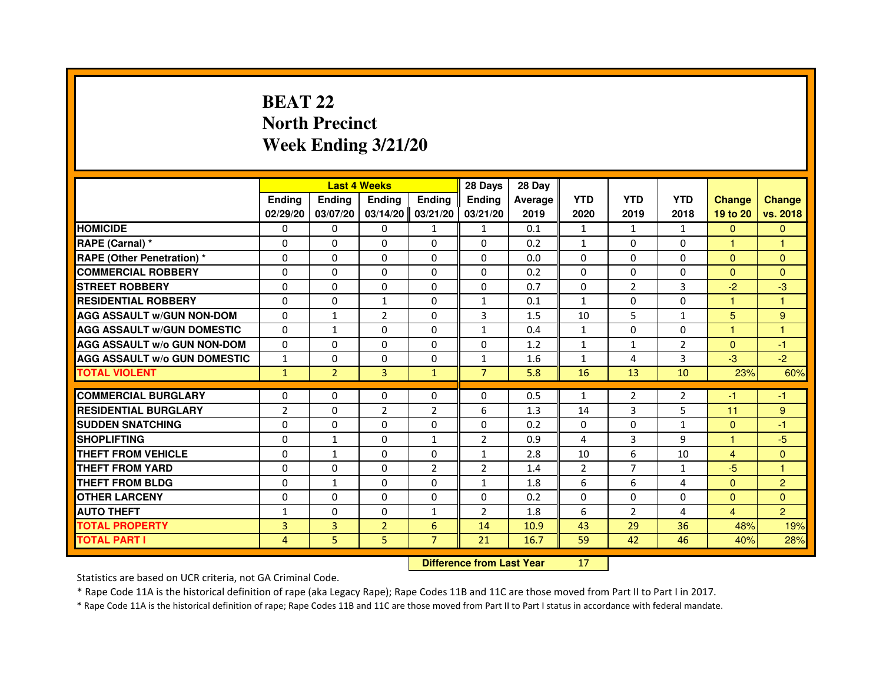# **BEAT 22 North PrecinctWeek Ending 3/21/20**

|                                     |                |                                  | <b>Last 4 Weeks</b> |                | 28 Days        | 28 Day  |                |                |                |                |                |
|-------------------------------------|----------------|----------------------------------|---------------------|----------------|----------------|---------|----------------|----------------|----------------|----------------|----------------|
|                                     | <b>Ending</b>  | Ending                           | <b>Ending</b>       | <b>Ending</b>  | <b>Ending</b>  | Average | <b>YTD</b>     | <b>YTD</b>     | <b>YTD</b>     | <b>Change</b>  | <b>Change</b>  |
|                                     | 02/29/20       | 03/07/20                         | 03/14/20            | 03/21/20       | 03/21/20       | 2019    | 2020           | 2019           | 2018           | 19 to 20       | vs. 2018       |
| <b>HOMICIDE</b>                     | 0              | $\Omega$                         | $\Omega$            | $\mathbf{1}$   | $\mathbf{1}$   | 0.1     | $\mathbf{1}$   | $\mathbf{1}$   | $\mathbf{1}$   | $\mathbf{0}$   | $\mathbf{0}$   |
| RAPE (Carnal) *                     | 0              | 0                                | 0                   | 0              | 0              | 0.2     | $\mathbf{1}$   | 0              | 0              | 1              | 1              |
| RAPE (Other Penetration) *          | $\Omega$       | 0                                | $\Omega$            | $\Omega$       | $\Omega$       | 0.0     | $\Omega$       | $\Omega$       | $\Omega$       | $\Omega$       | $\Omega$       |
| <b>COMMERCIAL ROBBERY</b>           | $\Omega$       | $\Omega$                         | $\Omega$            | $\Omega$       | $\Omega$       | 0.2     | $\Omega$       | $\Omega$       | $\Omega$       | $\Omega$       | $\mathbf{0}$   |
| <b>STREET ROBBERY</b>               | $\Omega$       | $\Omega$                         | $\Omega$            | $\Omega$       | $\Omega$       | 0.7     | $\Omega$       | $\overline{2}$ | 3              | $-2$           | $-3$           |
| <b>RESIDENTIAL ROBBERY</b>          | 0              | 0                                | 1                   | 0              | $\mathbf{1}$   | 0.1     | $\mathbf{1}$   | 0              | $\Omega$       | 1              | 1              |
| <b>AGG ASSAULT W/GUN NON-DOM</b>    | $\Omega$       | $\mathbf{1}$                     | $\overline{2}$      | $\Omega$       | 3              | 1.5     | 10             | 5              | $\mathbf{1}$   | 5              | 9              |
| <b>AGG ASSAULT W/GUN DOMESTIC</b>   | $\Omega$       | $\mathbf{1}$                     | $\Omega$            | $\Omega$       | $\mathbf{1}$   | 0.4     | $\mathbf{1}$   | $\Omega$       | $\Omega$       | $\mathbf{1}$   | $\mathbf{1}$   |
| <b>AGG ASSAULT W/o GUN NON-DOM</b>  | $\Omega$       | $\Omega$                         | $\Omega$            | $\Omega$       | $\Omega$       | 1.2     | $\mathbf{1}$   | $\mathbf{1}$   | 2              | $\Omega$       | $-1$           |
| <b>AGG ASSAULT W/o GUN DOMESTIC</b> | $\mathbf{1}$   | $\Omega$                         | 0                   | $\Omega$       | $\mathbf{1}$   | 1.6     | $\mathbf{1}$   | 4              | 3              | $-3$           | $-2$           |
| <b>TOTAL VIOLENT</b>                | $\mathbf{1}$   | $\overline{2}$                   | 3                   | $\mathbf{1}$   | $\overline{7}$ | 5.8     | 16             | 13             | 10             | 23%            | 60%            |
| <b>COMMERCIAL BURGLARY</b>          | 0              | 0                                | 0                   | 0              | 0              | 0.5     | $\mathbf{1}$   | 2              | 2              | $-1$           | $-1$           |
| <b>RESIDENTIAL BURGLARY</b>         | 2              | $\Omega$                         | $\overline{2}$      | $\overline{2}$ | 6              | 1.3     | 14             | 3              | 5              | 11             | $9\,$          |
| <b>SUDDEN SNATCHING</b>             | $\Omega$       | $\Omega$                         | $\Omega$            | $\Omega$       | $\Omega$       | 0.2     | $\Omega$       | $\Omega$       | $\mathbf{1}$   | $\Omega$       | $-1$           |
| <b>SHOPLIFTING</b>                  | 0              | 1                                | 0                   | $\mathbf{1}$   | $\overline{2}$ | 0.9     | 4              | 3              | 9              | 1              | $-5$           |
| THEFT FROM VEHICLE                  | 0              | $\mathbf{1}$                     | 0                   | $\Omega$       | $\mathbf{1}$   | 2.8     | 10             | 6              | 10             | $\overline{4}$ | $\mathbf{0}$   |
| <b>THEFT FROM YARD</b>              | $\Omega$       | $\Omega$                         | $\Omega$            | $\overline{2}$ | $\overline{2}$ | 1.4     | $\overline{2}$ | $\overline{7}$ | $\mathbf{1}$   | $-5$           | $\mathbf{1}$   |
| <b>THEFT FROM BLDG</b>              | $\Omega$       | $\mathbf{1}$                     | $\Omega$            | $\Omega$       | $\mathbf{1}$   | 1.8     | 6              | 6              | 4              | $\Omega$       | $\overline{2}$ |
| <b>OTHER LARCENY</b>                | 0              | $\Omega$                         | 0                   | $\Omega$       | 0              | 0.2     | $\Omega$       | 0              | 0              | $\Omega$       | $\Omega$       |
| <b>AUTO THEFT</b>                   | $\mathbf{1}$   | $\Omega$                         | $\Omega$            | $\mathbf{1}$   | $\overline{2}$ | 1.8     | 6              | $\overline{2}$ | $\overline{a}$ | 4              | $\overline{2}$ |
| <b>TOTAL PROPERTY</b>               | $\overline{3}$ | 3                                | $\overline{2}$      | 6              | 14             | 10.9    | 43             | 29             | 36             | 48%            | 19%            |
| <b>TOTAL PART I</b>                 | 4              | 5                                | 5                   | $\overline{7}$ | 21             | 16.7    | 59             | 42             | 46             | 40%            | 28%            |
|                                     |                | <b>Difference from Last Year</b> |                     | 17             |                |         |                |                |                |                |                |

 **Difference from Last Year**

Statistics are based on UCR criteria, not GA Criminal Code.

\* Rape Code 11A is the historical definition of rape (aka Legacy Rape); Rape Codes 11B and 11C are those moved from Part II to Part I in 2017.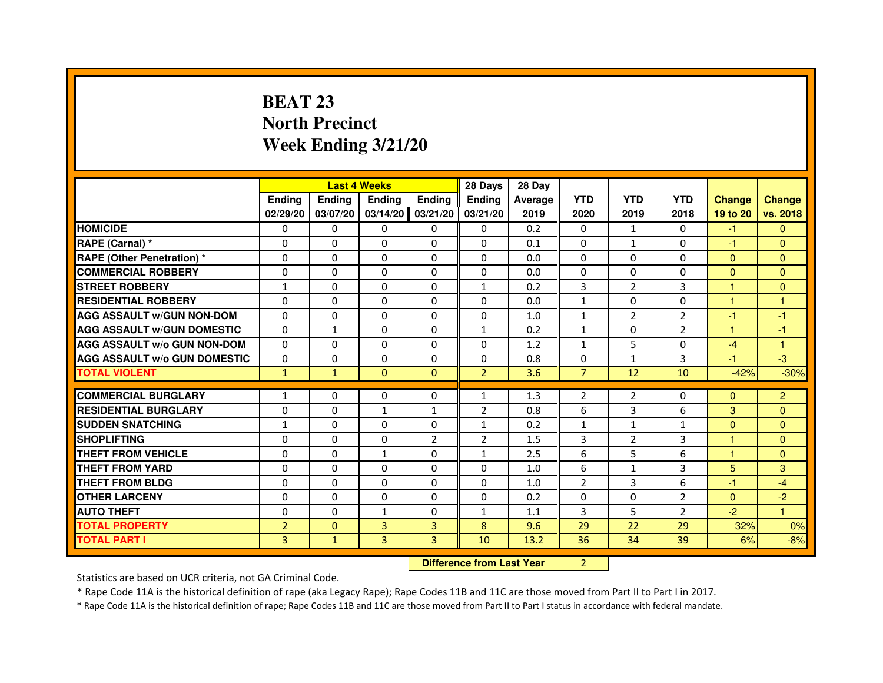# **BEAT 23 North PrecinctWeek Ending 3/21/20**

|                                     |                |               | <b>Last 4 Weeks</b>              |               | 28 Days        | 28 Day  |                |                |                |                      |                      |
|-------------------------------------|----------------|---------------|----------------------------------|---------------|----------------|---------|----------------|----------------|----------------|----------------------|----------------------|
|                                     | <b>Ending</b>  | <b>Ending</b> | <b>Ending</b>                    | <b>Ending</b> | <b>Ending</b>  | Average | <b>YTD</b>     | <b>YTD</b>     | <b>YTD</b>     | <b>Change</b>        | <b>Change</b>        |
|                                     | 02/29/20       | 03/07/20      | 03/14/20                         | 03/21/20      | 03/21/20       | 2019    | 2020           | 2019           | 2018           | 19 to 20             | vs. 2018             |
| <b>HOMICIDE</b>                     | $\Omega$       | $\Omega$      | $\Omega$                         | $\Omega$      | $\mathbf{0}$   | 0.2     | $\Omega$       | $\mathbf{1}$   | $\Omega$       | $-1$                 | $\mathbf{0}$         |
| RAPE (Carnal) *                     | 0              | $\mathbf{0}$  | 0                                | $\Omega$      | $\mathbf{0}$   | 0.1     | $\Omega$       | $\mathbf{1}$   | 0              | $-1$                 | $\mathbf{0}$         |
| <b>RAPE (Other Penetration) *</b>   | $\Omega$       | $\Omega$      | $\Omega$                         | $\Omega$      | $\Omega$       | 0.0     | $\Omega$       | $\Omega$       | $\Omega$       | $\Omega$             | $\mathbf{0}$         |
| <b>COMMERCIAL ROBBERY</b>           | 0              | $\Omega$      | $\Omega$                         | $\Omega$      | $\Omega$       | 0.0     | $\Omega$       | $\Omega$       | $\Omega$       | $\mathbf{0}$         | $\mathbf{0}$         |
| <b>STREET ROBBERY</b>               | $\mathbf{1}$   | $\Omega$      | 0                                | $\Omega$      | $\mathbf{1}$   | 0.2     | 3              | $\overline{2}$ | 3              | $\mathbf{1}$         | $\mathbf{0}$         |
| <b>RESIDENTIAL ROBBERY</b>          | 0              | $\Omega$      | 0                                | $\Omega$      | 0              | 0.0     | $\mathbf{1}$   | $\Omega$       | $\Omega$       | $\blacktriangleleft$ | $\blacktriangleleft$ |
| <b>AGG ASSAULT W/GUN NON-DOM</b>    | $\Omega$       | $\Omega$      | 0                                | $\Omega$      | $\Omega$       | 1.0     | $\mathbf{1}$   | $\overline{2}$ | $\overline{2}$ | -1                   | -1                   |
| <b>AGG ASSAULT W/GUN DOMESTIC</b>   | $\Omega$       | $\mathbf{1}$  | $\Omega$                         | $\Omega$      | $\mathbf{1}$   | 0.2     | $\mathbf{1}$   | $\Omega$       | $\overline{2}$ | $\mathbf{1}$         | $-1$                 |
| <b>AGG ASSAULT W/o GUN NON-DOM</b>  | $\Omega$       | $\mathbf{0}$  | 0                                | $\mathbf{0}$  | $\Omega$       | 1.2     | $\mathbf{1}$   | 5              | 0              | $-4$                 | 1                    |
| <b>AGG ASSAULT W/o GUN DOMESTIC</b> | 0              | 0             | 0                                | $\Omega$      | $\Omega$       | 0.8     | $\Omega$       | $\mathbf{1}$   | 3              | $-1$                 | $-3$                 |
| <b>TOTAL VIOLENT</b>                | $\mathbf{1}$   | $\mathbf{1}$  | $\mathbf{0}$                     | $\mathbf{0}$  | $\overline{2}$ | 3.6     | $\overline{7}$ | 12             | 10             | $-42%$               | $-30%$               |
| <b>COMMERCIAL BURGLARY</b>          | 1              | 0             | 0                                | $\mathbf{0}$  | $\mathbf{1}$   | 1.3     | $\overline{2}$ | $\overline{2}$ | 0              | $\Omega$             | $\overline{2}$       |
| <b>RESIDENTIAL BURGLARY</b>         | $\Omega$       | $\Omega$      | $\mathbf{1}$                     | 1             | $\overline{2}$ | 0.8     | 6              | 3              | 6              | 3                    | $\overline{0}$       |
| <b>SUDDEN SNATCHING</b>             | $\mathbf{1}$   | $\Omega$      | $\Omega$                         | $\Omega$      | $\mathbf{1}$   | 0.2     | $\mathbf{1}$   | $\mathbf{1}$   | $\mathbf{1}$   | $\Omega$             | $\Omega$             |
| <b>SHOPLIFTING</b>                  | 0              | 0             | 0                                | 2             | $\overline{2}$ | 1.5     | 3              | $\overline{2}$ | 3              | $\mathbf{1}$         | $\mathbf{0}$         |
| THEFT FROM VEHICLE                  | 0              | $\Omega$      | $\mathbf{1}$                     | $\Omega$      | $\mathbf{1}$   | 2.5     | 6              | 5              | 6              | 1                    | $\Omega$             |
| <b>THEFT FROM YARD</b>              | 0              | 0             | $\Omega$                         | 0             | 0              | 1.0     | 6              | $\mathbf{1}$   | 3              | 5                    | 3                    |
| <b>THEFT FROM BLDG</b>              | $\Omega$       | $\Omega$      | $\Omega$                         | $\Omega$      | $\mathbf{0}$   | 1.0     | $\overline{2}$ | 3              | 6              | $-1$                 | $-4$                 |
| <b>OTHER LARCENY</b>                | 0              | $\Omega$      | 0                                | $\Omega$      | $\mathbf{0}$   | 0.2     | $\mathbf{0}$   | $\mathbf{0}$   | $\overline{2}$ | $\Omega$             | $-2$                 |
| <b>AUTO THEFT</b>                   | $\Omega$       | $\Omega$      | $\mathbf{1}$                     | $\Omega$      | $\mathbf{1}$   | 1.1     | 3              | 5              | $\overline{2}$ | $-2$                 | $\mathbf{1}$         |
| <b>TOTAL PROPERTY</b>               | $\overline{2}$ | $\Omega$      | $\overline{3}$                   | 3             | 8              | 9.6     | 29             | 22             | 29             | 32%                  | 0%                   |
| <b>TOTAL PART I</b>                 | 3              | $\mathbf{1}$  | 3                                | 3             | 10             | 13.2    | 36             | 34             | 39             |                      |                      |
|                                     |                |               |                                  |               |                |         |                |                |                | 6%                   | $-8%$                |
|                                     |                |               | <b>Difference from Last Year</b> |               | $\overline{2}$ |         |                |                |                |                      |                      |

 **Difference from Last Year**

Statistics are based on UCR criteria, not GA Criminal Code.

\* Rape Code 11A is the historical definition of rape (aka Legacy Rape); Rape Codes 11B and 11C are those moved from Part II to Part I in 2017.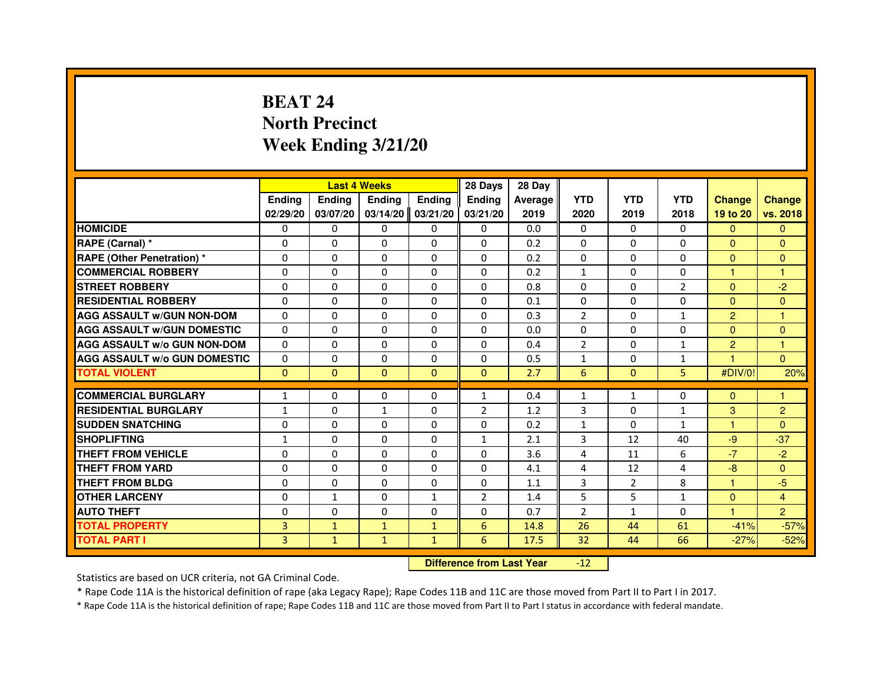# **BEAT 24 North PrecinctWeek Ending 3/21/20**

|                                     |                |               | <b>Last 4 Weeks</b> |               | 28 Days                          | 28 Day  |                |                |                |                      |                |
|-------------------------------------|----------------|---------------|---------------------|---------------|----------------------------------|---------|----------------|----------------|----------------|----------------------|----------------|
|                                     | <b>Ending</b>  | <b>Ending</b> | <b>Ending</b>       | <b>Ending</b> | <b>Ending</b>                    | Average | <b>YTD</b>     | <b>YTD</b>     | <b>YTD</b>     | <b>Change</b>        | <b>Change</b>  |
|                                     | 02/29/20       | 03/07/20      | 03/14/20            | 03/21/20      | 03/21/20                         | 2019    | 2020           | 2019           | 2018           | 19 to 20             | vs. 2018       |
| <b>HOMICIDE</b>                     | $\Omega$       | $\Omega$      | $\Omega$            | $\Omega$      | $\mathbf{0}$                     | 0.0     | $\Omega$       | $\Omega$       | $\Omega$       | $\Omega$             | $\mathbf{0}$   |
| RAPE (Carnal) *                     | 0              | $\mathbf{0}$  | 0                   | $\Omega$      | $\mathbf{0}$                     | 0.2     | $\mathbf{0}$   | $\mathbf{0}$   | 0              | $\mathbf{0}$         | $\mathbf{0}$   |
| <b>RAPE (Other Penetration) *</b>   | $\Omega$       | $\Omega$      | $\Omega$            | $\Omega$      | $\mathbf{0}$                     | 0.2     | $\mathbf{0}$   | $\mathbf{0}$   | $\Omega$       | $\Omega$             | $\mathbf{0}$   |
| <b>COMMERCIAL ROBBERY</b>           | $\Omega$       | $\Omega$      | $\Omega$            | $\Omega$      | $\Omega$                         | 0.2     | $\mathbf{1}$   | $\Omega$       | $\Omega$       | $\mathbf{1}$         | $\mathbf{1}$   |
| <b>STREET ROBBERY</b>               | 0              | $\Omega$      | 0                   | $\Omega$      | $\Omega$                         | 0.8     | $\Omega$       | $\Omega$       | $\overline{2}$ | $\Omega$             | $-2$           |
| <b>RESIDENTIAL ROBBERY</b>          | 0              | $\Omega$      | 0                   | $\Omega$      | $\Omega$                         | 0.1     | $\Omega$       | $\Omega$       | $\Omega$       | $\Omega$             | $\Omega$       |
| <b>AGG ASSAULT W/GUN NON-DOM</b>    | $\Omega$       | $\Omega$      | 0                   | $\Omega$      | $\Omega$                         | 0.3     | $\overline{2}$ | $\Omega$       | $\mathbf{1}$   | $\overline{2}$       | $\mathbf{1}$   |
| <b>AGG ASSAULT W/GUN DOMESTIC</b>   | $\Omega$       | $\Omega$      | $\Omega$            | $\Omega$      | $\Omega$                         | 0.0     | $\Omega$       | $\Omega$       | $\Omega$       | $\Omega$             | $\mathbf{0}$   |
| <b>AGG ASSAULT W/o GUN NON-DOM</b>  | $\Omega$       | $\mathbf{0}$  | 0                   | $\mathbf{0}$  | 0                                | 0.4     | $\overline{2}$ | 0              | $\mathbf{1}$   | $\overline{c}$       | 1              |
| <b>AGG ASSAULT W/o GUN DOMESTIC</b> | 0              | 0             | 0                   | $\Omega$      | $\Omega$                         | 0.5     | $\mathbf{1}$   | 0              | 1              |                      | $\Omega$       |
| <b>TOTAL VIOLENT</b>                | $\mathbf{0}$   | $\mathbf{0}$  | $\mathbf{0}$        | $\mathbf{0}$  | $\mathbf{0}$                     | 2.7     | 6              | $\mathbf{0}$   | 5              | #DIV/0!              | 20%            |
| <b>COMMERCIAL BURGLARY</b>          | 1              | 0             | 0                   | $\mathbf{0}$  | $\mathbf{1}$                     | 0.4     | $\mathbf{1}$   | 1              | 0              | $\Omega$             | 1              |
| <b>RESIDENTIAL BURGLARY</b>         | 1              | $\Omega$      | $\mathbf{1}$        | $\Omega$      | $\overline{2}$                   | 1.2     | 3              | $\Omega$       | $\mathbf{1}$   | 3                    | $\overline{2}$ |
| <b>SUDDEN SNATCHING</b>             | 0              | $\Omega$      | $\Omega$            | $\Omega$      | $\Omega$                         | 0.2     | $\mathbf{1}$   | $\Omega$       | $\mathbf{1}$   | $\blacktriangleleft$ | $\Omega$       |
| <b>SHOPLIFTING</b>                  | 1              | 0             | 0                   | 0             | $\mathbf{1}$                     | 2.1     | 3              | 12             | 40             | -9                   | $-37$          |
| THEFT FROM VEHICLE                  | 0              | $\Omega$      | 0                   | $\Omega$      | $\Omega$                         | 3.6     | 4              | 11             | 6              | $-7$                 | $-2$           |
| <b>THEFT FROM YARD</b>              |                |               | $\Omega$            |               |                                  |         |                |                | 4              |                      |                |
| <b>THEFT FROM BLDG</b>              | 0<br>$\Omega$  | 0<br>$\Omega$ | $\Omega$            | 0<br>$\Omega$ | 0<br>$\Omega$                    | 4.1     | 4<br>3         | 12             | 8              | $-8$<br>$\mathbf{1}$ | $\overline{0}$ |
|                                     |                |               |                     |               |                                  | 1.1     |                | $\overline{2}$ |                |                      | $-5$           |
| <b>OTHER LARCENY</b>                | 0              | $\mathbf{1}$  | 0                   | $\mathbf{1}$  | $\overline{2}$                   | 1.4     | 5              | 5              | $\mathbf{1}$   | $\Omega$             | 4              |
| <b>AUTO THEFT</b>                   | $\Omega$       | $\Omega$      | $\Omega$            | $\Omega$      | $\Omega$                         | 0.7     | $\overline{2}$ | $\mathbf{1}$   | $\Omega$       | $\mathbf{1}$         | $\overline{2}$ |
| <b>TOTAL PROPERTY</b>               | $\overline{3}$ | $\mathbf{1}$  | $\mathbf{1}$        | $\mathbf{1}$  | 6                                | 14.8    | 26             | 44             | 61             | $-41%$               | $-57%$         |
| <b>TOTAL PART I</b>                 | 3              | $\mathbf{1}$  | $\mathbf{1}$        | $\mathbf{1}$  | 6                                | 17.5    | 32             | 44             | 66             | $-27%$               | $-52%$         |
|                                     |                |               |                     |               | <b>Difference from Last Year</b> |         | $-12$          |                |                |                      |                |

 **Difference from Last Year**

Statistics are based on UCR criteria, not GA Criminal Code.

\* Rape Code 11A is the historical definition of rape (aka Legacy Rape); Rape Codes 11B and 11C are those moved from Part II to Part I in 2017.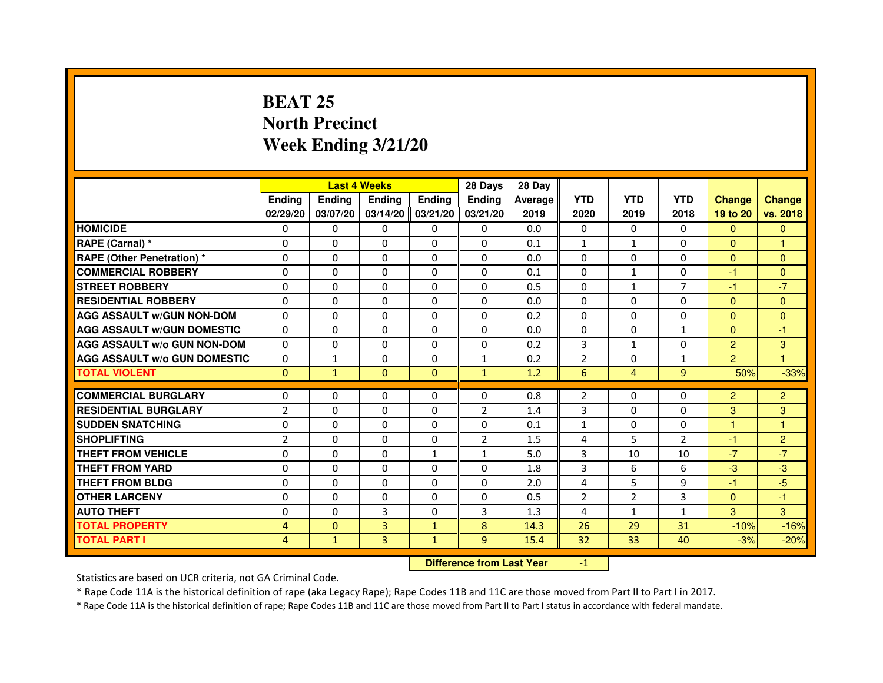### **BEAT 25 North PrecinctWeek Ending 3/21/20**

|                                     |                |               | <b>Last 4 Weeks</b> |              | 28 Days        | 28 Day  |                |                |                |                |                |
|-------------------------------------|----------------|---------------|---------------------|--------------|----------------|---------|----------------|----------------|----------------|----------------|----------------|
|                                     | <b>Endina</b>  | <b>Endina</b> | <b>Ending</b>       | Ending       | <b>Endina</b>  | Average | <b>YTD</b>     | <b>YTD</b>     | <b>YTD</b>     | <b>Change</b>  | <b>Change</b>  |
|                                     | 02/29/20       | 03/07/20      | 03/14/20            | 03/21/20     | 03/21/20       | 2019    | 2020           | 2019           | 2018           | 19 to 20       | vs. 2018       |
| <b>HOMICIDE</b>                     | 0              | 0             | 0                   | 0            | 0              | 0.0     | 0              | 0              | 0              | $\mathbf{0}$   | $\mathbf{0}$   |
| RAPE (Carnal) *                     | $\Omega$       | $\Omega$      | $\Omega$            | $\Omega$     | $\Omega$       | 0.1     | $\mathbf{1}$   | $\mathbf{1}$   | $\Omega$       | $\Omega$       | $\mathbf{1}$   |
| <b>RAPE (Other Penetration) *</b>   | $\Omega$       | $\Omega$      | $\Omega$            | $\Omega$     | $\Omega$       | 0.0     | $\Omega$       | $\Omega$       | $\Omega$       | $\Omega$       | $\Omega$       |
| <b>COMMERCIAL ROBBERY</b>           | 0              | 0             | 0                   | 0            | 0              | 0.1     | 0              | $\mathbf{1}$   | 0              | $-1$           | $\Omega$       |
| <b>STREET ROBBERY</b>               | $\Omega$       | $\Omega$      | $\Omega$            | $\Omega$     | $\Omega$       | 0.5     | $\Omega$       | 1              | $\overline{7}$ | $-1$           | $-7$           |
| <b>RESIDENTIAL ROBBERY</b>          | $\Omega$       | $\Omega$      | $\Omega$            | $\Omega$     | $\Omega$       | 0.0     | $\Omega$       | $\Omega$       | $\Omega$       | $\Omega$       | $\Omega$       |
| <b>AGG ASSAULT W/GUN NON-DOM</b>    | $\Omega$       | $\Omega$      | $\Omega$            | $\Omega$     | $\Omega$       | 0.2     | $\Omega$       | $\Omega$       | $\Omega$       | $\Omega$       | $\mathbf{0}$   |
| <b>AGG ASSAULT W/GUN DOMESTIC</b>   | $\Omega$       | $\Omega$      | $\Omega$            | $\Omega$     | $\Omega$       | 0.0     | $\Omega$       | $\Omega$       | $\mathbf{1}$   | $\Omega$       | $-1$           |
| <b>AGG ASSAULT W/o GUN NON-DOM</b>  | 0              | 0             | $\Omega$            | 0            | 0              | 0.2     | 3              | $\mathbf{1}$   | $\Omega$       | $\overline{2}$ | 3              |
| <b>AGG ASSAULT W/o GUN DOMESTIC</b> | $\Omega$       | $\mathbf{1}$  | $\Omega$            | 0            | $\mathbf{1}$   | 0.2     | $\overline{2}$ | 0              | $\mathbf{1}$   | $\overline{2}$ | 1              |
| <b>TOTAL VIOLENT</b>                | $\Omega$       | $\mathbf{1}$  | $\Omega$            | $\mathbf{0}$ | $\mathbf{1}$   | 1.2     | 6              | $\overline{4}$ | $\overline{9}$ | 50%            | $-33%$         |
|                                     |                |               |                     |              |                |         |                |                |                |                |                |
| <b>COMMERCIAL BURGLARY</b>          | 0              | 0             | 0                   | 0            | 0              | 0.8     | $\overline{2}$ | 0              | 0              | $\overline{2}$ | $\overline{c}$ |
| <b>RESIDENTIAL BURGLARY</b>         | $\overline{2}$ | 0             | 0                   | 0            | $\overline{2}$ | 1.4     | 3              | 0              | 0              | 3              | 3              |
| <b>SUDDEN SNATCHING</b>             | $\Omega$       | $\Omega$      | $\Omega$            | $\Omega$     | $\Omega$       | 0.1     | $\mathbf{1}$   | 0              | $\Omega$       | $\overline{1}$ | 1              |
| <b>SHOPLIFTING</b>                  | $\overline{2}$ | $\Omega$      | $\Omega$            | $\Omega$     | $\overline{2}$ | 1.5     | 4              | 5              | $\overline{2}$ | $-1$           | $\overline{c}$ |
| <b>THEFT FROM VEHICLE</b>           | $\Omega$       | $\Omega$      | $\Omega$            | $\mathbf{1}$ | 1              | 5.0     | 3              | 10             | 10             | $-7$           | $-7$           |
| <b>THEFT FROM YARD</b>              | $\Omega$       | $\Omega$      | $\Omega$            | $\Omega$     | $\Omega$       | 1.8     | 3              | 6              | 6              | $-3$           | $-3$           |
| <b>THEFT FROM BLDG</b>              | $\Omega$       | $\Omega$      | $\Omega$            | $\Omega$     | 0              | 2.0     | 4              | 5              | 9              | $-1$           | $-5$           |
| <b>OTHER LARCENY</b>                | 0              | 0             | 0                   | 0            | 0              | 0.5     | $\overline{2}$ | 2              | 3              | $\Omega$       | $-1$           |
| <b>AUTO THEFT</b>                   | $\Omega$       | $\Omega$      | $\overline{3}$      | $\Omega$     | $\overline{3}$ | 1.3     | 4              | $\mathbf{1}$   | $\mathbf{1}$   | 3              | 3              |
| <b>TOTAL PROPERTY</b>               | $\overline{4}$ | $\mathbf{0}$  | 3                   | $\mathbf{1}$ | 8              | 14.3    | 26             | 29             | 31             | $-10%$         | $-16%$         |
| <b>TOTAL PART I</b>                 | $\overline{4}$ | $\mathbf{1}$  | 3                   | $\mathbf{1}$ | 9              | 15.4    | 32             | 33             | 40             | $-3%$          | $-20%$         |

 **Difference from Last Year**

-1

Statistics are based on UCR criteria, not GA Criminal Code.

\* Rape Code 11A is the historical definition of rape (aka Legacy Rape); Rape Codes 11B and 11C are those moved from Part II to Part I in 2017.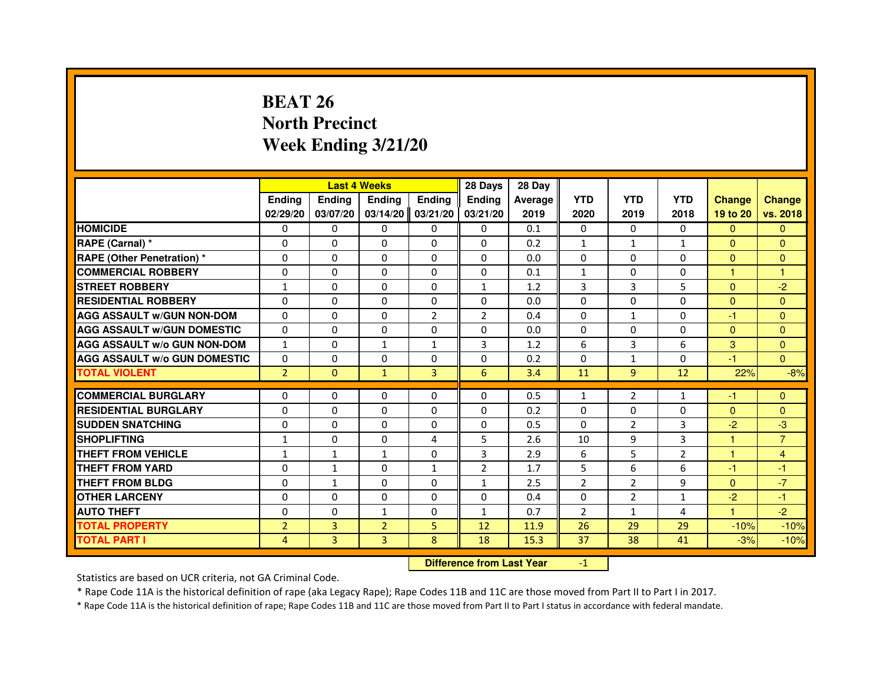# **BEAT 26 North PrecinctWeek Ending 3/21/20**

|                                     |                | <b>Last 4 Weeks</b> |                |                | 28 Days        | 28 Day  |                |                |                |               |                |
|-------------------------------------|----------------|---------------------|----------------|----------------|----------------|---------|----------------|----------------|----------------|---------------|----------------|
|                                     | <b>Endina</b>  | <b>Ending</b>       | <b>Endina</b>  | <b>Endina</b>  | <b>Endina</b>  | Average | <b>YTD</b>     | <b>YTD</b>     | <b>YTD</b>     | <b>Change</b> | <b>Change</b>  |
|                                     | 02/29/20       | 03/07/20            | 03/14/20       | 03/21/20       | 03/21/20       | 2019    | 2020           | 2019           | 2018           | 19 to 20      | vs. 2018       |
| <b>HOMICIDE</b>                     | 0              | $\Omega$            | 0              | 0              | 0              | 0.1     | $\mathbf{0}$   | 0              | 0              | $\Omega$      | $\mathbf{0}$   |
| RAPE (Carnal) *                     | $\Omega$       | $\Omega$            | $\Omega$       | $\Omega$       | $\Omega$       | 0.2     | $\mathbf{1}$   | $\mathbf{1}$   | $\mathbf{1}$   | $\Omega$      | $\mathbf{0}$   |
| <b>RAPE (Other Penetration)*</b>    | $\Omega$       | $\Omega$            | $\Omega$       | $\Omega$       | $\Omega$       | 0.0     | $\Omega$       | $\Omega$       | $\Omega$       | $\Omega$      | $\mathbf{0}$   |
| <b>COMMERCIAL ROBBERY</b>           | 0              | 0                   | 0              | 0              | 0              | 0.1     | $\mathbf{1}$   | 0              | 0              | 1             | 1              |
| <b>STREET ROBBERY</b>               | $\mathbf{1}$   | $\mathbf{0}$        | 0              | $\Omega$       | $\mathbf{1}$   | 1.2     | 3              | 3              | 5              | $\mathbf{0}$  | $-2$           |
| <b>RESIDENTIAL ROBBERY</b>          | $\Omega$       | $\Omega$            | $\Omega$       | $\Omega$       | 0              | 0.0     | $\Omega$       | $\Omega$       | $\Omega$       | $\Omega$      | $\mathbf{0}$   |
| <b>AGG ASSAULT W/GUN NON-DOM</b>    | $\Omega$       | $\Omega$            | $\Omega$       | $\overline{2}$ | $\overline{2}$ | 0.4     | $\Omega$       | $\mathbf{1}$   | $\Omega$       | $-1$          | $\mathbf{0}$   |
| <b>AGG ASSAULT W/GUN DOMESTIC</b>   | $\Omega$       | $\Omega$            | $\Omega$       | $\Omega$       | $\Omega$       | 0.0     | $\Omega$       | $\Omega$       | $\Omega$       | $\mathbf{0}$  | $\mathbf{0}$   |
| <b>AGG ASSAULT W/o GUN NON-DOM</b>  | $\mathbf{1}$   | 0                   | $\mathbf{1}$   | $\mathbf{1}$   | 3              | 1.2     | 6              | 3              | 6              | 3             | $\Omega$       |
| <b>AGG ASSAULT W/o GUN DOMESTIC</b> | 0              | $\mathbf{0}$        | 0              | 0              | 0              | 0.2     | 0              | $\mathbf{1}$   | 0              | $-1$          | $\Omega$       |
| <b>TOTAL VIOLENT</b>                | $\overline{2}$ | $\mathbf{0}$        | $\mathbf{1}$   | 3              | 6              | 3.4     | 11             | 9              | 12             | 22%           | $-8%$          |
|                                     |                |                     |                |                |                |         |                |                |                |               |                |
| <b>COMMERCIAL BURGLARY</b>          | 0              | $\mathbf{0}$        | 0              | $\mathbf{0}$   | 0              | 0.5     | $\mathbf{1}$   | 2              | $\mathbf{1}$   | -1            | $\mathbf{0}$   |
| <b>RESIDENTIAL BURGLARY</b>         | $\Omega$       | $\mathbf{0}$        | 0              | $\mathbf{0}$   | 0              | 0.2     | $\Omega$       | 0              | 0              | $\mathbf{0}$  | $\Omega$       |
| <b>SUDDEN SNATCHING</b>             | $\Omega$       | $\Omega$            | $\Omega$       | $\Omega$       | $\Omega$       | 0.5     | $\Omega$       | $\overline{2}$ | 3              | $-2$          | $-3$           |
| <b>SHOPLIFTING</b>                  | $\mathbf{1}$   | $\Omega$            | $\Omega$       | 4              | 5              | 2.6     | 10             | 9              | 3              | 1             | $\overline{7}$ |
| <b>THEFT FROM VEHICLE</b>           | $\mathbf{1}$   | $\mathbf{1}$        | $\mathbf{1}$   | $\mathbf{0}$   | 3              | 2.9     | 6              | 5              | $\overline{2}$ | $\mathbf{1}$  | 4              |
| <b>THEFT FROM YARD</b>              | $\Omega$       | $\mathbf{1}$        | $\Omega$       | $\mathbf{1}$   | $\overline{2}$ | 1.7     | 5              | 6              | 6              | $-1$          | $-1$           |
| <b>THEFT FROM BLDG</b>              | 0              | 1                   | 0              | $\Omega$       | $\mathbf{1}$   | 2.5     | $\overline{2}$ | $\overline{2}$ | 9              | $\mathbf{0}$  | $-7$           |
| <b>OTHER LARCENY</b>                | 0              | 0                   | 0              | 0              | 0              | 0.4     | 0              | $\overline{2}$ | $\mathbf{1}$   | $-2$          | $-1$           |
| <b>AUTO THEFT</b>                   | $\Omega$       | 0                   | 1              | 0              | $\mathbf{1}$   | 0.7     | $\overline{2}$ | $\mathbf{1}$   | 4              | $\mathbf{1}$  | $-2$           |
| <b>TOTAL PROPERTY</b>               | $\overline{2}$ | 3                   | $\overline{2}$ | 5              | 12             | 11.9    | 26             | 29             | 29             | $-10%$        | $-10%$         |
| <b>TOTAL PART I</b>                 | 4              | 3                   | 3              | 8              | 18             | 15.3    | 37             | 38             | 41             | $-3%$         | $-10%$         |

 **Difference from Last Year**

-1

Statistics are based on UCR criteria, not GA Criminal Code.

\* Rape Code 11A is the historical definition of rape (aka Legacy Rape); Rape Codes 11B and 11C are those moved from Part II to Part I in 2017.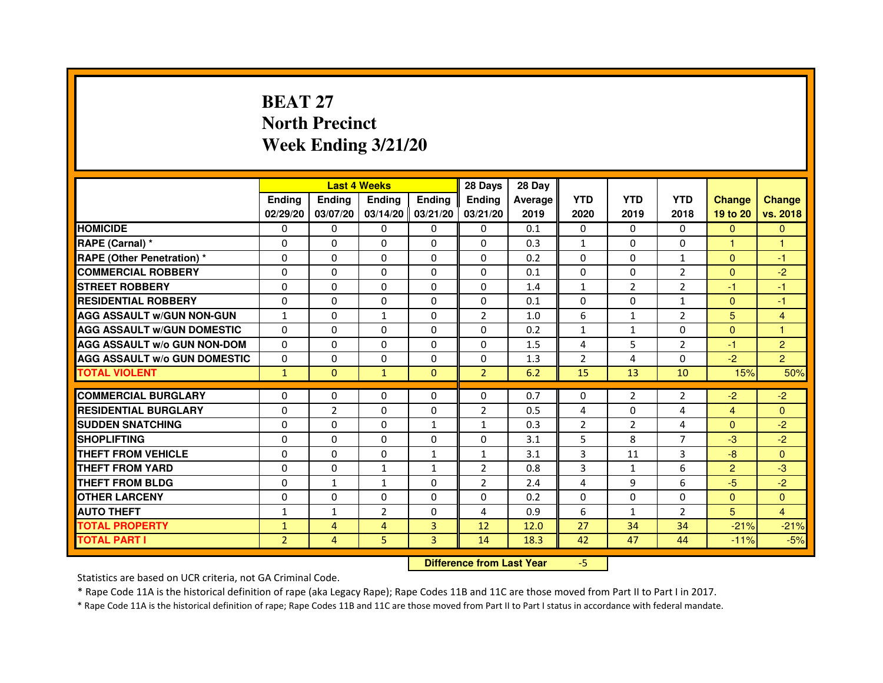# **BEAT 27 North PrecinctWeek Ending 3/21/20**

|                                     |                | <b>Last 4 Weeks</b> |                                  |                     | 28 Days        | 28 Day  |                |                |                |                |                |
|-------------------------------------|----------------|---------------------|----------------------------------|---------------------|----------------|---------|----------------|----------------|----------------|----------------|----------------|
|                                     | <b>Ending</b>  | <b>Ending</b>       | <b>Ending</b>                    | <b>Ending</b>       | <b>Ending</b>  | Average | <b>YTD</b>     | <b>YTD</b>     | <b>YTD</b>     | <b>Change</b>  | <b>Change</b>  |
|                                     | 02/29/20       | 03/07/20            |                                  | $03/14/20$ 03/21/20 | 03/21/20       | 2019    | 2020           | 2019           | 2018           | 19 to 20       | vs. 2018       |
| <b>HOMICIDE</b>                     | $\mathbf{0}$   | $\Omega$            | $\Omega$                         | $\Omega$            | 0              | 0.1     | $\Omega$       | $\Omega$       | 0              | $\Omega$       | $\Omega$       |
| RAPE (Carnal) *                     | 0              | $\Omega$            | 0                                | $\Omega$            | $\mathbf{0}$   | 0.3     | $\mathbf{1}$   | $\Omega$       | 0              | 1.             | 1              |
| <b>RAPE (Other Penetration) *</b>   | $\mathbf 0$    | 0                   | $\Omega$                         | $\Omega$            | $\Omega$       | 0.2     | $\Omega$       | $\Omega$       | $\mathbf{1}$   | $\Omega$       | $-1$           |
| <b>COMMERCIAL ROBBERY</b>           | $\mathbf 0$    | $\Omega$            | $\Omega$                         | $\mathbf{0}$        | $\mathbf{0}$   | 0.1     | $\mathbf{0}$   | $\mathbf{0}$   | $\overline{2}$ | $\Omega$       | $-2$           |
| <b>STREET ROBBERY</b>               | $\Omega$       | $\Omega$            | $\Omega$                         | $\Omega$            | $\Omega$       | 1.4     | $\mathbf{1}$   | $\overline{2}$ | 2              | $-1$           | $-1$           |
| <b>RESIDENTIAL ROBBERY</b>          | 0              | $\Omega$            | 0                                | $\Omega$            | $\Omega$       | 0.1     | 0              | $\Omega$       | $\mathbf{1}$   | $\Omega$       | $-1$           |
| <b>AGG ASSAULT W/GUN NON-GUN</b>    | $\mathbf{1}$   | 0                   | $\mathbf{1}$                     | $\Omega$            | $\overline{2}$ | 1.0     | 6              | $\mathbf{1}$   | $\overline{2}$ | 5              | 4              |
| <b>AGG ASSAULT W/GUN DOMESTIC</b>   | $\Omega$       | $\Omega$            | $\Omega$                         | $\Omega$            | $\Omega$       | 0.2     | $\mathbf{1}$   | $\mathbf{1}$   | $\Omega$       | $\Omega$       | $\mathbf{1}$   |
| <b>AGG ASSAULT W/o GUN NON-DOM</b>  | $\Omega$       | 0                   | 0                                | $\mathbf{0}$        | 0              | 1.5     | 4              | 5              | $\overline{2}$ | $-1$           | $\overline{c}$ |
| <b>AGG ASSAULT W/o GUN DOMESTIC</b> | $\Omega$       | 0                   | 0                                | $\mathbf{0}$        | 0              | 1.3     | $\overline{2}$ | 4              | $\Omega$       | $-2$           | $\overline{2}$ |
| <b>TOTAL VIOLENT</b>                | $\mathbf{1}$   | $\mathbf{0}$        | $\mathbf{1}$                     | $\mathbf{0}$        | $\overline{2}$ | 6.2     | 15             | 13             | 10             | 15%            | 50%            |
| <b>COMMERCIAL BURGLARY</b>          | 0              | 0                   | 0                                | $\mathbf{0}$        | 0              | 0.7     | 0              | 2              | 2              | $-2$           | $-2$           |
| <b>RESIDENTIAL BURGLARY</b>         | $\mathbf 0$    | $\overline{2}$      | $\Omega$                         | $\Omega$            | $\overline{2}$ | 0.5     | 4              | $\Omega$       | 4              | $\overline{4}$ | $\Omega$       |
| <b>SUDDEN SNATCHING</b>             | $\Omega$       | 0                   | $\Omega$                         | $\mathbf{1}$        | $\mathbf{1}$   | 0.3     | $\overline{2}$ | $\overline{2}$ | $\overline{a}$ | $\Omega$       | $-2$           |
| <b>SHOPLIFTING</b>                  | 0              | 0                   | 0                                | $\mathbf{0}$        | $\Omega$       | 3.1     | 5              | 8              | 7              | $-3$           | $-2$           |
| THEFT FROM VEHICLE                  | 0              | $\Omega$            | 0                                | $\mathbf{1}$        | $\mathbf{1}$   | 3.1     | 3              | 11             | 3              | $-8$           | $\Omega$       |
| <b>THEFT FROM YARD</b>              | $\mathbf 0$    | $\mathbf 0$         | $\mathbf{1}$                     | $\mathbf{1}$        | $\overline{2}$ | 0.8     | 3              | $\mathbf{1}$   | 6              | $\overline{2}$ | $-3$           |
| <b>THEFT FROM BLDG</b>              | 0              | $\mathbf{1}$        | $\mathbf{1}$                     | $\Omega$            | $\overline{2}$ | 2.4     | 4              | 9              | 6              | $-5$           | $-2$           |
| <b>OTHER LARCENY</b>                | 0              | $\Omega$            | 0                                | $\Omega$            | $\Omega$       | 0.2     | $\Omega$       | $\Omega$       | $\Omega$       | $\Omega$       | $\Omega$       |
| <b>AUTO THEFT</b>                   | $\mathbf{1}$   | $\mathbf{1}$        | $\overline{2}$                   | $\Omega$            | 4              | 0.9     | 6              | $\mathbf{1}$   | 2              | 5              | 4              |
| <b>TOTAL PROPERTY</b>               | $\mathbf{1}$   | 4                   | $\overline{4}$                   | 3                   | 12             | 12.0    | 27             | 34             | 34             | $-21%$         | $-21%$         |
| <b>TOTAL PART I</b>                 | $\overline{2}$ | 4                   | 5                                | 3                   | 14             | 18.3    | 42             | 47             | 44             | $-11%$         | $-5%$          |
|                                     |                |                     | <b>Difference from Last Year</b> |                     | $-5$           |         |                |                |                |                |                |

 **Difference from Last Year**

Statistics are based on UCR criteria, not GA Criminal Code.

\* Rape Code 11A is the historical definition of rape (aka Legacy Rape); Rape Codes 11B and 11C are those moved from Part II to Part I in 2017.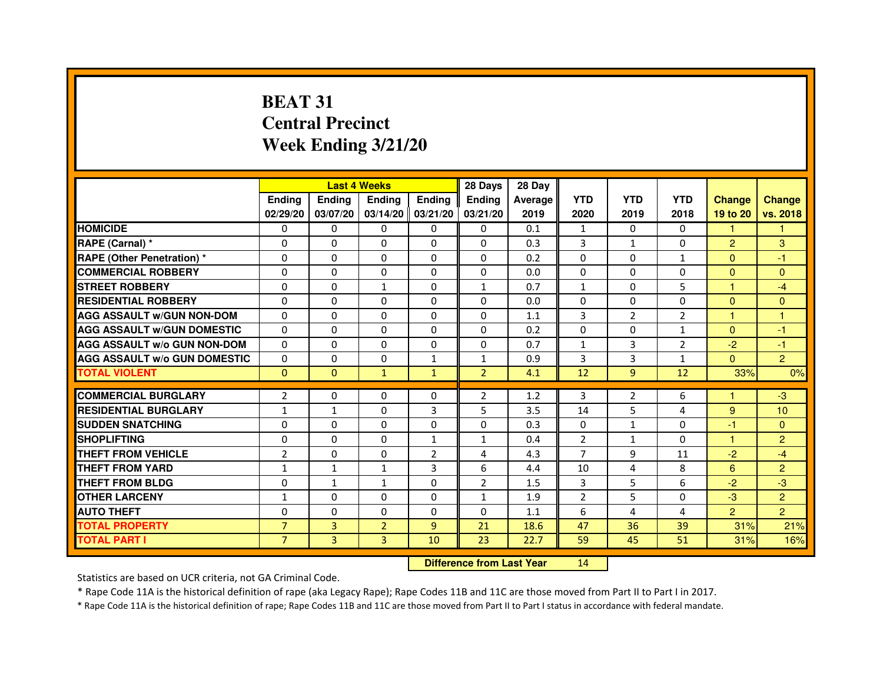# **BEAT 31 Central PrecinctWeek Ending 3/21/20**

|                                     |                | <b>Last 4 Weeks</b> |                   |                | 28 Days        | 28 Day                           |                |                |                |                |                |
|-------------------------------------|----------------|---------------------|-------------------|----------------|----------------|----------------------------------|----------------|----------------|----------------|----------------|----------------|
|                                     | Ending         | Ending              | Ending            | <b>Ending</b>  | Ending         | Average                          | <b>YTD</b>     | <b>YTD</b>     | <b>YTD</b>     | <b>Change</b>  | <b>Change</b>  |
|                                     | 02/29/20       | 03/07/20            | 03/14/20 03/21/20 |                | 03/21/20       | 2019                             | 2020           | 2019           | 2018           | 19 to 20       | vs. 2018       |
| <b>HOMICIDE</b>                     | 0              | $\Omega$            | $\mathbf{0}$      | 0              | 0              | 0.1                              | $\mathbf{1}$   | $\Omega$       | $\Omega$       | $\mathbf{1}$   | 1.             |
| RAPE (Carnal) *                     | 0              | 0                   | 0                 | 0              | 0              | 0.3                              | 3              | $\mathbf{1}$   | $\Omega$       | $\overline{2}$ | 3              |
| RAPE (Other Penetration) *          | $\Omega$       | $\mathbf 0$         | $\Omega$          | 0              | 0              | 0.2                              | $\Omega$       | $\mathbf{0}$   | $\mathbf{1}$   | $\mathbf{0}$   | $-1$           |
| <b>COMMERCIAL ROBBERY</b>           | $\mathbf 0$    | 0                   | $\Omega$          | 0              | 0              | 0.0                              | $\mathbf{0}$   | $\mathbf{0}$   | $\Omega$       | $\Omega$       | $\mathbf{0}$   |
| <b>STREET ROBBERY</b>               | $\Omega$       | $\Omega$            | $\mathbf{1}$      | $\Omega$       | 1              | 0.7                              | $\mathbf{1}$   | $\Omega$       | 5              | $\mathbf{1}$   | $-4$           |
| <b>RESIDENTIAL ROBBERY</b>          | $\Omega$       | $\mathbf 0$         | $\Omega$          | 0              | 0              | 0.0                              | $\Omega$       | $\mathbf{0}$   | 0              | $\Omega$       | $\mathbf{0}$   |
| <b>AGG ASSAULT w/GUN NON-DOM</b>    | $\Omega$       | $\Omega$            | $\Omega$          | $\Omega$       | 0              | 1.1                              | 3              | $\overline{2}$ | $\overline{2}$ | $\mathbf{1}$   | $\mathbf{1}$   |
| <b>AGG ASSAULT W/GUN DOMESTIC</b>   | $\Omega$       | $\Omega$            | $\mathbf 0$       | $\Omega$       | $\Omega$       | 0.2                              | $\Omega$       | $\mathbf{0}$   | $\mathbf{1}$   | $\Omega$       | $-1$           |
| <b>AGG ASSAULT W/o GUN NON-DOM</b>  | $\Omega$       | $\Omega$            | $\Omega$          | $\Omega$       | $\Omega$       | 0.7                              | $\mathbf{1}$   | 3              | 2              | $-2$           | $-1$           |
| <b>AGG ASSAULT w/o GUN DOMESTIC</b> | $\Omega$       | $\mathbf 0$         | $\Omega$          | $\mathbf{1}$   | $\mathbf{1}$   | 0.9                              | 3              | 3              | $\mathbf{1}$   | $\Omega$       | $\overline{2}$ |
| <b>TOTAL VIOLENT</b>                | $\mathbf{0}$   | $\mathbf{0}$        | $\mathbf{1}$      | $\mathbf{1}$   | $\overline{2}$ | 4.1                              | 12             | 9              | 12             | 33%            | 0%             |
| <b>COMMERCIAL BURGLARY</b>          | 2              | 0                   | 0                 | 0              | 2              | 1.2                              | 3              | $\overline{2}$ | 6              | 1              | $-3$           |
| <b>RESIDENTIAL BURGLARY</b>         | 1              | $\mathbf{1}$        | 0                 | 3              | 5              | 3.5                              | 14             | 5              | 4              | 9              | 10             |
| <b>SUDDEN SNATCHING</b>             | $\Omega$       | $\Omega$            | $\Omega$          | 0              | $\Omega$       | 0.3                              | $\Omega$       | $\mathbf{1}$   | $\Omega$       | $-1$           | $\mathbf{0}$   |
| <b>SHOPLIFTING</b>                  | 0              | $\Omega$            | $\Omega$          | 1              | 1              | 0.4                              | $\overline{2}$ | $\mathbf{1}$   | 0              | $\mathbf{1}$   | $\overline{2}$ |
| THEFT FROM VEHICLE                  | $\overline{2}$ | 0                   | 0                 | $\overline{2}$ | 4              | 4.3                              | $\overline{7}$ | 9              | 11             | $-2$           | $-4$           |
| <b>THEFT FROM YARD</b>              | $\mathbf{1}$   | $\mathbf 1$         | $\mathbf{1}$      | 3              | 6              | 4.4                              | 10             | 4              | 8              | 6              | $\overline{2}$ |
| <b>THEFT FROM BLDG</b>              | $\Omega$       | $\mathbf{1}$        | $\mathbf{1}$      | 0              | $\overline{2}$ | 1.5                              | 3              | 5              | 6              | $-2$           | $-3$           |
| <b>OTHER LARCENY</b>                | $\mathbf{1}$   | $\Omega$            | $\Omega$          | $\Omega$       | $\mathbf{1}$   | 1.9                              | $\overline{2}$ | 5              | $\Omega$       | $-3$           | $\overline{2}$ |
| <b>AUTO THEFT</b>                   | $\Omega$       | 0                   | $\mathbf 0$       | $\Omega$       | $\Omega$       | 1.1                              | 6              | 4              | 4              | $\overline{2}$ | $\overline{2}$ |
| <b>TOTAL PROPERTY</b>               | $\overline{7}$ | 3                   | $\overline{2}$    | $\overline{9}$ | 21             | 18.6                             | 47             | 36             | 39             | 31%            | 21%            |
| <b>TOTAL PART I</b>                 | $\overline{7}$ | 3                   | 3                 | 10             | 23             | 22.7                             | 59             | 45             | 51             | 31%            | 16%            |
|                                     |                |                     |                   |                |                | <b>Difference from Last Year</b> | 14             |                |                |                |                |

 **Difference from Last Year**

Statistics are based on UCR criteria, not GA Criminal Code.

\* Rape Code 11A is the historical definition of rape (aka Legacy Rape); Rape Codes 11B and 11C are those moved from Part II to Part I in 2017.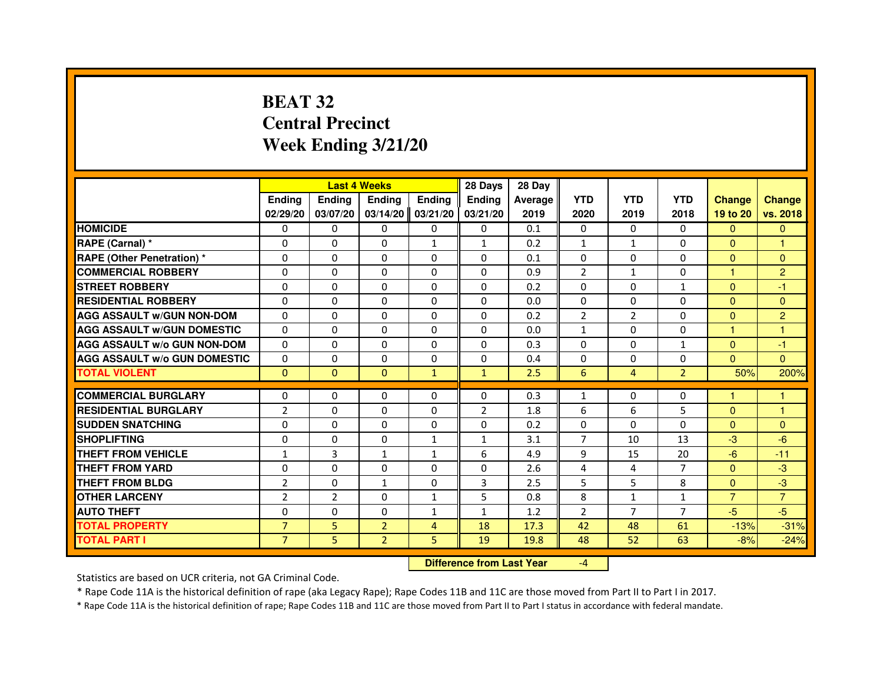# **BEAT 32 Central PrecinctWeek Ending 3/21/20**

|                                     |                |                | <b>Last 4 Weeks</b>              |               | 28 Days        | 28 Day  |                |                |                |                |                |
|-------------------------------------|----------------|----------------|----------------------------------|---------------|----------------|---------|----------------|----------------|----------------|----------------|----------------|
|                                     | <b>Ending</b>  | Ending         | <b>Ending</b>                    | <b>Ending</b> | Ending         | Average | <b>YTD</b>     | <b>YTD</b>     | <b>YTD</b>     | <b>Change</b>  | <b>Change</b>  |
|                                     | 02/29/20       | 03/07/20       | 03/14/20                         | 03/21/20      | 03/21/20       | 2019    | 2020           | 2019           | 2018           | 19 to 20       | vs. 2018       |
| <b>HOMICIDE</b>                     | 0              | $\Omega$       | 0                                | 0             | $\mathbf{0}$   | 0.1     | $\mathbf{0}$   | $\Omega$       | $\Omega$       | $\mathbf{0}$   | $\mathbf{0}$   |
| RAPE (Carnal) *                     | 0              | 0              | 0                                | $\mathbf{1}$  | $\mathbf{1}$   | 0.2     | $\mathbf{1}$   | $\mathbf{1}$   | 0              | $\mathbf{0}$   | 1              |
| RAPE (Other Penetration) *          | $\Omega$       | 0              | $\Omega$                         | $\Omega$      | $\Omega$       | 0.1     | $\Omega$       | $\Omega$       | $\Omega$       | $\Omega$       | $\mathbf{0}$   |
| <b>COMMERCIAL ROBBERY</b>           | 0              | $\Omega$       | $\Omega$                         | $\Omega$      | $\Omega$       | 0.9     | $\overline{2}$ | $\mathbf{1}$   | $\Omega$       | $\mathbf{1}$   | $\overline{2}$ |
| <b>STREET ROBBERY</b>               | $\Omega$       | $\Omega$       | $\Omega$                         | $\Omega$      | $\Omega$       | 0.2     | $\Omega$       | $\Omega$       | $\mathbf{1}$   | $\Omega$       | $-1$           |
| <b>RESIDENTIAL ROBBERY</b>          | 0              | 0              | 0                                | 0             | 0              | 0.0     | 0              | 0              | $\Omega$       | $\Omega$       | $\mathbf{0}$   |
| <b>AGG ASSAULT w/GUN NON-DOM</b>    | $\Omega$       | $\Omega$       | $\Omega$                         | $\Omega$      | $\Omega$       | 0.2     | $\overline{2}$ | $\overline{2}$ | 0              | $\Omega$       | $\overline{2}$ |
| <b>AGG ASSAULT W/GUN DOMESTIC</b>   | $\Omega$       | $\Omega$       | $\Omega$                         | $\Omega$      | $\Omega$       | 0.0     | $\mathbf{1}$   | $\Omega$       | $\Omega$       | $\mathbf{1}$   | $\mathbf{1}$   |
| <b>AGG ASSAULT W/o GUN NON-DOM</b>  | $\Omega$       | $\Omega$       | $\Omega$                         | $\Omega$      | $\Omega$       | 0.3     | $\Omega$       | $\Omega$       | $\mathbf{1}$   | $\Omega$       | $-1$           |
| <b>AGG ASSAULT w/o GUN DOMESTIC</b> | $\Omega$       | $\Omega$       | $\Omega$                         | $\Omega$      | $\Omega$       | 0.4     | $\Omega$       | $\Omega$       | $\Omega$       | $\Omega$       | $\Omega$       |
| <b>TOTAL VIOLENT</b>                | $\mathbf{0}$   | $\mathbf{0}$   | $\mathbf{0}$                     | $\mathbf{1}$  | $\mathbf{1}$   | 2.5     | $6\phantom{1}$ | $\overline{4}$ | $\overline{2}$ | 50%            | 200%           |
| <b>COMMERCIAL BURGLARY</b>          | 0              | 0              | 0                                | 0             | 0              | 0.3     | $\mathbf{1}$   | 0              | 0              | 1              | 1              |
| <b>RESIDENTIAL BURGLARY</b>         | $\overline{2}$ | $\Omega$       | $\Omega$                         | $\Omega$      | $\overline{2}$ | 1.8     | 6              | 6              | 5              | $\mathbf{0}$   | $\mathbf{1}$   |
| <b>SUDDEN SNATCHING</b>             | $\Omega$       | $\Omega$       | $\Omega$                         | $\Omega$      | $\Omega$       | 0.2     | $\Omega$       | $\Omega$       | $\Omega$       | $\Omega$       | $\mathbf{0}$   |
| <b>SHOPLIFTING</b>                  | 0              | $\Omega$       | $\Omega$                         | 1             | $\mathbf{1}$   | 3.1     | $\overline{7}$ | 10             | 13             | $-3$           | $-6$           |
| <b>THEFT FROM VEHICLE</b>           | 1              | 3              | $\mathbf{1}$                     | $\mathbf{1}$  | 6              | 4.9     | 9              | 15             | 20             | $-6$           | $-11$          |
| <b>THEFT FROM YARD</b>              | $\Omega$       | $\Omega$       | $\Omega$                         | $\Omega$      | $\Omega$       | 2.6     | $\overline{4}$ | $\overline{4}$ | $\overline{7}$ | $\Omega$       | $-3$           |
| <b>THEFT FROM BLDG</b>              | $\overline{2}$ | $\Omega$       | $\mathbf{1}$                     | $\Omega$      | 3              | 2.5     | 5              | 5              | 8              | $\Omega$       | $-3$           |
| <b>OTHER LARCENY</b>                | $\overline{2}$ | $\overline{2}$ | $\Omega$                         | $\mathbf{1}$  | 5              | 0.8     | 8              | $\mathbf{1}$   | 1              | $\overline{7}$ | $\overline{7}$ |
| <b>AUTO THEFT</b>                   | $\Omega$       | $\Omega$       | $\Omega$                         | $\mathbf{1}$  | $\mathbf{1}$   | 1.2     | $\overline{2}$ | $\overline{7}$ | $\overline{7}$ | $-5$           | $-5$           |
| <b>TOTAL PROPERTY</b>               | $\overline{7}$ | 5              | $\overline{2}$                   | 4             | 18             | 17.3    | 42             | 48             | 61             | $-13%$         | $-31%$         |
| <b>TOTAL PART I</b>                 | $\overline{7}$ | 5              | $\overline{2}$                   | 5             | 19             | 19.8    | 48             | 52             | 63             | $-8%$          | $-24%$         |
|                                     |                |                | <b>Difference from Last Year</b> |               | $-4$           |         |                |                |                |                |                |

 **Difference from Last Year**

Statistics are based on UCR criteria, not GA Criminal Code.

\* Rape Code 11A is the historical definition of rape (aka Legacy Rape); Rape Codes 11B and 11C are those moved from Part II to Part I in 2017.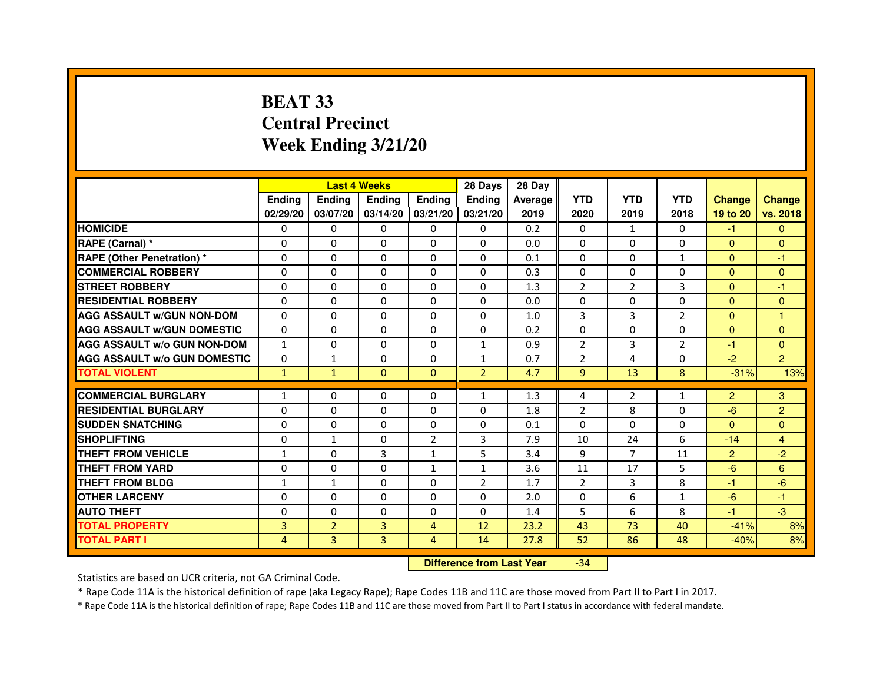# **BEAT 33 Central PrecinctWeek Ending 3/21/20**

|                                     |               | <b>Last 4 Weeks</b> |                   |                | 28 Days        | 28 Day  |                |                |                |                |                |
|-------------------------------------|---------------|---------------------|-------------------|----------------|----------------|---------|----------------|----------------|----------------|----------------|----------------|
|                                     | <b>Endina</b> | <b>Ending</b>       | <b>Endina</b>     | <b>Ending</b>  | <b>Endina</b>  | Average | <b>YTD</b>     | <b>YTD</b>     | <b>YTD</b>     | <b>Change</b>  | <b>Change</b>  |
|                                     | 02/29/20      | 03/07/20            | 03/14/20 03/21/20 |                | 03/21/20       | 2019    | 2020           | 2019           | 2018           | 19 to 20       | vs. 2018       |
| <b>HOMICIDE</b>                     | 0             | 0                   | 0                 | 0              | $\Omega$       | 0.2     | $\mathbf{0}$   | $\mathbf{1}$   | 0              | $-1$           | $\Omega$       |
| RAPE (Carnal) *                     | 0             | $\Omega$            | $\Omega$          | $\Omega$       | $\Omega$       | 0.0     | $\Omega$       | $\Omega$       | $\Omega$       | $\Omega$       | $\mathbf{0}$   |
| <b>RAPE (Other Penetration)*</b>    | 0             | 0                   | 0                 | $\Omega$       | 0              | 0.1     | $\Omega$       | 0              | $\mathbf{1}$   | $\Omega$       | $-1$           |
| <b>COMMERCIAL ROBBERY</b>           | 0             | 0                   | 0                 | 0              | 0              | 0.3     | $\Omega$       | $\Omega$       | $\Omega$       | $\overline{0}$ | $\mathbf{0}$   |
| <b>STREET ROBBERY</b>               | $\Omega$      | $\Omega$            | $\Omega$          | 0              | 0              | 1.3     | $\overline{2}$ | $\overline{2}$ | 3              | $\Omega$       | $-1$           |
| <b>RESIDENTIAL ROBBERY</b>          | 0             | $\Omega$            | $\Omega$          | $\Omega$       | 0              | 0.0     | $\Omega$       | $\Omega$       | $\Omega$       | $\Omega$       | $\Omega$       |
| <b>AGG ASSAULT W/GUN NON-DOM</b>    | $\Omega$      | $\Omega$            | $\mathbf 0$       | $\Omega$       | $\Omega$       | 1.0     | 3              | 3              | $\overline{2}$ | $\Omega$       | $\mathbf{1}$   |
| <b>AGG ASSAULT W/GUN DOMESTIC</b>   | $\Omega$      | $\Omega$            | $\Omega$          | 0              | 0              | 0.2     | $\Omega$       | $\Omega$       | $\Omega$       | $\Omega$       | $\mathbf{0}$   |
| <b>AGG ASSAULT W/o GUN NON-DOM</b>  | $\mathbf{1}$  | 0                   | 0                 | 0              | 1              | 0.9     | $\mathcal{P}$  | 3              | $\overline{2}$ | $-1$           | $\Omega$       |
| <b>AGG ASSAULT W/o GUN DOMESTIC</b> | $\Omega$      | $\mathbf{1}$        | $\Omega$          | 0              | 1              | 0.7     | $\overline{2}$ | 4              | $\Omega$       | $-2$           | $\overline{2}$ |
| <b>TOTAL VIOLENT</b>                | $\mathbf{1}$  | $\mathbf{1}$        | $\Omega$          | $\Omega$       | $\overline{2}$ | 4.7     | 9              | 13             | 8              | $-31%$         | 13%            |
|                                     |               |                     |                   |                |                |         |                |                |                |                |                |
| <b>COMMERCIAL BURGLARY</b>          | $\mathbf{1}$  | 0                   | 0                 | $\Omega$       | 1              | 1.3     | $\overline{4}$ | $\overline{2}$ | $\mathbf{1}$   | $\overline{2}$ | 3              |
| <b>RESIDENTIAL BURGLARY</b>         | 0             | 0                   | 0                 | 0              | 0              | 1.8     | $\overline{2}$ | 8              | 0              | $-6$           | $\overline{2}$ |
| <b>SUDDEN SNATCHING</b>             | 0             | $\Omega$            | 0                 | 0              | 0              | 0.1     | $\Omega$       | $\Omega$       | 0              | $\Omega$       | $\Omega$       |
| <b>SHOPLIFTING</b>                  | $\Omega$      | 1                   | $\Omega$          | $\overline{2}$ | 3              | 7.9     | 10             | 24             | 6              | $-14$          | $\overline{4}$ |
| <b>THEFT FROM VEHICLE</b>           | 1             | $\Omega$            | 3                 | $\mathbf{1}$   | 5              | 3.4     | 9              | $\overline{7}$ | 11             | $\overline{2}$ | $-2$           |
| <b>THEFT FROM YARD</b>              | $\Omega$      | $\Omega$            | $\Omega$          | $\mathbf{1}$   | $\mathbf{1}$   | 3.6     | 11             | 17             | 5              | $-6$           | 6              |
| THEFT FROM BLDG                     | 1             | 1                   | 0                 | 0              | 2              | 1.7     | $\overline{2}$ | 3              | 8              | -1             | $-6$           |
| <b>OTHER LARCENY</b>                | 0             | $\Omega$            | 0                 | 0              | 0              | 2.0     | $\Omega$       | 6              | $\mathbf{1}$   | $-6$           | $-1$           |
| <b>AUTO THEFT</b>                   | $\Omega$      | 0                   | $\Omega$          | 0              | 0              | 1.4     | 5              | 6              | 8              | $-1$           | $-3$           |
| <b>TOTAL PROPERTY</b>               | 3             | $\overline{2}$      | 3                 | 4              | 12             | 23.2    | 43             | 73             | 40             | $-41%$         | 8%             |
| <b>TOTAL PART I</b>                 | 4             | 3                   | 3                 | $\overline{4}$ | 14             | 27.8    | 52             | 86             | 48             | $-40%$         | 8%             |

 **Difference from Last Year**-34

Statistics are based on UCR criteria, not GA Criminal Code.

\* Rape Code 11A is the historical definition of rape (aka Legacy Rape); Rape Codes 11B and 11C are those moved from Part II to Part I in 2017.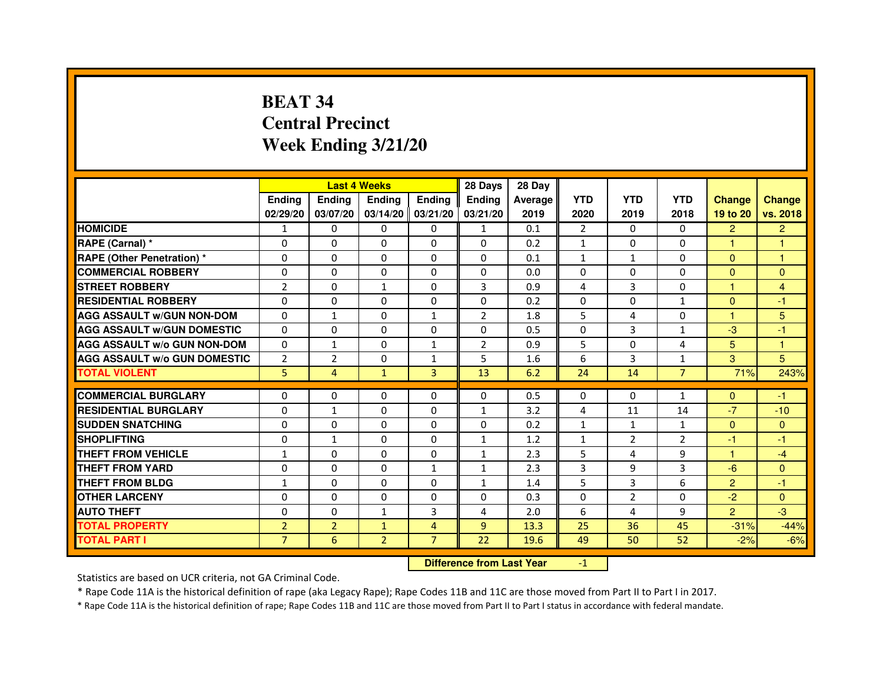# **BEAT 34 Central PrecinctWeek Ending 3/21/20**

|                                     |                |                | <b>Last 4 Weeks</b> |                     | 28 Days        | 28 Day         |                |                |                |                      |                |
|-------------------------------------|----------------|----------------|---------------------|---------------------|----------------|----------------|----------------|----------------|----------------|----------------------|----------------|
|                                     | <b>Ending</b>  | <b>Ending</b>  | <b>Ending</b>       | <b>Endina</b>       | <b>Endina</b>  | <b>Average</b> | <b>YTD</b>     | <b>YTD</b>     | <b>YTD</b>     | <b>Change</b>        | <b>Change</b>  |
|                                     | 02/29/20       | 03/07/20       |                     | $03/14/20$ 03/21/20 | 03/21/20       | 2019           | 2020           | 2019           | 2018           | 19 to 20             | vs. 2018       |
| <b>HOMICIDE</b>                     | 1              | 0              | $\Omega$            | $\Omega$            | $\mathbf{1}$   | 0.1            | 2              | $\Omega$       | $\Omega$       | $\overline{2}$       | $\overline{2}$ |
| RAPE (Carnal) *                     | $\mathbf 0$    | $\mathbf 0$    | $\Omega$            | $\Omega$            | $\Omega$       | 0.2            | $\mathbf{1}$   | $\Omega$       | $\Omega$       | $\overline{1}$       | 1              |
| <b>RAPE (Other Penetration) *</b>   | $\Omega$       | $\Omega$       | $\Omega$            | 0                   | $\Omega$       | 0.1            | $\mathbf{1}$   | $\mathbf{1}$   | $\Omega$       | $\Omega$             | 1              |
| <b>COMMERCIAL ROBBERY</b>           | 0              | 0              | 0                   | 0                   | $\Omega$       | 0.0            | 0              | $\Omega$       | $\Omega$       | $\Omega$             | $\Omega$       |
| <b>STREET ROBBERY</b>               | $\overline{2}$ | 0              | $\mathbf{1}$        | $\mathbf{0}$        | 3              | 0.9            | $\overline{4}$ | 3              | $\Omega$       | 1                    | 4              |
| <b>RESIDENTIAL ROBBERY</b>          | 0              | $\mathbf 0$    | 0                   | $\Omega$            | $\Omega$       | 0.2            | $\Omega$       | $\Omega$       | $\mathbf{1}$   | $\Omega$             | -1             |
| <b>AGG ASSAULT w/GUN NON-DOM</b>    | $\Omega$       | 1              | $\Omega$            | $\mathbf{1}$        | $\overline{2}$ | 1.8            | 5              | 4              | $\Omega$       | $\blacktriangleleft$ | 5              |
| <b>AGG ASSAULT W/GUN DOMESTIC</b>   | $\Omega$       | $\Omega$       | 0                   | $\mathbf{0}$        | $\Omega$       | 0.5            | $\Omega$       | 3              | $\mathbf{1}$   | $-3$                 | $-1$           |
| <b>AGG ASSAULT W/o GUN NON-DOM</b>  | $\Omega$       | $\mathbf{1}$   | $\Omega$            | $\mathbf{1}$        | $\overline{2}$ | 0.9            | 5              | $\Omega$       | 4              | 5                    | $\mathbf{1}$   |
| <b>AGG ASSAULT W/o GUN DOMESTIC</b> | $\overline{2}$ | $\overline{2}$ | 0                   | 1                   | 5              | 1.6            | 6              | 3              | 1              | 3                    | 5              |
| <b>TOTAL VIOLENT</b>                | 5              | 4              | $\mathbf{1}$        | $\overline{3}$      | 13             | 6.2            | 24             | 14             | $\overline{7}$ | 71%                  | 243%           |
| <b>COMMERCIAL BURGLARY</b>          |                | 0              | 0                   |                     | $\Omega$       | 0.5            | $\Omega$       | $\Omega$       |                |                      |                |
| <b>RESIDENTIAL BURGLARY</b>         | 0<br>0         | $\mathbf{1}$   | 0                   | 0<br>0              | $\mathbf{1}$   | 3.2            | 4              | 11             | 1<br>14        | $\Omega$<br>$-7$     | $-1$<br>$-10$  |
| <b>SUDDEN SNATCHING</b>             | 0              | 0              | 0                   | 0                   | 0              | 0.2            | $\mathbf{1}$   | 1              | $\mathbf{1}$   | $\Omega$             | $\mathbf{0}$   |
| <b>SHOPLIFTING</b>                  | 0              | $\mathbf{1}$   | 0                   | 0                   | $\mathbf{1}$   | 1.2            | $\mathbf{1}$   | $\overline{2}$ | $\overline{2}$ | $-1$                 | $-1$           |
| <b>THEFT FROM VEHICLE</b>           | $\mathbf{1}$   | $\mathbf 0$    | $\Omega$            | $\Omega$            | $\mathbf{1}$   | 2.3            | 5              | 4              | 9              | $\overline{1}$       | $-4$           |
| <b>THEFT FROM YARD</b>              | $\Omega$       | $\Omega$       | $\Omega$            | $\mathbf{1}$        | $\mathbf{1}$   | 2.3            | 3              | 9              | 3              | $-6$                 | $\mathbf{0}$   |
| <b>THEFT FROM BLDG</b>              | $\mathbf{1}$   | 0              | 0                   | 0                   | $\mathbf{1}$   | 1.4            | 5              | 3              | 6              | $\overline{2}$       | -1             |
| <b>OTHER LARCENY</b>                | 0              | 0              | 0                   | $\Omega$            | 0              | 0.3            | $\Omega$       | $\overline{2}$ | $\Omega$       | $-2$                 | $\mathbf{0}$   |
| <b>AUTO THEFT</b>                   | $\Omega$       | $\Omega$       | $\mathbf{1}$        | 3                   | 4              | 2.0            | 6              | 4              | 9              | $\overline{2}$       | $-3$           |
| <b>TOTAL PROPERTY</b>               | $\overline{2}$ | $\overline{2}$ | 1                   | 4                   | 9              | 13.3           | 25             | 36             | 45             | $-31%$               | $-44%$         |
| <b>TOTAL PART I</b>                 | $\overline{7}$ | 6              | $\overline{2}$      | $\overline{7}$      | 22             | 19.6           | 49             | 50             | 52             | $-2%$                | $-6%$          |
|                                     |                |                |                     |                     |                |                |                |                |                |                      |                |

 **Difference from Last Year**

-1

Statistics are based on UCR criteria, not GA Criminal Code.

\* Rape Code 11A is the historical definition of rape (aka Legacy Rape); Rape Codes 11B and 11C are those moved from Part II to Part I in 2017.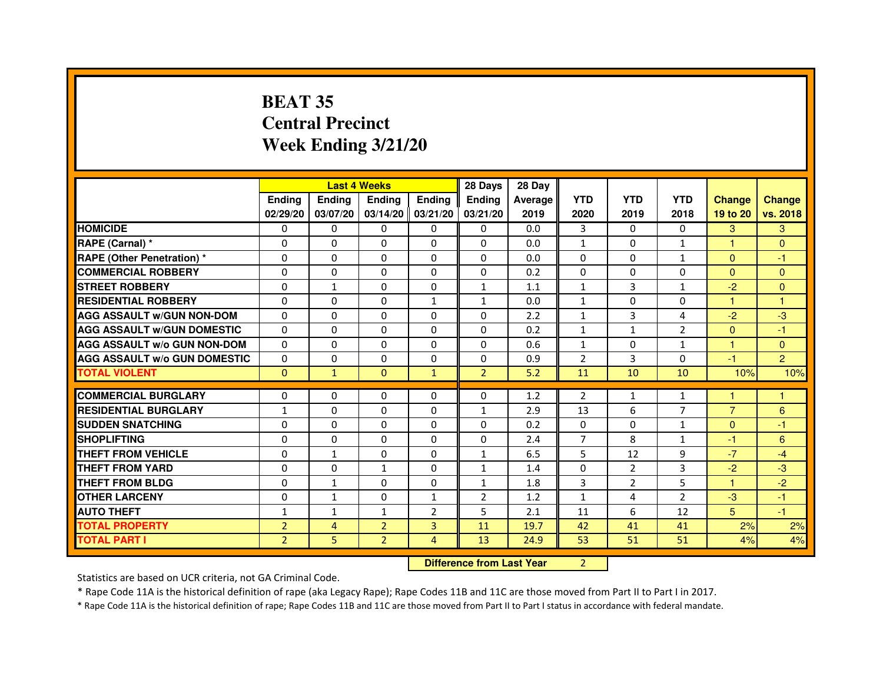# **BEAT 35 Central PrecinctWeek Ending 3/21/20**

|                                     |                | <b>Last 4 Weeks</b> |                |                     | 28 Days        | 28 Day                           |                |                |                |                |                |
|-------------------------------------|----------------|---------------------|----------------|---------------------|----------------|----------------------------------|----------------|----------------|----------------|----------------|----------------|
|                                     | <b>Ending</b>  | Ending              | <b>Ending</b>  | <b>Ending</b>       | <b>Ending</b>  | Average                          | <b>YTD</b>     | <b>YTD</b>     | <b>YTD</b>     | <b>Change</b>  | <b>Change</b>  |
|                                     | 02/29/20       | 03/07/20            |                | $03/14/20$ 03/21/20 | 03/21/20       | 2019                             | 2020           | 2019           | 2018           | 19 to 20       | vs. 2018       |
| <b>HOMICIDE</b>                     | 0              | 0                   | $\mathbf{0}$   | 0                   | 0              | 0.0                              | 3              | $\Omega$       | 0              | 3              | 3              |
| RAPE (Carnal) *                     | 0              | $\mathbf{0}$        | 0              | 0                   | $\Omega$       | 0.0                              | 1              | 0              | 1              | 1              | $\mathbf{0}$   |
| <b>RAPE (Other Penetration) *</b>   | 0              | 0                   | 0              | $\mathbf{0}$        | $\Omega$       | 0.0                              | 0              | $\mathbf{0}$   | $\mathbf{1}$   | $\Omega$       | $-1$           |
| <b>COMMERCIAL ROBBERY</b>           | $\mathbf 0$    | 0                   | $\Omega$       | $\mathbf{0}$        | $\mathbf{0}$   | 0.2                              | $\mathbf{0}$   | $\mathbf{0}$   | $\Omega$       | $\Omega$       | $\mathbf{0}$   |
| <b>STREET ROBBERY</b>               | 0              | $\mathbf{1}$        | $\Omega$       | $\Omega$            | $\mathbf{1}$   | 1.1                              | $\mathbf{1}$   | 3              | $\mathbf{1}$   | $-2$           | $\Omega$       |
| <b>RESIDENTIAL ROBBERY</b>          | 0              | 0                   | 0              | 1                   | $\mathbf{1}$   | 0.0                              | 1              | $\Omega$       | $\Omega$       | 1              | 1              |
| <b>AGG ASSAULT W/GUN NON-DOM</b>    | $\Omega$       | $\Omega$            | 0              | $\Omega$            | $\Omega$       | 2.2                              | $\mathbf{1}$   | 3              | 4              | $-2$           | $-3$           |
| <b>AGG ASSAULT W/GUN DOMESTIC</b>   | $\Omega$       | $\Omega$            | $\Omega$       | $\Omega$            | $\Omega$       | 0.2                              | $\mathbf{1}$   | $\mathbf{1}$   | $\overline{2}$ | $\Omega$       | $-1$           |
| <b>AGG ASSAULT W/o GUN NON-DOM</b>  | $\Omega$       | $\Omega$            | $\Omega$       | $\Omega$            | $\Omega$       | 0.6                              | $\mathbf{1}$   | $\Omega$       | $\mathbf{1}$   | $\mathbf{1}$   | $\Omega$       |
| <b>AGG ASSAULT W/o GUN DOMESTIC</b> | $\Omega$       | 0                   | 0              | $\Omega$            | 0              | 0.9                              | $\overline{2}$ | 3              | $\Omega$       | $-1$           | $\overline{2}$ |
| <b>TOTAL VIOLENT</b>                | $\mathbf{0}$   | $\mathbf{1}$        | $\mathbf{0}$   | $\mathbf{1}$        | $\overline{2}$ | 5.2                              | 11             | 10             | 10             | 10%            | 10%            |
| <b>COMMERCIAL BURGLARY</b>          | 0              | 0                   | 0              | 0                   | 0              | 1.2                              | 2              | $\mathbf{1}$   | $\mathbf{1}$   | 1              | 1              |
| <b>RESIDENTIAL BURGLARY</b>         | $\mathbf{1}$   | 0                   | $\Omega$       | $\mathbf{0}$        | $\mathbf{1}$   | 2.9                              | 13             | 6              | $\overline{7}$ | $\overline{7}$ | 6              |
| <b>SUDDEN SNATCHING</b>             | 0              | $\Omega$            | $\Omega$       | $\Omega$            | $\Omega$       | 0.2                              | $\Omega$       | $\Omega$       | $\mathbf{1}$   | $\Omega$       | $-1$           |
| <b>SHOPLIFTING</b>                  | 0              | $\mathbf{0}$        | 0              | $\mathbf{0}$        | $\mathbf{0}$   | 2.4                              | 7              | 8              | $\mathbf{1}$   | $-1$           | 6              |
| THEFT FROM VEHICLE                  | 0              | $\mathbf{1}$        | 0              | $\Omega$            | $\mathbf{1}$   | 6.5                              | 5              | 12             | 9              | $-7$           | $-4$           |
| <b>THEFT FROM YARD</b>              | $\Omega$       | 0                   | $\mathbf{1}$   | $\mathbf{0}$        | $\mathbf{1}$   | 1.4                              | $\Omega$       | $\overline{2}$ | 3              | $-2$           | $-3$           |
| <b>THEFT FROM BLDG</b>              | 0              | $\mathbf{1}$        | 0              | $\mathbf{0}$        | $\mathbf{1}$   | 1.8                              | 3              | $\overline{2}$ | 5              | $\mathbf{1}$   | $-2$           |
| <b>OTHER LARCENY</b>                | 0              | $\mathbf{1}$        | $\Omega$       | $\mathbf{1}$        | 2              | 1.2                              | $\mathbf{1}$   | 4              | $\overline{2}$ | $-3$           | $-1$           |
| <b>AUTO THEFT</b>                   | $\mathbf{1}$   | 1                   | $\mathbf{1}$   | $\overline{2}$      | 5              | 2.1                              | 11             | 6              | 12             | 5 <sup>5</sup> | $-1$           |
| <b>TOTAL PROPERTY</b>               | $\overline{2}$ | 4                   | $\overline{2}$ | 3                   | 11             | 19.7                             | 42             | 41             | 41             | 2%             | 2%             |
| <b>TOTAL PART I</b>                 | $\overline{2}$ | 5                   | $\overline{2}$ | $\overline{4}$      | 13             | 24.9                             | 53             | 51             | 51             | 4%             | 4%             |
|                                     |                |                     |                |                     |                | <b>Difference from Last Year</b> | $\overline{2}$ |                |                |                |                |

 **Difference from Last Year**

Statistics are based on UCR criteria, not GA Criminal Code.

\* Rape Code 11A is the historical definition of rape (aka Legacy Rape); Rape Codes 11B and 11C are those moved from Part II to Part I in 2017.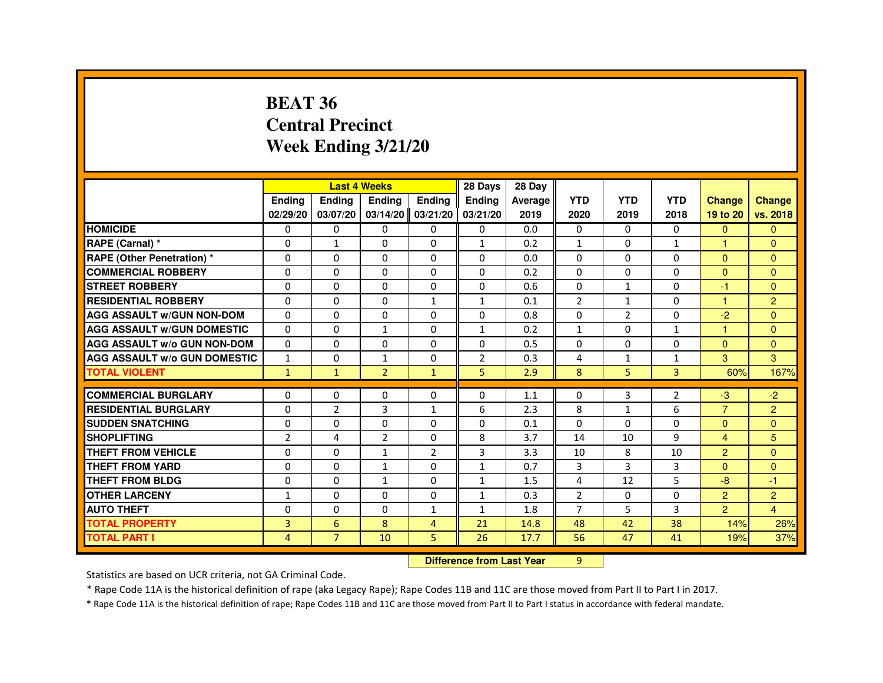#### **BEAT 36 Central PrecinctWeek Ending 3/21/20**

|                                     |              | <b>Last 4 Weeks</b> |                     |                | 28 Days                          | 28 Day  |                |                |                |                      |                |
|-------------------------------------|--------------|---------------------|---------------------|----------------|----------------------------------|---------|----------------|----------------|----------------|----------------------|----------------|
|                                     | Ending       | Ending              | Ending              | Ending         | <b>Ending</b>                    | Average | <b>YTD</b>     | <b>YTD</b>     | <b>YTD</b>     | <b>Change</b>        | <b>Change</b>  |
|                                     | 02/29/20     | 03/07/20            | $03/14/20$ 03/21/20 |                | 03/21/20                         | 2019    | 2020           | 2019           | 2018           | 19 to 20             | vs. 2018       |
| <b>HOMICIDE</b>                     | 0            | 0                   | 0                   | $\mathbf{0}$   | 0                                | 0.0     | 0              | $\Omega$       | $\mathbf{0}$   | $\Omega$             | $\mathbf{0}$   |
| RAPE (Carnal) *                     | 0            | $\mathbf{1}$        | $\Omega$            | $\Omega$       | $\mathbf{1}$                     | 0.2     | $\mathbf{1}$   | $\Omega$       | $\mathbf{1}$   |                      | $\Omega$       |
| <b>RAPE (Other Penetration) *</b>   | $\Omega$     | $\Omega$            | $\Omega$            | $\Omega$       | $\Omega$                         | 0.0     | $\Omega$       | $\Omega$       | $\Omega$       | $\Omega$             | $\Omega$       |
| <b>COMMERCIAL ROBBERY</b>           | $\Omega$     | $\Omega$            | $\Omega$            | $\Omega$       | $\Omega$                         | 0.2     | $\Omega$       | $\Omega$       | $\Omega$       | $\Omega$             | $\Omega$       |
| <b>STREET ROBBERY</b>               | $\Omega$     | $\Omega$            | $\Omega$            | $\Omega$       | $\Omega$                         | 0.6     | $\Omega$       | $\mathbf{1}$   | $\Omega$       | -1                   | $\Omega$       |
| <b>RESIDENTIAL ROBBERY</b>          | $\Omega$     | $\mathbf 0$         | 0                   | $\mathbf{1}$   | $\mathbf{1}$                     | 0.1     | $\overline{2}$ | $\mathbf{1}$   | $\Omega$       | $\overline{1}$       | $\overline{2}$ |
| <b>AGG ASSAULT w/GUN NON-DOM</b>    | $\Omega$     | 0                   | $\Omega$            | $\Omega$       | 0                                | 0.8     | 0              | $\overline{2}$ | 0              | $-2$                 | $\Omega$       |
| <b>AGG ASSAULT W/GUN DOMESTIC</b>   | $\Omega$     | $\Omega$            | $\mathbf{1}$        | $\Omega$       | $\mathbf{1}$                     | 0.2     | $\mathbf{1}$   | $\Omega$       | $\mathbf{1}$   | $\blacktriangleleft$ | $\Omega$       |
| <b>AGG ASSAULT w/o GUN NON-DOM</b>  | $\Omega$     | 0                   | 0                   | 0              | 0                                | 0.5     | 0              | 0              | 0              | $\Omega$             | $\mathbf{0}$   |
| <b>AGG ASSAULT W/o GUN DOMESTIC</b> | $\mathbf{1}$ | 0                   | 1                   | 0              | $\overline{2}$                   | 0.3     | 4              | $\mathbf{1}$   | $\mathbf{1}$   | 3                    | 3              |
| <b>TOTAL VIOLENT</b>                | $\mathbf{1}$ | $\mathbf{1}$        | $\overline{2}$      | $\mathbf{1}$   | 5                                | 2.9     | 8              | 5              | 3              | 60%                  | 167%           |
| <b>COMMERCIAL BURGLARY</b>          | $\Omega$     | 0                   | 0                   | 0              | 0                                | 1.1     | 0              | 3              | $\overline{2}$ | -3                   | $-2$           |
| <b>RESIDENTIAL BURGLARY</b>         | 0            | $\overline{2}$      | 3                   | $\mathbf{1}$   | 6                                | 2.3     | 8              | $\mathbf{1}$   | 6              | $\overline{7}$       | 2              |
| <b>SUDDEN SNATCHING</b>             | $\Omega$     | 0                   | $\Omega$            | $\Omega$       | $\Omega$                         | 0.1     | $\Omega$       | $\Omega$       | $\Omega$       | $\Omega$             | $\Omega$       |
| <b>SHOPLIFTING</b>                  | 2            | 4                   | 2                   | 0              | 8                                | 3.7     | 14             | 10             | 9              | $\overline{4}$       | 5              |
| THEFT FROM VEHICLE                  | 0            | $\Omega$            | $\mathbf{1}$        | $\overline{2}$ | 3                                | 3.3     | 10             | 8              | 10             | 2                    | $\Omega$       |
| <b>THEFT FROM YARD</b>              | $\Omega$     | $\Omega$            | $\mathbf{1}$        | $\Omega$       | $\mathbf{1}$                     | 0.7     | 3              | 3              | 3              | $\Omega$             | $\Omega$       |
| <b>THEFT FROM BLDG</b>              | 0            | $\Omega$            | $\mathbf{1}$        | 0              | $\mathbf{1}$                     | 1.5     | 4              | 12             | 5              | $-8$                 | $-1$           |
| <b>OTHER LARCENY</b>                | $\mathbf{1}$ | $\Omega$            | $\Omega$            | 0              | $\mathbf{1}$                     | 0.3     | $\overline{2}$ | 0              | $\Omega$       | 2                    | $\overline{2}$ |
| <b>AUTO THEFT</b>                   | 0            | 0                   | 0                   | $\mathbf{1}$   | $\mathbf{1}$                     | 1.8     | $\overline{7}$ | 5              | 3              | $\overline{2}$       | $\overline{4}$ |
| <b>TOTAL PROPERTY</b>               | 3            | 6                   | 8                   | $\overline{4}$ | 21                               | 14.8    | 48             | 42             | 38             | 14%                  | 26%            |
| <b>TOTAL PART I</b>                 | 4            | $\overline{7}$      | 10                  | 5              | 26                               | 17.7    | 56             | 47             | 41             | 19%                  | 37%            |
|                                     |              |                     |                     |                | <b>Difference from Last Year</b> |         | $\overline{9}$ |                |                |                      |                |

 **Difference from Last Year**

Statistics are based on UCR criteria, not GA Criminal Code.

\* Rape Code 11A is the historical definition of rape (aka Legacy Rape); Rape Codes 11B and 11C are those moved from Part II to Part I in 2017.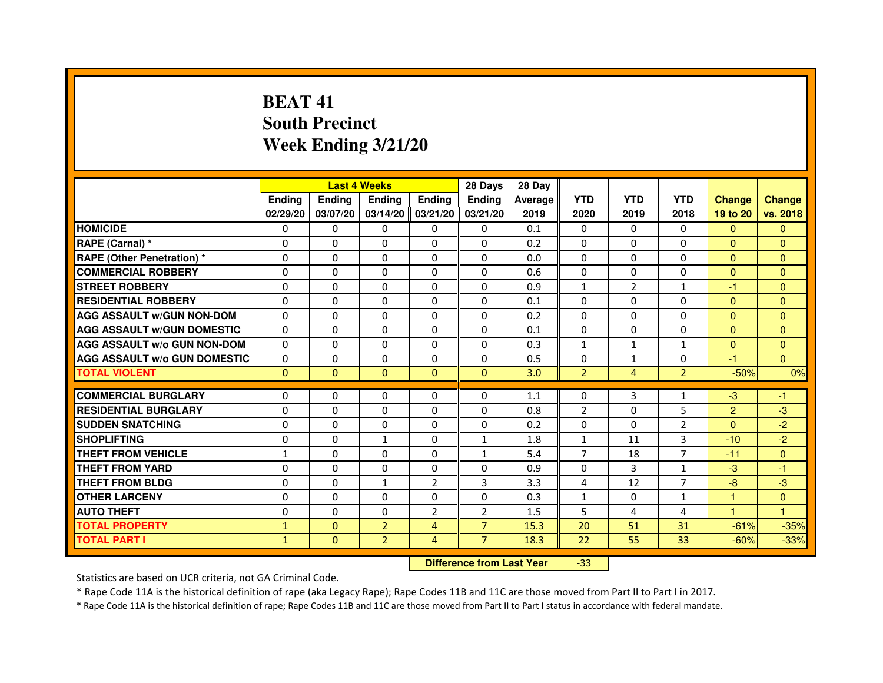# **BEAT 41 South PrecinctWeek Ending 3/21/20**

|                                     |               |              | <b>Last 4 Weeks</b>              |                | 28 Days        | 28 Day  |                |                |                |                         |                |
|-------------------------------------|---------------|--------------|----------------------------------|----------------|----------------|---------|----------------|----------------|----------------|-------------------------|----------------|
|                                     | <b>Ending</b> | Ending       | <b>Ending</b>                    | <b>Ending</b>  | <b>Endina</b>  | Average | <b>YTD</b>     | <b>YTD</b>     | <b>YTD</b>     | <b>Change</b>           | <b>Change</b>  |
|                                     | 02/29/20      | 03/07/20     | 03/14/20                         | 03/21/20       | 03/21/20       | 2019    | 2020           | 2019           | 2018           | 19 to 20                | vs. 2018       |
| <b>HOMICIDE</b>                     | $\Omega$      | $\Omega$     | $\Omega$                         | $\mathbf{0}$   | $\mathbf{0}$   | 0.1     | $\Omega$       | 0              | $\Omega$       | $\Omega$                | $\Omega$       |
| RAPE (Carnal) *                     | 0             | $\Omega$     | $\Omega$                         | $\Omega$       | $\Omega$       | 0.2     | $\Omega$       | $\Omega$       | $\Omega$       | $\Omega$                | $\Omega$       |
| <b>RAPE (Other Penetration) *</b>   | $\Omega$      | $\Omega$     | $\Omega$                         | $\Omega$       | $\Omega$       | 0.0     | $\Omega$       | $\Omega$       | $\Omega$       | $\Omega$                | $\overline{0}$ |
| <b>COMMERCIAL ROBBERY</b>           | $\Omega$      | $\Omega$     | $\Omega$                         | $\Omega$       | $\Omega$       | 0.6     | $\Omega$       | $\Omega$       | $\Omega$       | $\mathbf{0}$            | $\mathbf{0}$   |
| <b>STREET ROBBERY</b>               | $\Omega$      | $\Omega$     | $\Omega$                         | $\Omega$       | $\Omega$       | 0.9     | $\mathbf{1}$   | 2              | $\mathbf{1}$   | $-1$                    | $\overline{0}$ |
| <b>RESIDENTIAL ROBBERY</b>          | $\Omega$      | $\Omega$     | $\Omega$                         | $\Omega$       | $\Omega$       | 0.1     | $\Omega$       | $\Omega$       | $\Omega$       | $\mathbf{0}$            | $\Omega$       |
| <b>AGG ASSAULT W/GUN NON-DOM</b>    | $\Omega$      | $\Omega$     | $\Omega$                         | $\Omega$       | $\Omega$       | 0.2     | $\Omega$       | $\Omega$       | $\Omega$       | $\Omega$                | $\Omega$       |
| <b>AGG ASSAULT W/GUN DOMESTIC</b>   | $\Omega$      | $\Omega$     | $\Omega$                         | $\Omega$       | $\Omega$       | 0.1     | $\Omega$       | $\Omega$       | $\Omega$       | $\Omega$                | $\Omega$       |
| <b>AGG ASSAULT w/o GUN NON-DOM</b>  | 0             | 0            | 0                                | $\mathbf{0}$   | $\mathbf{0}$   | 0.3     | $\mathbf{1}$   | $\mathbf{1}$   | $\mathbf{1}$   | $\Omega$                | $\mathbf{0}$   |
| <b>AGG ASSAULT W/o GUN DOMESTIC</b> | $\Omega$      | 0            | $\Omega$                         | $\Omega$       | $\Omega$       | 0.5     | $\Omega$       | $\mathbf{1}$   | $\Omega$       | $\overline{\mathbf{1}}$ | $\Omega$       |
| <b>TOTAL VIOLENT</b>                | $\mathbf{0}$  | $\mathbf{0}$ | $\mathbf 0$                      | $\mathbf{0}$   | $\mathbf{0}$   | 3.0     | $\overline{2}$ | $\overline{4}$ | $\overline{2}$ | $-50%$                  | 0%             |
| <b>COMMERCIAL BURGLARY</b>          | $\Omega$      | $\Omega$     | 0                                | $\Omega$       | $\Omega$       | 1.1     | $\Omega$       | 3              | $\mathbf{1}$   | $-3$                    | $-1$           |
| <b>RESIDENTIAL BURGLARY</b>         | $\Omega$      | $\Omega$     | $\Omega$                         | $\Omega$       | $\Omega$       | 0.8     | $\overline{2}$ | $\Omega$       | 5              | $\overline{2}$          | $-3$           |
| <b>SUDDEN SNATCHING</b>             | $\Omega$      | $\Omega$     | $\Omega$                         | $\Omega$       | $\Omega$       | 0.2     | $\Omega$       | $\Omega$       | $\mathcal{P}$  | $\Omega$                | $-2$           |
| <b>SHOPLIFTING</b>                  | 0             | 0            | 1                                | 0              | 1              | 1.8     | $\mathbf{1}$   | 11             | 3              | $-10$                   | $-2$           |
| <b>THEFT FROM VEHICLE</b>           | 1             | $\Omega$     | $\Omega$                         | $\Omega$       | 1              | 5.4     | $\overline{7}$ | 18             | $\overline{7}$ | $-11$                   | $\Omega$       |
| <b>THEFT FROM YARD</b>              | 0             | 0            | 0                                | 0              | 0              | 0.9     | 0              | 3              | $\mathbf{1}$   | $-3$                    | $-1$           |
| <b>THEFT FROM BLDG</b>              | $\Omega$      | $\Omega$     | $\mathbf{1}$                     | 2              | 3              | 3.3     | 4              | 12             | $\overline{7}$ | $-8$                    | $-3$           |
| <b>OTHER LARCENY</b>                | $\Omega$      | $\Omega$     | $\Omega$                         | $\Omega$       | $\Omega$       | 0.3     | $\mathbf{1}$   | 0              | $\mathbf{1}$   | $\mathbf{1}$            | $\Omega$       |
| <b>AUTO THEFT</b>                   | $\Omega$      | $\Omega$     | $\Omega$                         | $\overline{2}$ | $\overline{2}$ | 1.5     | 5              | 4              | 4              | $\mathbf{1}$            | 1              |
| <b>TOTAL PROPERTY</b>               | $\mathbf{1}$  | $\Omega$     | $\overline{2}$                   | 4              | $\overline{7}$ | 15.3    | 20             | 51             | 31             | $-61%$                  | $-35%$         |
| <b>TOTAL PART I</b>                 | $\mathbf{1}$  | $\mathbf{0}$ | $\overline{2}$                   | 4              | $\overline{7}$ | 18.3    | 22             | 55             | 33             | $-60%$                  | $-33%$         |
|                                     |               |              | <b>Difference from Last Year</b> |                | $-33$          |         |                |                |                |                         |                |

Statistics are based on UCR criteria, not GA Criminal Code.

\* Rape Code 11A is the historical definition of rape (aka Legacy Rape); Rape Codes 11B and 11C are those moved from Part II to Part I in 2017.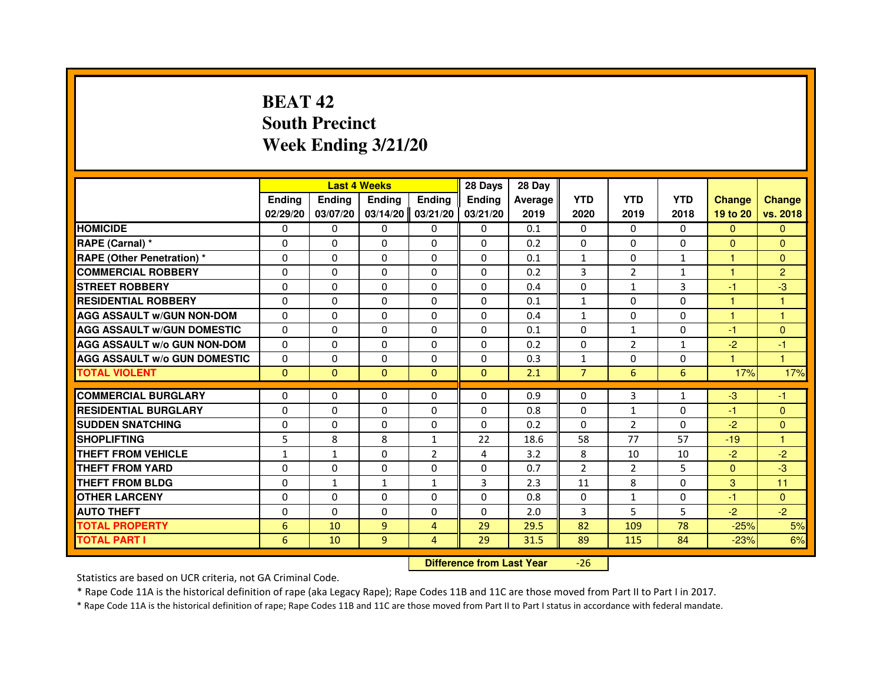# **BEAT 42 South PrecinctWeek Ending 3/21/20**

|                                     |               |              | <b>Last 4 Weeks</b> |                | 28 Days       | 28 Day  |                |                |              |               |                |
|-------------------------------------|---------------|--------------|---------------------|----------------|---------------|---------|----------------|----------------|--------------|---------------|----------------|
|                                     | <b>Endina</b> | Ending       | <b>Endina</b>       | <b>Endina</b>  | <b>Endina</b> | Average | <b>YTD</b>     | <b>YTD</b>     | <b>YTD</b>   | <b>Change</b> | <b>Change</b>  |
|                                     | 02/29/20      | 03/07/20     | 03/14/20            | 03/21/20       | 03/21/20      | 2019    | 2020           | 2019           | 2018         | 19 to 20      | vs. 2018       |
| <b>HOMICIDE</b>                     | 0             | 0            | 0                   | 0              | 0             | 0.1     | 0              | $\Omega$       | $\Omega$     | $\mathbf{0}$  | $\Omega$       |
| RAPE (Carnal) *                     | $\Omega$      | $\Omega$     | $\Omega$            | $\Omega$       | $\Omega$      | 0.2     | $\Omega$       | $\Omega$       | $\Omega$     | $\Omega$      | $\Omega$       |
| <b>RAPE (Other Penetration)*</b>    | $\Omega$      | $\Omega$     | $\Omega$            | $\Omega$       | $\Omega$      | 0.1     | $\mathbf{1}$   | $\Omega$       | $\mathbf{1}$ | 1             | $\Omega$       |
| <b>COMMERCIAL ROBBERY</b>           | 0             | $\Omega$     | 0                   | 0              | $\Omega$      | 0.2     | 3              | $\overline{2}$ | 1            | 1             | $\overline{2}$ |
| <b>STREET ROBBERY</b>               | $\Omega$      | 0            | $\Omega$            | 0              | $\Omega$      | 0.4     | $\Omega$       | $\mathbf{1}$   | 3            | $-1$          | $-3$           |
| <b>RESIDENTIAL ROBBERY</b>          | $\Omega$      | $\Omega$     | $\Omega$            | $\Omega$       | $\Omega$      | 0.1     | $\mathbf{1}$   | $\Omega$       | $\Omega$     | 1             | 1              |
| <b>AGG ASSAULT W/GUN NON-DOM</b>    | $\Omega$      | $\Omega$     | $\Omega$            | $\Omega$       | $\Omega$      | 0.4     | $\mathbf{1}$   | $\Omega$       | $\Omega$     | 1             | 1              |
| <b>AGG ASSAULT W/GUN DOMESTIC</b>   | $\Omega$      | $\Omega$     | $\Omega$            | $\Omega$       | $\Omega$      | 0.1     | $\Omega$       | $\mathbf{1}$   | $\Omega$     | $-1$          | $\Omega$       |
| <b>AGG ASSAULT W/o GUN NON-DOM</b>  | $\Omega$      | 0            | 0                   | $\Omega$       | $\Omega$      | 0.2     | 0              | $\overline{2}$ | 1            | $-2$          | $-1$           |
| <b>AGG ASSAULT W/o GUN DOMESTIC</b> | $\Omega$      | 0            | 0                   | 0              | 0             | 0.3     | $\mathbf{1}$   | 0              | 0            | 1             | 1              |
| <b>TOTAL VIOLENT</b>                | $\Omega$      | $\Omega$     | $\Omega$            | $\Omega$       | $\Omega$      | 2.1     | $\overline{7}$ | 6              | 6            | 17%           | 17%            |
| <b>COMMERCIAL BURGLARY</b>          |               |              |                     |                |               |         |                |                |              |               |                |
| <b>RESIDENTIAL BURGLARY</b>         | $\Omega$      | 0            | $\Omega$            | 0              | 0             | 0.9     | 0              | 3              | 1            | $-3$          | -1             |
|                                     | $\Omega$      | 0            | 0                   | 0              | 0             | 0.8     | 0              | $\mathbf{1}$   | 0            | $-1$          | $\Omega$       |
| <b>SUDDEN SNATCHING</b>             | $\Omega$      | $\Omega$     | $\Omega$            | $\Omega$       | $\Omega$      | 0.2     | $\Omega$       | 2              | $\Omega$     | $-2$          | $\Omega$       |
| <b>SHOPLIFTING</b>                  | 5             | 8            | 8                   | $\mathbf{1}$   | 22            | 18.6    | 58             | 77             | 57           | $-19$         | 1              |
| <b>THEFT FROM VEHICLE</b>           | $\mathbf{1}$  | $\mathbf{1}$ | $\Omega$            | $\overline{2}$ | 4             | 3.2     | 8              | 10             | 10           | $-2$          | $-2$           |
| <b>THEFT FROM YARD</b>              | $\Omega$      | $\Omega$     | $\Omega$            | $\Omega$       | $\Omega$      | 0.7     | $\overline{2}$ | 2              | 5            | $\Omega$      | $-3$           |
| <b>THEFT FROM BLDG</b>              | $\Omega$      | 1            | 1                   | 1              | 3             | 2.3     | 11             | 8              | $\Omega$     | 3             | 11             |
| <b>OTHER LARCENY</b>                | $\Omega$      | $\Omega$     | $\Omega$            | $\Omega$       | $\Omega$      | 0.8     | $\Omega$       | $\mathbf{1}$   | $\Omega$     | $-1$          | $\Omega$       |
| <b>AUTO THEFT</b>                   | $\Omega$      | $\Omega$     | $\Omega$            | $\Omega$       | $\Omega$      | 2.0     | 3              | 5              | 5            | $-2$          | $-2$           |
| <b>TOTAL PROPERTY</b>               | 6             | 10           | 9                   | $\overline{4}$ | 29            | 29.5    | 82             | 109            | 78           | $-25%$        | 5%             |
| <b>TOTAL PART I</b>                 | 6             | 10           | 9                   | 4              | 29            | 31.5    | 89             | 115            | 84           | $-23%$        | 6%             |

 **Difference from Last Year**-26

Statistics are based on UCR criteria, not GA Criminal Code.

\* Rape Code 11A is the historical definition of rape (aka Legacy Rape); Rape Codes 11B and 11C are those moved from Part II to Part I in 2017.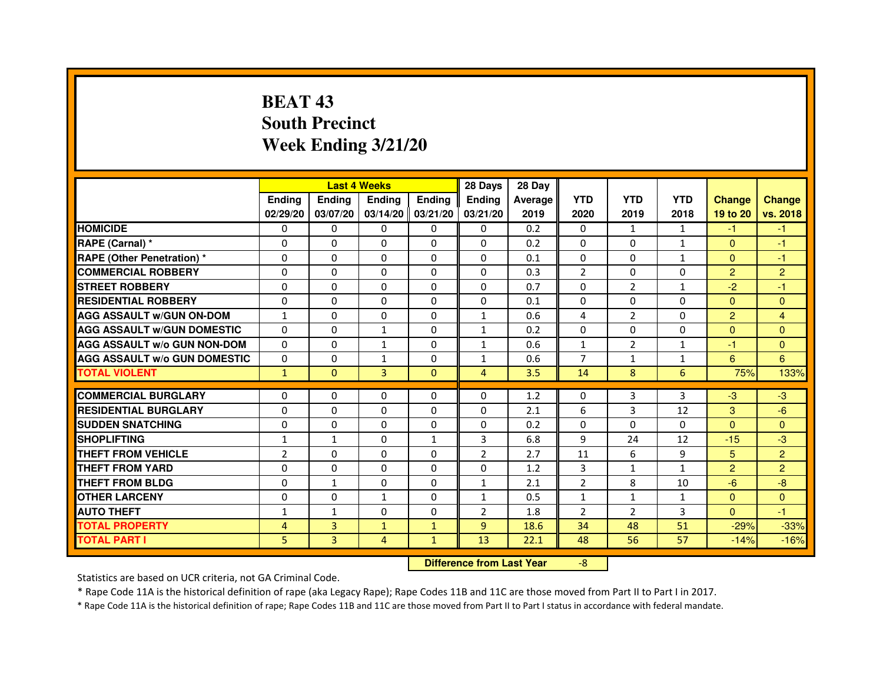# **BEAT 43 South PrecinctWeek Ending 3/21/20**

|                                     |                | <b>Last 4 Weeks</b> |                   |               | 28 Days                          | 28 Day  |                |                |              |                |                |
|-------------------------------------|----------------|---------------------|-------------------|---------------|----------------------------------|---------|----------------|----------------|--------------|----------------|----------------|
|                                     | <b>Ending</b>  | Ending              | <b>Ending</b>     | <b>Ending</b> | <b>Ending</b>                    | Average | <b>YTD</b>     | <b>YTD</b>     | <b>YTD</b>   | <b>Change</b>  | <b>Change</b>  |
|                                     | 02/29/20       | 03/07/20            | 03/14/20 03/21/20 |               | 03/21/20                         | 2019    | 2020           | 2019           | 2018         | 19 to 20       | vs. 2018       |
| <b>HOMICIDE</b>                     | 0              | $\Omega$            | $\Omega$          | $\Omega$      | 0                                | 0.2     | $\Omega$       | $\mathbf{1}$   | $\mathbf{1}$ | $-1$           | $-1$           |
| RAPE (Carnal) *                     | 0              | 0                   | 0                 | 0             | 0                                | 0.2     | $\mathbf{0}$   | $\Omega$       | $\mathbf{1}$ | $\mathbf{0}$   | $-1$           |
| <b>RAPE (Other Penetration) *</b>   | 0              | 0                   | $\Omega$          | 0             | $\Omega$                         | 0.1     | $\Omega$       | $\mathbf{0}$   | $\mathbf{1}$ | $\mathbf{0}$   | $-1$           |
| <b>COMMERCIAL ROBBERY</b>           | $\Omega$       | $\Omega$            | $\Omega$          | $\Omega$      | $\Omega$                         | 0.3     | $\overline{2}$ | $\mathbf{0}$   | $\Omega$     | $\overline{2}$ | $\overline{2}$ |
| <b>STREET ROBBERY</b>               | $\Omega$       | $\Omega$            | $\Omega$          | $\Omega$      | $\Omega$                         | 0.7     | $\Omega$       | $\overline{2}$ | $\mathbf{1}$ | $-2$           | $-1$           |
| <b>RESIDENTIAL ROBBERY</b>          | $\Omega$       | $\Omega$            | $\Omega$          | $\Omega$      | 0                                | 0.1     | $\Omega$       | $\Omega$       | 0            | $\mathbf{0}$   | $\Omega$       |
| <b>AGG ASSAULT w/GUN ON-DOM</b>     | $\mathbf{1}$   | $\Omega$            | $\mathbf 0$       | $\Omega$      | $\mathbf{1}$                     | 0.6     | 4              | $\overline{2}$ | $\Omega$     | $\overline{2}$ | 4              |
| <b>AGG ASSAULT w/GUN DOMESTIC</b>   | $\Omega$       | $\Omega$            | $\mathbf{1}$      | $\Omega$      | $\mathbf{1}$                     | 0.2     | $\Omega$       | $\Omega$       | $\Omega$     | $\Omega$       | $\Omega$       |
| <b>AGG ASSAULT W/o GUN NON-DOM</b>  | 0              | 0                   | $\mathbf{1}$      | 0             | 1                                | 0.6     | $\mathbf{1}$   | $\overline{2}$ | $\mathbf{1}$ | $-1$           | $\Omega$       |
| <b>AGG ASSAULT w/o GUN DOMESTIC</b> | $\Omega$       | $\mathbf 0$         | $\mathbf{1}$      | 0             | $\mathbf{1}$                     | 0.6     | $\overline{7}$ | $\mathbf{1}$   | $\mathbf{1}$ | 6              | 6              |
| <b>TOTAL VIOLENT</b>                | $\mathbf{1}$   | $\mathbf{0}$        | 3                 | $\mathbf{0}$  | $\overline{4}$                   | 3.5     | 14             | 8              | 6            | 75%            | 133%           |
| <b>COMMERCIAL BURGLARY</b>          | $\Omega$       | $\Omega$            | 0                 | $\Omega$      | 0                                | 1.2     | 0              | 3              | 3            | $-3$           | $-3$           |
| <b>RESIDENTIAL BURGLARY</b>         | $\Omega$       | $\Omega$            | $\Omega$          | $\Omega$      | $\Omega$                         | 2.1     | 6              | 3              | 12           | 3              | $-6$           |
| <b>SUDDEN SNATCHING</b>             | $\Omega$       | $\Omega$            | $\Omega$          | $\Omega$      | $\Omega$                         | 0.2     | $\Omega$       | $\Omega$       | $\Omega$     | $\Omega$       | $\Omega$       |
| <b>SHOPLIFTING</b>                  | $\mathbf{1}$   | $\mathbf{1}$        | 0                 | $\mathbf{1}$  | 3                                | 6.8     | 9              | 24             | 12           | $-15$          | $-3$           |
| <b>THEFT FROM VEHICLE</b>           | $\overline{2}$ | $\Omega$            | $\Omega$          | $\Omega$      | $\overline{2}$                   | 2.7     | 11             | 6              | 9            | 5              | $\overline{2}$ |
| <b>THEFT FROM YARD</b>              | $\mathbf 0$    | 0                   | $\mathbf 0$       | 0             | $\mathbf 0$                      | 1.2     | 3              | $\mathbf{1}$   | $\mathbf{1}$ | $\overline{2}$ | $\overline{2}$ |
| <b>THEFT FROM BLDG</b>              | $\Omega$       | $\mathbf{1}$        | $\Omega$          | $\Omega$      | $\mathbf{1}$                     | 2.1     | $\overline{2}$ | 8              | 10           | $-6$           | $-8$           |
| <b>OTHER LARCENY</b>                | $\mathbf 0$    | $\Omega$            | $\mathbf{1}$      | $\Omega$      | $\mathbf{1}$                     | 0.5     | $\mathbf{1}$   | $\mathbf{1}$   | $\mathbf{1}$ | $\mathbf{0}$   | $\Omega$       |
| <b>AUTO THEFT</b>                   | $\mathbf{1}$   | $\mathbf{1}$        | $\mathbf 0$       | $\Omega$      | $\overline{2}$                   | 1.8     | $\overline{2}$ | $\overline{2}$ | 3            | $\Omega$       | $-1$           |
| <b>TOTAL PROPERTY</b>               | 4              | 3                   | $\mathbf{1}$      |               | 9                                | 18.6    | 34             | 48             | 51           | $-29%$         | $-33%$         |
|                                     |                |                     |                   | $\mathbf{1}$  |                                  |         |                |                |              |                |                |
| <b>TOTAL PART I</b>                 | 5              | 3                   | 4                 | $\mathbf{1}$  | 13                               | 22.1    | 48             | 56             | 57           | $-14%$         | $-16%$         |
|                                     |                |                     |                   |               | <b>Difference from Last Year</b> |         | $-8$           |                |              |                |                |

 **Difference from Last Year**

Statistics are based on UCR criteria, not GA Criminal Code.

\* Rape Code 11A is the historical definition of rape (aka Legacy Rape); Rape Codes 11B and 11C are those moved from Part II to Part I in 2017.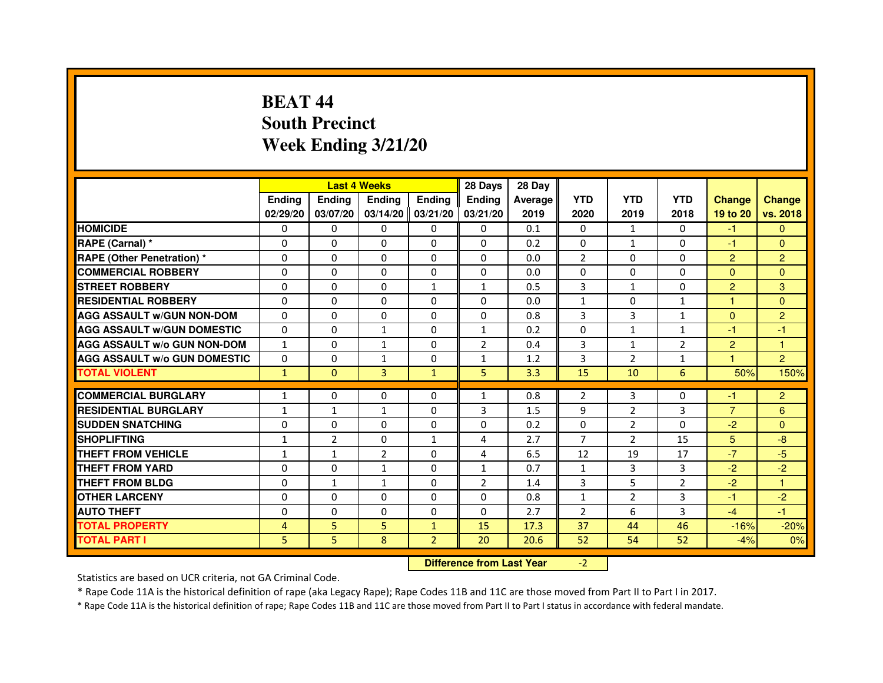# **BEAT 44 South PrecinctWeek Ending 3/21/20**

|                                     |               | <b>Last 4 Weeks</b> |                                  |                | 28 Days        | 28 Day  |                |                |                |                |                |
|-------------------------------------|---------------|---------------------|----------------------------------|----------------|----------------|---------|----------------|----------------|----------------|----------------|----------------|
|                                     | <b>Ending</b> | Ending              | <b>Ending</b>                    | <b>Ending</b>  | <b>Ending</b>  | Average | <b>YTD</b>     | <b>YTD</b>     | <b>YTD</b>     | <b>Change</b>  | <b>Change</b>  |
|                                     | 02/29/20      | 03/07/20            | 03/14/20 03/21/20                |                | 03/21/20       | 2019    | 2020           | 2019           | 2018           | 19 to 20       | vs. 2018       |
| <b>HOMICIDE</b>                     | 0             | $\Omega$            | $\Omega$                         | $\Omega$       | 0              | 0.1     | $\Omega$       | $\mathbf{1}$   | $\Omega$       | $-1$           | $\mathbf{0}$   |
| RAPE (Carnal) *                     | 0             | 0                   | 0                                | 0              | 0              | 0.2     | $\mathbf{0}$   | $\mathbf{1}$   | 0              | $-1$           | $\Omega$       |
| <b>RAPE (Other Penetration) *</b>   | 0             | 0                   | $\Omega$                         | 0              | $\Omega$       | 0.0     | $\overline{2}$ | $\Omega$       | 0              | $\overline{2}$ | $\overline{2}$ |
| <b>COMMERCIAL ROBBERY</b>           | $\Omega$      | $\Omega$            | $\Omega$                         | $\Omega$       | $\Omega$       | 0.0     | $\Omega$       | $\mathbf{0}$   | $\Omega$       | $\Omega$       | $\Omega$       |
| <b>STREET ROBBERY</b>               | $\Omega$      | $\Omega$            | $\Omega$                         | $\mathbf{1}$   | $\mathbf{1}$   | 0.5     | 3              | $\mathbf{1}$   | $\Omega$       | $\overline{2}$ | 3              |
| <b>RESIDENTIAL ROBBERY</b>          | $\Omega$      | $\Omega$            | $\Omega$                         | $\Omega$       | 0              | 0.0     | $\mathbf{1}$   | $\mathbf{0}$   | $\mathbf{1}$   | $\mathbf{1}$   | $\Omega$       |
| <b>AGG ASSAULT w/GUN NON-DOM</b>    | $\Omega$      | 0                   | $\mathbf 0$                      | $\Omega$       | $\Omega$       | 0.8     | 3              | 3              | $\mathbf{1}$   | $\Omega$       | $\overline{2}$ |
| <b>AGG ASSAULT w/GUN DOMESTIC</b>   | $\Omega$      | $\Omega$            | $\mathbf{1}$                     | $\Omega$       | $\mathbf{1}$   | 0.2     | $\Omega$       | $\mathbf{1}$   | $\mathbf{1}$   | $-1$           | $-1$           |
| <b>AGG ASSAULT W/o GUN NON-DOM</b>  | $\mathbf{1}$  | 0                   | $\mathbf{1}$                     | 0              | 2              | 0.4     | 3              | $\mathbf{1}$   | 2              | $\overline{2}$ | 1              |
| <b>AGG ASSAULT w/o GUN DOMESTIC</b> | $\Omega$      | $\mathbf 0$         | $\mathbf{1}$                     | 0              | $\mathbf{1}$   | 1.2     | 3              | $\overline{2}$ | $\mathbf{1}$   | 1              | $\overline{2}$ |
| <b>TOTAL VIOLENT</b>                | $\mathbf{1}$  | $\mathbf{0}$        | 3                                | $\mathbf{1}$   | 5              | 3.3     | 15             | 10             | 6              | 50%            | 150%           |
| <b>COMMERCIAL BURGLARY</b>          | $\mathbf{1}$  | 0                   | 0                                | 0              | $\mathbf{1}$   | 0.8     | $\overline{2}$ | 3              | 0              | -1             | $\overline{2}$ |
| <b>RESIDENTIAL BURGLARY</b>         | $\mathbf{1}$  | $\mathbf{1}$        | $\mathbf{1}$                     | $\Omega$       | 3              | 1.5     | 9              | $\overline{2}$ | 3              | $\overline{7}$ | 6              |
| <b>SUDDEN SNATCHING</b>             | $\Omega$      | $\Omega$            | $\Omega$                         | $\Omega$       | $\Omega$       | 0.2     | $\Omega$       | $\overline{2}$ | $\Omega$       | $-2$           | $\Omega$       |
| <b>SHOPLIFTING</b>                  | $\mathbf{1}$  | $\overline{2}$      | 0                                | $\mathbf{1}$   | 4              | 2.7     | $\overline{7}$ | $\overline{2}$ | 15             | 5 <sup>5</sup> | $-8$           |
| <b>THEFT FROM VEHICLE</b>           | $\mathbf{1}$  | $\mathbf{1}$        | $\overline{2}$                   | $\Omega$       | 4              | 6.5     | 12             | 19             | 17             | $-7$           | $-5$           |
| <b>THEFT FROM YARD</b>              | $\mathbf 0$   | 0                   | $\mathbf{1}$                     | 0              | $\mathbf{1}$   | 0.7     | $\mathbf{1}$   | 3              | 3              | $-2$           | $-2$           |
| <b>THEFT FROM BLDG</b>              | $\Omega$      | $\mathbf{1}$        | $\mathbf{1}$                     | $\Omega$       | $\overline{2}$ | 1.4     | 3              | 5              | $\overline{2}$ | $-2$           | $\mathbf{1}$   |
| <b>OTHER LARCENY</b>                | $\mathbf 0$   | $\Omega$            | $\mathbf 0$                      | $\Omega$       | $\Omega$       | 0.8     | $\mathbf{1}$   | $\overline{2}$ | 3              | $-1$           | $-2$           |
| <b>AUTO THEFT</b>                   | $\Omega$      | $\Omega$            | $\Omega$                         | $\Omega$       | $\Omega$       | 2.7     | $\overline{2}$ | 6              | 3              | $-4$           | $-1$           |
| <b>TOTAL PROPERTY</b>               | 4             | 5                   | 5                                | $\mathbf{1}$   | 15             | 17.3    | 37             | 44             | 46             | $-16%$         | $-20%$         |
| <b>TOTAL PART I</b>                 | 5             | 5                   | 8                                | $\overline{2}$ | 20             | 20.6    | 52             | 54             | 52             | $-4%$          | 0%             |
|                                     |               |                     | <b>Difference from Last Year</b> |                | $-2$           |         |                |                |                |                |                |

 **Difference from Last Year**

Statistics are based on UCR criteria, not GA Criminal Code.

\* Rape Code 11A is the historical definition of rape (aka Legacy Rape); Rape Codes 11B and 11C are those moved from Part II to Part I in 2017.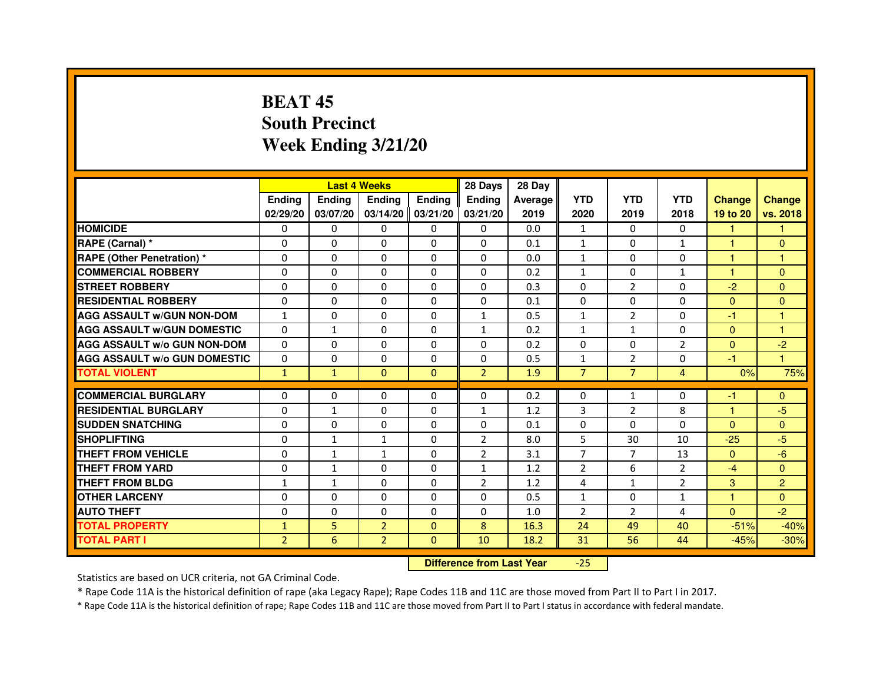# **BEAT 45 South PrecinctWeek Ending 3/21/20**

|                                     |                | <b>Last 4 Weeks</b> |                |                     | 28 Days        | 28 Day  |                |                |                |               |                |
|-------------------------------------|----------------|---------------------|----------------|---------------------|----------------|---------|----------------|----------------|----------------|---------------|----------------|
|                                     | <b>Endina</b>  | Ending              | <b>Endina</b>  | <b>Endina</b>       | <b>Endina</b>  | Average | <b>YTD</b>     | <b>YTD</b>     | <b>YTD</b>     | <b>Change</b> | <b>Change</b>  |
|                                     | 02/29/20       | 03/07/20            |                | $03/14/20$ 03/21/20 | 03/21/20       | 2019    | 2020           | 2019           | 2018           | 19 to 20      | vs. 2018       |
| <b>HOMICIDE</b>                     | 0              | 0                   | 0              | 0                   | 0              | 0.0     | $\mathbf{1}$   | 0              | 0              | 1.            | 1              |
| RAPE (Carnal) *                     | $\Omega$       | $\Omega$            | $\Omega$       | $\Omega$            | $\Omega$       | 0.1     | $\mathbf{1}$   | $\Omega$       | $\mathbf{1}$   | $\mathbf{1}$  | $\Omega$       |
| <b>RAPE (Other Penetration) *</b>   | 0              | 0                   | $\Omega$       | $\Omega$            | $\Omega$       | 0.0     | $\mathbf{1}$   | $\Omega$       | $\Omega$       | $\mathbf{1}$  | 1              |
| <b>COMMERCIAL ROBBERY</b>           | 0              | 0                   | 0              | $\Omega$            | $\Omega$       | 0.2     | $\mathbf{1}$   | $\Omega$       | 1              | 1             | $\Omega$       |
| <b>STREET ROBBERY</b>               | 0              | $\Omega$            | 0              | $\Omega$            | 0              | 0.3     | 0              | 2              | $\Omega$       | $-2$          | $\Omega$       |
| <b>RESIDENTIAL ROBBERY</b>          | 0              | $\Omega$            | 0              | $\Omega$            | 0              | 0.1     | 0              | $\Omega$       | $\Omega$       | $\Omega$      | $\Omega$       |
| <b>AGG ASSAULT W/GUN NON-DOM</b>    | $\mathbf{1}$   | $\mathbf 0$         | $\Omega$       | $\Omega$            | $\mathbf{1}$   | 0.5     | $\mathbf{1}$   | $\overline{2}$ | $\Omega$       | $-1$          | 1              |
| <b>AGG ASSAULT W/GUN DOMESTIC</b>   | $\Omega$       | $\mathbf{1}$        | 0              | 0                   | $\mathbf{1}$   | 0.2     | $\mathbf{1}$   | $\mathbf{1}$   | $\Omega$       | $\Omega$      | 1              |
| <b>AGG ASSAULT W/o GUN NON-DOM</b>  | $\Omega$       | 0                   | $\Omega$       | 0                   | $\Omega$       | 0.2     | $\Omega$       | $\Omega$       | $\overline{2}$ | $\Omega$      | $-2$           |
| <b>AGG ASSAULT W/o GUN DOMESTIC</b> | $\Omega$       | $\Omega$            | 0              | $\Omega$            | $\Omega$       | 0.5     | $\mathbf{1}$   | $\overline{2}$ | $\Omega$       | $-1$          | 1.             |
| <b>TOTAL VIOLENT</b>                | $\mathbf{1}$   | $\mathbf{1}$        | $\Omega$       | $\mathbf{0}$        | $\overline{2}$ | 1.9     | $\overline{7}$ | $\overline{7}$ | $\overline{4}$ | 0%            | 75%            |
|                                     |                |                     |                |                     |                |         |                |                |                |               |                |
| <b>COMMERCIAL BURGLARY</b>          | 0              | 0                   | $\Omega$       | 0                   | $\Omega$       | 0.2     | $\Omega$       | $\mathbf{1}$   | $\Omega$       | $-1$          | $\mathbf{0}$   |
| <b>RESIDENTIAL BURGLARY</b>         | 0              | $\mathbf{1}$        | 0              | $\Omega$            | $\mathbf{1}$   | 1.2     | 3              | 2              | 8              | $\mathbf{1}$  | $-5$           |
| <b>SUDDEN SNATCHING</b>             | 0              | 0                   | $\Omega$       | $\Omega$            | $\Omega$       | 0.1     | $\Omega$       | $\Omega$       | $\Omega$       | $\Omega$      | $\Omega$       |
| <b>SHOPLIFTING</b>                  | $\mathbf 0$    | $\mathbf{1}$        | $\mathbf{1}$   | $\Omega$            | $\overline{2}$ | 8.0     | 5              | 30             | 10             | $-25$         | $-5$           |
| <b>THEFT FROM VEHICLE</b>           | 0              | $\mathbf{1}$        | $\mathbf{1}$   | $\Omega$            | $\overline{2}$ | 3.1     | $\overline{7}$ | $\overline{7}$ | 13             | $\Omega$      | $-6$           |
| <b>THEFT FROM YARD</b>              | 0              | $\mathbf{1}$        | $\Omega$       | $\Omega$            | $\mathbf{1}$   | 1.2     | $\overline{2}$ | 6              | $\overline{2}$ | $-4$          | $\Omega$       |
| <b>THEFT FROM BLDG</b>              | 1              | 1                   | 0              | 0                   | $\overline{2}$ | 1.2     | 4              | $\mathbf{1}$   | $\overline{2}$ | 3             | $\overline{2}$ |
| <b>OTHER LARCENY</b>                | 0              | 0                   | 0              | 0                   | $\Omega$       | 0.5     | $\mathbf{1}$   | $\Omega$       | $\mathbf{1}$   | 1             | $\Omega$       |
| <b>AUTO THEFT</b>                   | $\mathbf 0$    | 0                   | $\mathbf 0$    | $\Omega$            | $\Omega$       | 1.0     | $\overline{2}$ | $\overline{2}$ | $\overline{4}$ | $\Omega$      | $-2$           |
| <b>TOTAL PROPERTY</b>               | $\mathbf{1}$   | 5                   | $\overline{2}$ | $\mathbf{0}$        | 8              | 16.3    | 24             | 49             | 40             | $-51%$        | $-40%$         |
| <b>TOTAL PART I</b>                 | $\overline{2}$ | 6                   | $\overline{2}$ | $\Omega$            | 10             | 18.2    | 31             | 56             | 44             | $-45%$        | $-30%$         |

 **Difference from Last Year**-25

Statistics are based on UCR criteria, not GA Criminal Code.

\* Rape Code 11A is the historical definition of rape (aka Legacy Rape); Rape Codes 11B and 11C are those moved from Part II to Part I in 2017.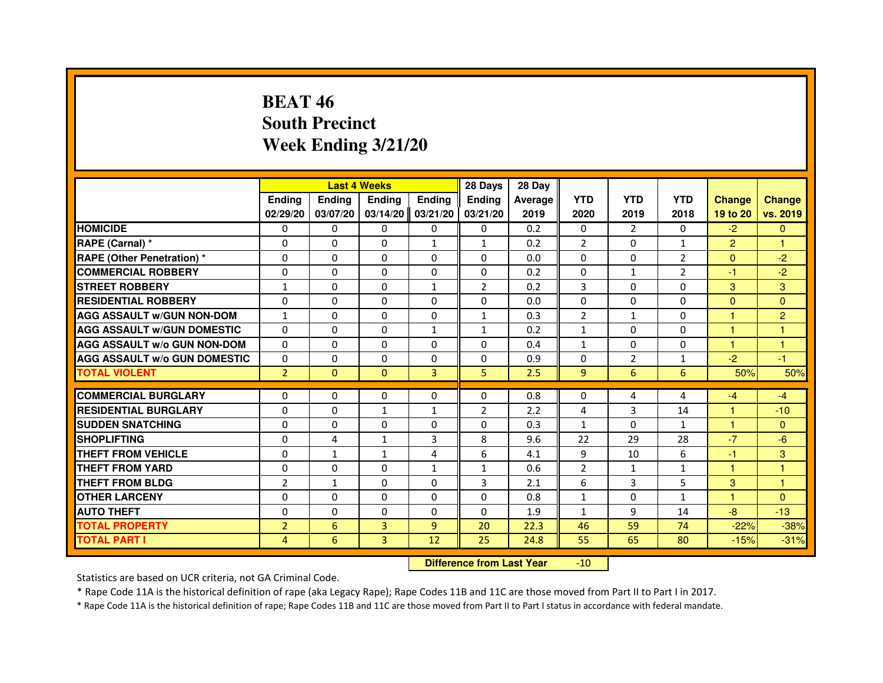# **BEAT 46 South PrecinctWeek Ending 3/21/20**

|                                     |                | <b>Last 4 Weeks</b> |               |                | 28 Days        | 28 Day  |                |                |                |                      |                |
|-------------------------------------|----------------|---------------------|---------------|----------------|----------------|---------|----------------|----------------|----------------|----------------------|----------------|
|                                     | <b>Endina</b>  | <b>Ending</b>       | <b>Endina</b> | <b>Ending</b>  | <b>Endina</b>  | Average | <b>YTD</b>     | <b>YTD</b>     | <b>YTD</b>     | <b>Change</b>        | <b>Change</b>  |
|                                     | 02/29/20       | 03/07/20            | 03/14/20      | 03/21/20       | 03/21/20       | 2019    | 2020           | 2019           | 2018           | 19 to 20             | vs. 2019       |
| <b>HOMICIDE</b>                     | $\mathbf{0}$   | 0                   | 0             | $\mathbf{0}$   | 0              | 0.2     | 0              | $\overline{2}$ | 0              | $-2$                 | $\mathbf{0}$   |
| RAPE (Carnal) *                     | $\Omega$       | $\Omega$            | $\Omega$      | $\mathbf{1}$   | $\mathbf{1}$   | 0.2     | $\overline{2}$ | $\Omega$       | $\mathbf{1}$   | $\overline{2}$       | $\mathbf{1}$   |
| RAPE (Other Penetration) *          | $\Omega$       | $\Omega$            | $\Omega$      | $\Omega$       | $\Omega$       | 0.0     | $\Omega$       | $\Omega$       | $\overline{2}$ | $\Omega$             | $-2$           |
| <b>COMMERCIAL ROBBERY</b>           | 0              | $\mathbf{0}$        | 0             | 0              | 0              | 0.2     | 0              | $\mathbf{1}$   | 2              | -1                   | $-2$           |
| <b>STREET ROBBERY</b>               | $\mathbf{1}$   | $\Omega$            | 0             | 1              | $\overline{2}$ | 0.2     | 3              | $\Omega$       | 0              | 3                    | 3              |
| <b>RESIDENTIAL ROBBERY</b>          | 0              | $\Omega$            | 0             | $\Omega$       | $\Omega$       | 0.0     | $\Omega$       | $\Omega$       | $\Omega$       | $\Omega$             | $\Omega$       |
| <b>AGG ASSAULT W/GUN NON-DOM</b>    | 1              | $\Omega$            | $\Omega$      | $\Omega$       | $\mathbf{1}$   | 0.3     | $\overline{2}$ | $\mathbf{1}$   | $\Omega$       | $\mathbf{1}$         | $\overline{2}$ |
| <b>AGG ASSAULT W/GUN DOMESTIC</b>   | $\Omega$       | $\Omega$            | $\Omega$      | $\mathbf{1}$   | $\mathbf{1}$   | 0.2     | $\mathbf{1}$   | $\mathbf{0}$   | 0              | $\mathbf{1}$         | 1              |
| <b>AGG ASSAULT W/o GUN NON-DOM</b>  | 0              | 0                   | 0             | 0              | $\Omega$       | 0.4     | $\mathbf{1}$   | 0              | 0              | 1                    | 1              |
| <b>AGG ASSAULT W/o GUN DOMESTIC</b> | 0              | $\mathbf{0}$        | 0             | 0              | 0              | 0.9     | 0              | 2              | 1              | $-2$                 | $-1$           |
| <b>TOTAL VIOLENT</b>                | $\overline{2}$ | $\mathbf{0}$        | $\mathbf{0}$  | 3              | 5              | 2.5     | 9              | 6              | 6              | 50%                  | 50%            |
|                                     |                |                     |               |                |                |         |                |                |                |                      |                |
| <b>COMMERCIAL BURGLARY</b>          | 0              | 0                   | 0             | $\mathbf{0}$   | 0              | 0.8     | 0              | 4              | 4              | -4                   | $-4$           |
| <b>RESIDENTIAL BURGLARY</b>         | 0              | $\mathbf{0}$        | $\mathbf{1}$  | $\mathbf{1}$   | 2              | 2.2     | 4              | 3              | 14             | $\blacktriangleleft$ | $-10$          |
| <b>SUDDEN SNATCHING</b>             | 0              | $\Omega$            | 0             | $\Omega$       | 0              | 0.3     | $\mathbf{1}$   | 0              | $\mathbf{1}$   | 1                    | $\Omega$       |
| <b>SHOPLIFTING</b>                  | $\Omega$       | 4                   | $\mathbf{1}$  | 3              | 8              | 9.6     | 22             | 29             | 28             | $-7$                 | $-6$           |
| <b>THEFT FROM VEHICLE</b>           | $\Omega$       | $\mathbf{1}$        | $\mathbf{1}$  | 4              | 6              | 4.1     | 9              | 10             | 6              | $-1$                 | 3              |
| <b>THEFT FROM YARD</b>              | $\Omega$       | $\Omega$            | $\Omega$      | $\mathbf{1}$   | $\mathbf{1}$   | 0.6     | $\overline{2}$ | $\mathbf{1}$   | $\mathbf{1}$   | $\mathbf{1}$         | $\mathbf{1}$   |
| <b>THEFT FROM BLDG</b>              | $\overline{2}$ | 1                   | 0             | $\Omega$       | 3              | 2.1     | 6              | 3              | 5              | 3                    | 1              |
| <b>OTHER LARCENY</b>                | 0              | $\mathbf{0}$        | 0             | $\Omega$       | 0              | 0.8     | $\mathbf{1}$   | 0              | $\mathbf{1}$   | $\overline{1}$       | $\Omega$       |
| <b>AUTO THEFT</b>                   | $\Omega$       | $\Omega$            | $\Omega$      | $\Omega$       | $\Omega$       | 1.9     | $\mathbf{1}$   | 9              | 14             | -8                   | $-13$          |
| <b>TOTAL PROPERTY</b>               | $\overline{2}$ | 6                   | 3             | $\overline{9}$ | 20             | 22.3    | 46             | 59             | 74             | $-22%$               | $-38%$         |
| <b>TOTAL PART I</b>                 | 4              | 6                   | 3             | 12             | 25             | 24.8    | 55             | 65             | 80             | $-15%$               | $-31%$         |

 **Difference from Last Year**-10

Statistics are based on UCR criteria, not GA Criminal Code.

\* Rape Code 11A is the historical definition of rape (aka Legacy Rape); Rape Codes 11B and 11C are those moved from Part II to Part I in 2017.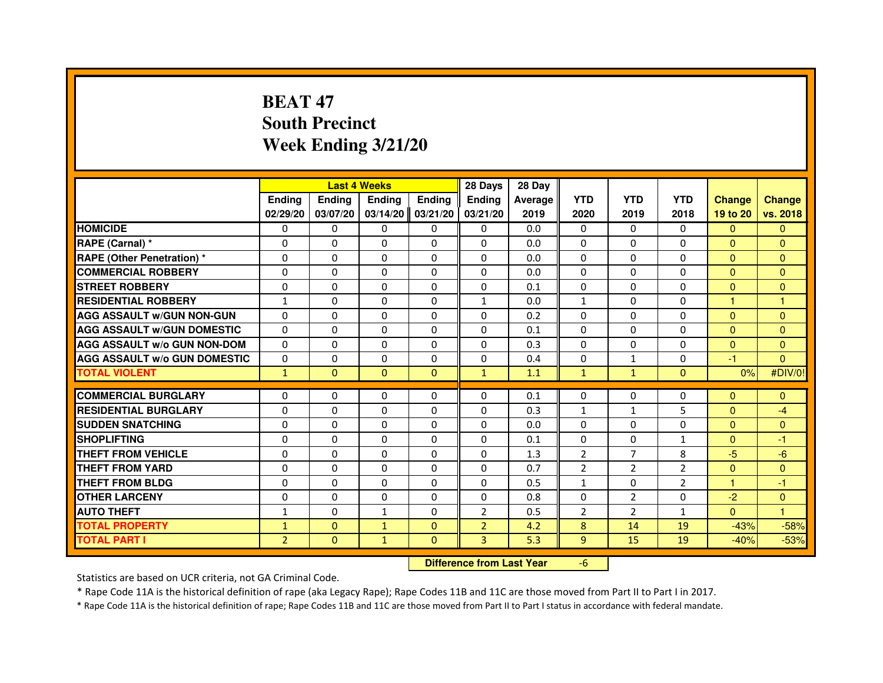# **BEAT 47 South PrecinctWeek Ending 3/21/20**

|                                     |                | <b>Last 4 Weeks</b> |                                  |               | 28 Days        | 28 Day  |                |                |                |                |                |
|-------------------------------------|----------------|---------------------|----------------------------------|---------------|----------------|---------|----------------|----------------|----------------|----------------|----------------|
|                                     | <b>Ending</b>  | Ending              | <b>Ending</b>                    | <b>Ending</b> | Ending         | Average | <b>YTD</b>     | <b>YTD</b>     | <b>YTD</b>     | <b>Change</b>  | <b>Change</b>  |
|                                     | 02/29/20       | 03/07/20            | 03/14/20                         | 03/21/20      | 03/21/20       | 2019    | 2020           | 2019           | 2018           | 19 to 20       | vs. 2018       |
| <b>HOMICIDE</b>                     | 0              | $\Omega$            | 0                                | 0             | $\mathbf{0}$   | 0.0     | $\mathbf{0}$   | $\Omega$       | $\Omega$       | $\mathbf{0}$   | $\mathbf{0}$   |
| RAPE (Carnal) *                     | 0              | 0                   | 0                                | 0             | 0              | 0.0     | 0              | 0              | 0              | $\Omega$       | $\mathbf{0}$   |
| RAPE (Other Penetration) *          | $\Omega$       | 0                   | $\Omega$                         | $\Omega$      | $\Omega$       | 0.0     | $\Omega$       | $\Omega$       | $\Omega$       | $\Omega$       | $\overline{0}$ |
| <b>COMMERCIAL ROBBERY</b>           | 0              | $\Omega$            | $\Omega$                         | $\Omega$      | $\Omega$       | 0.0     | $\Omega$       | $\Omega$       | $\Omega$       | $\Omega$       | $\mathbf{0}$   |
| <b>STREET ROBBERY</b>               | $\Omega$       | $\Omega$            | $\Omega$                         | $\Omega$      | $\Omega$       | 0.1     | $\Omega$       | $\Omega$       | $\Omega$       | $\Omega$       | $\mathbf{0}$   |
| <b>RESIDENTIAL ROBBERY</b>          | $\mathbf{1}$   | 0                   | 0                                | 0             | $\mathbf{1}$   | 0.0     | $\mathbf{1}$   | 0              | 0              | $\mathbf{1}$   | $\mathbf{1}$   |
| <b>AGG ASSAULT w/GUN NON-GUN</b>    | $\Omega$       | $\Omega$            | $\Omega$                         | $\Omega$      | $\Omega$       | 0.2     | $\Omega$       | $\Omega$       | 0              | $\Omega$       | $\Omega$       |
| <b>AGG ASSAULT W/GUN DOMESTIC</b>   | $\Omega$       | $\Omega$            | $\Omega$                         | $\Omega$      | $\Omega$       | 0.1     | $\Omega$       | $\Omega$       | 0              | $\Omega$       | $\Omega$       |
| <b>AGG ASSAULT W/o GUN NON-DOM</b>  | $\Omega$       | $\Omega$            | $\Omega$                         | $\Omega$      | $\Omega$       | 0.3     | $\Omega$       | $\Omega$       | $\Omega$       | $\Omega$       | $\mathbf{0}$   |
| <b>AGG ASSAULT w/o GUN DOMESTIC</b> | $\Omega$       | $\Omega$            | $\Omega$                         | $\Omega$      | $\Omega$       | 0.4     | $\Omega$       | $\mathbf{1}$   | $\Omega$       | -1             | $\Omega$       |
| <b>TOTAL VIOLENT</b>                | $\mathbf{1}$   | $\mathbf{0}$        | $\mathbf{0}$                     | $\mathbf{0}$  | $\mathbf{1}$   | 1.1     | $\mathbf{1}$   | $\mathbf{1}$   | $\mathbf{0}$   | 0%             | #DIV/0!        |
| <b>COMMERCIAL BURGLARY</b>          | 0              | 0                   | 0                                | 0             | 0              | 0.1     | 0              | 0              | 0              | $\mathbf{0}$   | $\mathbf{0}$   |
| <b>RESIDENTIAL BURGLARY</b>         | 0              | $\Omega$            | $\Omega$                         | $\Omega$      | 0              | 0.3     | $\mathbf{1}$   | $\mathbf{1}$   | 5              | $\mathbf{0}$   | $-4$           |
| <b>SUDDEN SNATCHING</b>             | $\Omega$       | $\Omega$            | $\Omega$                         | $\Omega$      | $\Omega$       | 0.0     | $\Omega$       | $\Omega$       | 0              | $\Omega$       | $\overline{0}$ |
| <b>SHOPLIFTING</b>                  | 0              | $\Omega$            | $\Omega$                         | $\Omega$      | $\Omega$       | 0.1     | $\Omega$       | 0              | $\mathbf{1}$   | $\Omega$       | -1             |
| <b>THEFT FROM VEHICLE</b>           | 0              | 0                   | $\Omega$                         | $\Omega$      | 0              | 1.3     | 2              | $\overline{7}$ | 8              | $-5$           | $-6$           |
| <b>THEFT FROM YARD</b>              | $\Omega$       | $\Omega$            | $\Omega$                         | $\Omega$      | $\Omega$       | 0.7     | $\overline{2}$ | $\overline{2}$ | $\overline{2}$ | $\overline{0}$ | $\overline{0}$ |
| <b>THEFT FROM BLDG</b>              | $\Omega$       | $\Omega$            | $\Omega$                         | $\Omega$      | $\Omega$       | 0.5     | $\mathbf{1}$   | $\Omega$       | $\overline{2}$ | $\mathbf{1}$   | $-1$           |
| <b>OTHER LARCENY</b>                | 0              | $\Omega$            | $\Omega$                         | $\Omega$      | $\Omega$       | 0.8     | $\Omega$       | $\overline{2}$ | $\Omega$       | $-2$           | $\overline{0}$ |
| <b>AUTO THEFT</b>                   | $\mathbf{1}$   | $\Omega$            | $\mathbf{1}$                     | $\Omega$      | $\overline{2}$ | 0.5     | $\overline{2}$ | $\overline{2}$ | $\mathbf{1}$   | $\Omega$       | $\mathbf{1}$   |
| <b>TOTAL PROPERTY</b>               | $\mathbf{1}$   | $\Omega$            | $\mathbf{1}$                     | $\Omega$      | $\overline{2}$ | 4.2     | 8              | 14             | 19             | $-43%$         | $-58%$         |
| <b>TOTAL PART I</b>                 | $\overline{2}$ | $\mathbf{0}$        | $\mathbf{1}$                     | $\mathbf{0}$  | 3              | 5.3     | 9              | 15             | 19             | $-40%$         | $-53%$         |
|                                     |                |                     | <b>Difference from Last Year</b> |               | $-6$           |         |                |                |                |                |                |

#### **Difference from Last Year**

Statistics are based on UCR criteria, not GA Criminal Code.

\* Rape Code 11A is the historical definition of rape (aka Legacy Rape); Rape Codes 11B and 11C are those moved from Part II to Part I in 2017.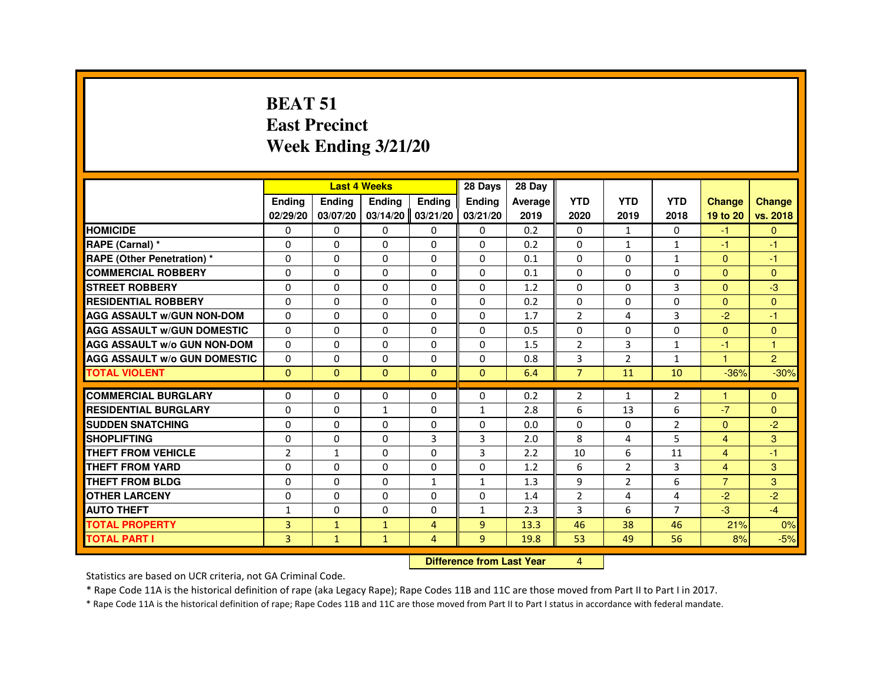#### **BEAT 51 East PrecinctWeek Ending 3/21/20**

|                                     |                |                                  | <b>Last 4 Weeks</b> |                | 28 Days        | 28 Day  |                |                |                |                      |                |
|-------------------------------------|----------------|----------------------------------|---------------------|----------------|----------------|---------|----------------|----------------|----------------|----------------------|----------------|
|                                     | <b>Ending</b>  | Ending                           | Ending              | <b>Ending</b>  | <b>Ending</b>  | Average | <b>YTD</b>     | <b>YTD</b>     | <b>YTD</b>     | <b>Change</b>        | <b>Change</b>  |
|                                     | 02/29/20       | 03/07/20                         | 03/14/20            | 03/21/20       | 03/21/20       | 2019    | 2020           | 2019           | 2018           | 19 to 20             | vs. 2018       |
| <b>HOMICIDE</b>                     | 0              | $\mathbf{0}$                     | $\Omega$            | $\Omega$       | 0              | 0.2     | $\Omega$       | $\mathbf{1}$   | $\Omega$       | $-1$                 | $\mathbf{0}$   |
| RAPE (Carnal) *                     | 0              | 0                                | 0                   | $\Omega$       | $\Omega$       | 0.2     | 0              | $\mathbf{1}$   | $\mathbf{1}$   | $-1$                 | $-1$           |
| <b>RAPE (Other Penetration) *</b>   | $\Omega$       | $\Omega$                         | $\Omega$            | $\Omega$       | $\Omega$       | 0.1     | $\Omega$       | $\Omega$       | $\mathbf{1}$   | $\Omega$             | $-1$           |
| <b>COMMERCIAL ROBBERY</b>           | $\Omega$       | $\Omega$                         | $\Omega$            | $\Omega$       | $\Omega$       | 0.1     | $\Omega$       | $\Omega$       | $\Omega$       | $\Omega$             | $\Omega$       |
| <b>STREET ROBBERY</b>               | $\Omega$       | $\Omega$                         | $\Omega$            | $\Omega$       | $\Omega$       | 1.2     | 0              | $\Omega$       | 3              | $\Omega$             | $-3$           |
| <b>RESIDENTIAL ROBBERY</b>          | 0              | 0                                | 0                   | $\Omega$       | $\Omega$       | 0.2     | $\Omega$       | $\Omega$       | 0              | $\Omega$             | $\overline{0}$ |
| <b>AGG ASSAULT W/GUN NON-DOM</b>    | $\Omega$       | $\Omega$                         | $\Omega$            | $\Omega$       | $\Omega$       | 1.7     | $\overline{2}$ | 4              | 3              | $-2$                 | $-1$           |
| <b>AGG ASSAULT W/GUN DOMESTIC</b>   | $\Omega$       | $\Omega$                         | $\Omega$            | $\Omega$       | $\Omega$       | 0.5     | $\Omega$       | $\Omega$       | 0              | $\Omega$             | $\mathbf{0}$   |
| <b>AGG ASSAULT W/o GUN NON-DOM</b>  | $\Omega$       | 0                                | 0                   | $\Omega$       | $\Omega$       | 1.5     | $\overline{2}$ | 3              | $\mathbf{1}$   | $-1$                 | $\overline{1}$ |
| <b>AGG ASSAULT W/o GUN DOMESTIC</b> | $\Omega$       | $\Omega$                         | $\Omega$            | $\Omega$       | $\Omega$       | 0.8     | 3              | $\overline{2}$ | $\mathbf{1}$   | $\blacktriangleleft$ | $\overline{2}$ |
| <b>TOTAL VIOLENT</b>                | $\Omega$       | $\mathbf{0}$                     | $\Omega$            | $\Omega$       | $\Omega$       | 6.4     | $\overline{7}$ | 11             | 10             | $-36%$               | $-30%$         |
| <b>COMMERCIAL BURGLARY</b>          | 0              | 0                                | 0                   | $\Omega$       | $\Omega$       | 0.2     | $\overline{2}$ | $\mathbf{1}$   | $\overline{2}$ | -1                   | $\Omega$       |
| <b>RESIDENTIAL BURGLARY</b>         | $\Omega$       | $\Omega$                         | $\mathbf{1}$        | $\Omega$       | $\mathbf{1}$   | 2.8     | 6              | 13             | 6              | $-7$                 | $\Omega$       |
| <b>SUDDEN SNATCHING</b>             | $\Omega$       | $\Omega$                         | $\Omega$            | $\Omega$       | $\Omega$       | 0.0     | 0              | $\Omega$       | $\overline{2}$ | $\Omega$             | $-2$           |
| <b>SHOPLIFTING</b>                  | 0              | 0                                | 0                   | 3              | 3              | 2.0     | 8              | 4              | 5              | $\overline{4}$       | 3              |
| <b>THEFT FROM VEHICLE</b>           | $\overline{2}$ | $\mathbf{1}$                     | $\Omega$            | $\Omega$       | 3              | 2.2     | 10             | 6              | 11             | $\overline{4}$       | $-1$           |
| <b>THEFT FROM YARD</b>              | $\Omega$       | $\Omega$                         | $\Omega$            | $\Omega$       | $\Omega$       | 1.2     | 6              | $\overline{2}$ | 3              | $\overline{4}$       | 3              |
| <b>THEFT FROM BLDG</b>              | 0              | $\Omega$                         | $\Omega$            | $\mathbf{1}$   | $\mathbf{1}$   | 1.3     | 9              | $\overline{2}$ | 6              | $\overline{7}$       | 3              |
| <b>OTHER LARCENY</b>                | $\Omega$       | $\Omega$                         | $\Omega$            | $\Omega$       | $\Omega$       | 1.4     | $\overline{2}$ | 4              | 4              | $-2$                 | $-2$           |
| <b>AUTO THEFT</b>                   | $\mathbf{1}$   | 0                                | $\Omega$            | $\Omega$       | $\mathbf{1}$   | 2.3     | 3              | 6              | $\overline{7}$ | $-3$                 | $-4$           |
| <b>TOTAL PROPERTY</b>               | $\overline{3}$ | $\mathbf{1}$                     | $\mathbf{1}$        | $\overline{4}$ | $\overline{9}$ | 13.3    | 46             | 38             | 46             | 21%                  | 0%             |
| <b>TOTAL PART I</b>                 | 3              | $\mathbf{1}$                     | $\mathbf{1}$        | 4              | 9              | 19.8    | 53             | 49             | 56             | 8%                   | $-5%$          |
|                                     |                | <b>Difference from Last Year</b> |                     | 4              |                |         |                |                |                |                      |                |

 **Difference from Last Year**

Statistics are based on UCR criteria, not GA Criminal Code.

\* Rape Code 11A is the historical definition of rape (aka Legacy Rape); Rape Codes 11B and 11C are those moved from Part II to Part I in 2017.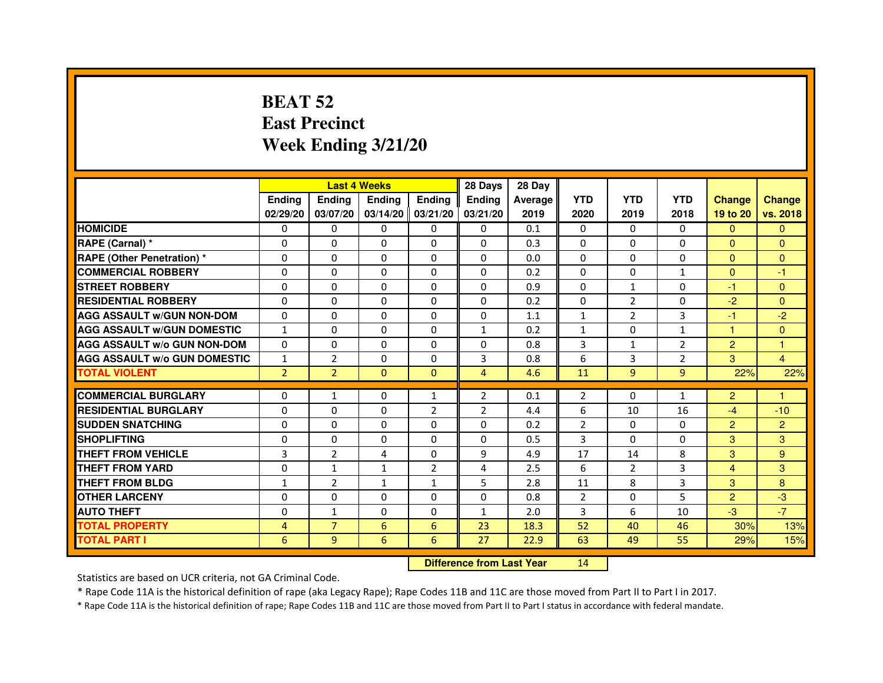# **BEAT 52 East PrecinctWeek Ending 3/21/20**

|                                     |                | <b>Last 4 Weeks</b> |                                  |                     | 28 Days        | 28 Day  |                |                |                |                |                |
|-------------------------------------|----------------|---------------------|----------------------------------|---------------------|----------------|---------|----------------|----------------|----------------|----------------|----------------|
|                                     | <b>Ending</b>  | <b>Ending</b>       | <b>Ending</b>                    | <b>Ending</b>       | <b>Ending</b>  | Average | <b>YTD</b>     | <b>YTD</b>     | <b>YTD</b>     | <b>Change</b>  | <b>Change</b>  |
|                                     | 02/29/20       | 03/07/20            |                                  | $03/14/20$ 03/21/20 | 03/21/20       | 2019    | 2020           | 2019           | 2018           | 19 to 20       | vs. 2018       |
| <b>HOMICIDE</b>                     | 0              | $\Omega$            | $\Omega$                         | $\Omega$            | 0              | 0.1     | $\Omega$       | $\Omega$       | 0              | $\Omega$       | $\Omega$       |
| RAPE (Carnal) *                     | 0              | $\Omega$            | 0                                | $\Omega$            | $\mathbf{0}$   | 0.3     | $\mathbf{0}$   | $\Omega$       | 0              | $\mathbf{0}$   | $\mathbf{0}$   |
| <b>RAPE (Other Penetration) *</b>   | $\mathbf 0$    | 0                   | $\Omega$                         | $\Omega$            | $\Omega$       | 0.0     | $\Omega$       | $\Omega$       | $\Omega$       | $\Omega$       | $\Omega$       |
| <b>COMMERCIAL ROBBERY</b>           | $\mathbf 0$    | $\Omega$            | $\Omega$                         | $\mathbf{0}$        | $\mathbf{0}$   | 0.2     | $\Omega$       | $\mathbf{0}$   | $\mathbf{1}$   | $\Omega$       | $-1$           |
| <b>STREET ROBBERY</b>               | $\Omega$       | $\Omega$            | $\Omega$                         | $\Omega$            | $\Omega$       | 0.9     | $\Omega$       | $\mathbf{1}$   | $\Omega$       | $-1$           | $\mathbf{0}$   |
| <b>RESIDENTIAL ROBBERY</b>          | 0              | $\Omega$            | 0                                | $\Omega$            | $\Omega$       | 0.2     | $\Omega$       | $\overline{2}$ | $\Omega$       | $-2$           | $\Omega$       |
| <b>AGG ASSAULT W/GUN NON-DOM</b>    | $\Omega$       | 0                   | $\Omega$                         | $\Omega$            | $\Omega$       | 1.1     | $\mathbf{1}$   | $\overline{2}$ | 3              | $-1$           | $-2$           |
| <b>AGG ASSAULT W/GUN DOMESTIC</b>   | $\mathbf{1}$   | $\Omega$            | $\Omega$                         | $\Omega$            | $\mathbf{1}$   | 0.2     | $\mathbf{1}$   | $\Omega$       | $\mathbf{1}$   | $\mathbf{1}$   | $\Omega$       |
| <b>AGG ASSAULT W/o GUN NON-DOM</b>  | $\Omega$       | 0                   | 0                                | $\mathbf{0}$        | 0              | 0.8     | 3              | $\mathbf{1}$   | $\overline{2}$ | $\overline{2}$ | 1              |
| <b>AGG ASSAULT W/o GUN DOMESTIC</b> | $\mathbf{1}$   | $\overline{2}$      | 0                                | $\Omega$            | 3              | 0.8     | 6              | 3              | $\overline{2}$ | 3              | 4              |
| <b>TOTAL VIOLENT</b>                | $\overline{2}$ | $\overline{2}$      | $\mathbf{0}$                     | $\mathbf{0}$        | $\overline{4}$ | 4.6     | 11             | 9              | 9              | 22%            | 22%            |
| <b>COMMERCIAL BURGLARY</b>          | 0              | 1                   | 0                                | $\mathbf{1}$        | $\overline{2}$ | 0.1     | $\overline{2}$ | 0              | $\mathbf{1}$   | $\overline{2}$ | 1              |
| <b>RESIDENTIAL BURGLARY</b>         | $\Omega$       | $\Omega$            | $\Omega$                         | $\overline{2}$      | $\overline{2}$ | 4.4     | 6              | 10             | 16             | $-4$           | $-10$          |
| <b>SUDDEN SNATCHING</b>             | $\Omega$       | $\Omega$            | $\Omega$                         | $\Omega$            | $\Omega$       | 0.2     | $\overline{2}$ | $\Omega$       | $\Omega$       | $\overline{2}$ | $\overline{2}$ |
| <b>SHOPLIFTING</b>                  | 0              | 0                   | 0                                | $\mathbf{0}$        | $\Omega$       | 0.5     | 3              | 0              | 0              | 3              | 3              |
| THEFT FROM VEHICLE                  | 3              | $\overline{2}$      | 4                                | $\Omega$            | 9              | 4.9     | 17             | 14             | 8              | 3              | 9              |
| <b>THEFT FROM YARD</b>              | $\mathbf 0$    | $\mathbf{1}$        | $\mathbf{1}$                     | $\overline{2}$      | 4              | 2.5     | 6              | $\overline{2}$ | 3              | $\overline{4}$ | 3              |
| <b>THEFT FROM BLDG</b>              | $\mathbf{1}$   | $\overline{2}$      | $\mathbf{1}$                     | $\mathbf{1}$        | 5              | 2.8     | 11             | 8              | 3              | 3              | 8              |
| <b>OTHER LARCENY</b>                | 0              | $\Omega$            | 0                                | $\Omega$            | $\Omega$       | 0.8     | 2              | $\Omega$       | 5              | $\overline{2}$ | $-3$           |
| <b>AUTO THEFT</b>                   | $\Omega$       | $\mathbf{1}$        | $\Omega$                         | $\Omega$            | $\mathbf{1}$   | 2.0     | 3              | 6              | 10             | $-3$           | $-7$           |
| <b>TOTAL PROPERTY</b>               | 4              | $\overline{7}$      | 6                                | 6                   | 23             | 18.3    | 52             | 40             | 46             | 30%            | 13%            |
| <b>TOTAL PART I</b>                 | 6              | 9                   | 6                                | 6                   | 27             | 22.9    | 63             | 49             | 55             | 29%            | 15%            |
|                                     |                |                     | <b>Difference from Last Year</b> |                     | 14             |         |                |                |                |                |                |

 **Difference from Last Year**

Statistics are based on UCR criteria, not GA Criminal Code.

\* Rape Code 11A is the historical definition of rape (aka Legacy Rape); Rape Codes 11B and 11C are those moved from Part II to Part I in 2017.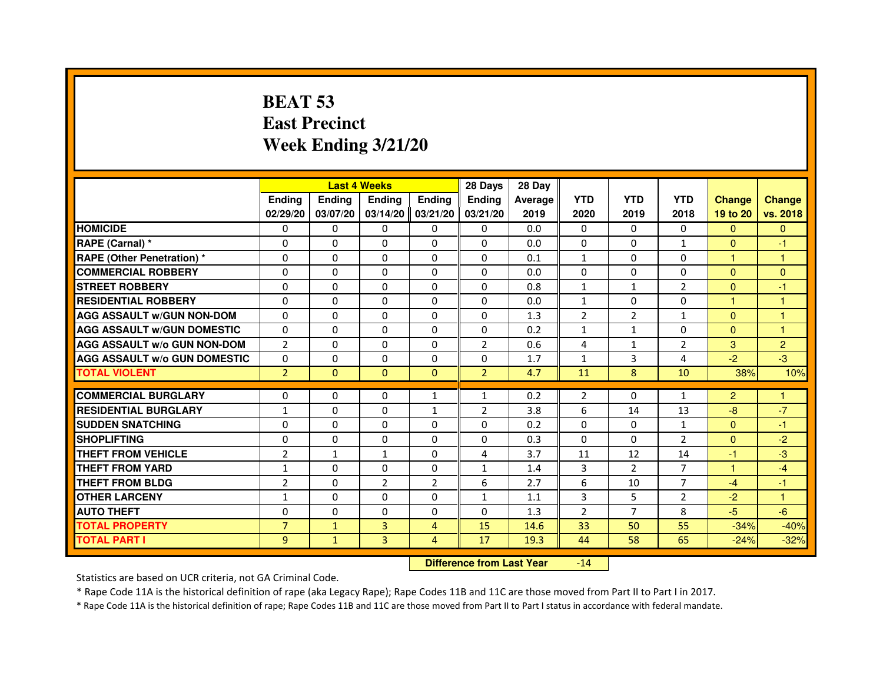# **BEAT 53 East PrecinctWeek Ending 3/21/20**

|                                     |                |              | <b>Last 4 Weeks</b> |                | 28 Days        | 28 Day  |                |                |                |                      |                |
|-------------------------------------|----------------|--------------|---------------------|----------------|----------------|---------|----------------|----------------|----------------|----------------------|----------------|
|                                     | <b>Ending</b>  | Ending       | <b>Ending</b>       | <b>Ending</b>  | <b>Endina</b>  | Average | <b>YTD</b>     | <b>YTD</b>     | <b>YTD</b>     | <b>Change</b>        | <b>Change</b>  |
|                                     | 02/29/20       | 03/07/20     | 03/14/20            | 03/21/20       | 03/21/20       | 2019    | 2020           | 2019           | 2018           | 19 to 20             | vs. 2018       |
| <b>HOMICIDE</b>                     | 0              | 0            | 0                   | 0              | 0              | 0.0     | $\mathbf{0}$   | $\mathbf{0}$   | 0              | $\mathbf{0}$         | $\mathbf{0}$   |
| RAPE (Carnal) *                     | $\Omega$       | $\Omega$     | $\Omega$            | $\Omega$       | $\Omega$       | 0.0     | $\Omega$       | $\Omega$       | $\mathbf{1}$   | $\Omega$             | $-1$           |
| <b>RAPE (Other Penetration) *</b>   | 0              | 0            | 0                   | 0              | 0              | 0.1     | $\mathbf{1}$   | $\mathbf{0}$   | 0              | $\mathbf{1}$         | 1              |
| <b>COMMERCIAL ROBBERY</b>           | $\Omega$       | $\Omega$     | $\Omega$            | $\Omega$       | $\Omega$       | 0.0     | $\Omega$       | $\Omega$       | $\Omega$       | $\Omega$             | $\Omega$       |
| <b>STREET ROBBERY</b>               | $\Omega$       | $\Omega$     | $\Omega$            | $\Omega$       | $\Omega$       | 0.8     | $\mathbf{1}$   | 1              | $\overline{2}$ | $\Omega$             | $-1$           |
| <b>RESIDENTIAL ROBBERY</b>          | $\Omega$       | $\Omega$     | $\Omega$            | $\Omega$       | $\Omega$       | 0.0     | $\mathbf{1}$   | $\Omega$       | $\Omega$       | $\mathbf{1}$         | $\mathbf{1}$   |
| <b>AGG ASSAULT W/GUN NON-DOM</b>    | $\Omega$       | $\Omega$     | $\Omega$            | $\Omega$       | $\Omega$       | 1.3     | $\overline{2}$ | $\overline{2}$ | $\mathbf{1}$   | $\Omega$             | $\mathbf{1}$   |
| <b>AGG ASSAULT W/GUN DOMESTIC</b>   | $\Omega$       | $\Omega$     | $\Omega$            | $\Omega$       | $\Omega$       | 0.2     | $\mathbf{1}$   | $\mathbf{1}$   | $\Omega$       | $\Omega$             | 1              |
| <b>AGG ASSAULT W/o GUN NON-DOM</b>  | $\overline{2}$ | $\Omega$     | $\Omega$            | $\Omega$       | $\overline{2}$ | 0.6     | 4              | $\mathbf{1}$   | $\overline{2}$ | 3                    | $\overline{2}$ |
| <b>AGG ASSAULT W/o GUN DOMESTIC</b> | $\Omega$       | $\Omega$     | $\Omega$            | $\Omega$       | $\Omega$       | 1.7     | $\mathbf{1}$   | 3              | 4              | $-2$                 | $-3$           |
| <b>TOTAL VIOLENT</b>                | $\overline{2}$ | $\Omega$     | $\mathbf{0}$        | $\mathbf{0}$   | $\overline{2}$ | 4.7     | 11             | 8              | 10             | 38%                  | 10%            |
|                                     |                |              |                     |                |                |         |                |                |                |                      |                |
| <b>COMMERCIAL BURGLARY</b>          | 0              | 0            | 0                   | 1              | 1              | 0.2     | $\overline{2}$ | 0              | $\mathbf{1}$   | $\overline{2}$       | 1              |
| <b>RESIDENTIAL BURGLARY</b>         | $\mathbf{1}$   | $\Omega$     | $\Omega$            | 1              | $\overline{2}$ | 3.8     | 6              | 14             | 13             | $-8$                 | $-7$           |
| <b>SUDDEN SNATCHING</b>             | 0              | $\Omega$     | 0                   | 0              | 0              | 0.2     | 0              | $\mathbf{0}$   | $\mathbf{1}$   | $\Omega$             | $-1$           |
| <b>SHOPLIFTING</b>                  | $\Omega$       | $\Omega$     | $\Omega$            | $\Omega$       | $\Omega$       | 0.3     | $\Omega$       | $\Omega$       | $\overline{2}$ | $\Omega$             | $-2$           |
| <b>THEFT FROM VEHICLE</b>           | $\overline{2}$ | $\mathbf{1}$ | $\mathbf{1}$        | $\Omega$       | 4              | 3.7     | 11             | 12             | 14             | $-1$                 | $-3$           |
| THEFT FROM YARD                     | 1              | $\Omega$     | $\Omega$            | $\Omega$       | $\mathbf{1}$   | 1.4     | 3              | $\overline{2}$ | $\overline{7}$ | $\blacktriangleleft$ | $-4$           |
| THEFT FROM BLDG                     | $\overline{2}$ | $\Omega$     | $\overline{2}$      | $\overline{2}$ | 6              | 2.7     | 6              | 10             | $\overline{7}$ | $-4$                 | $-1$           |
| <b>OTHER LARCENY</b>                | $\mathbf{1}$   | $\Omega$     | $\Omega$            | $\Omega$       | $\mathbf{1}$   | 1.1     | 3              | 5              | 2              | $-2$                 | $\mathbf{1}$   |
| <b>AUTO THEFT</b>                   | $\Omega$       | $\Omega$     | $\Omega$            | $\Omega$       | $\Omega$       | 1.3     | $\overline{2}$ | $\overline{7}$ | 8              | $-5$                 | $-6$           |
| <b>TOTAL PROPERTY</b>               | $\overline{7}$ | $\mathbf{1}$ | $\overline{3}$      | 4              | 15             | 14.6    | 33             | 50             | 55             | $-34%$               | $-40%$         |
| <b>TOTAL PART I</b>                 | 9              | $\mathbf{1}$ | 3                   | 4              | 17             | 19.3    | 44             | 58             | 65             | $-24%$               | $-32%$         |

 **Difference from Last Year**-14

Statistics are based on UCR criteria, not GA Criminal Code.

\* Rape Code 11A is the historical definition of rape (aka Legacy Rape); Rape Codes 11B and 11C are those moved from Part II to Part I in 2017.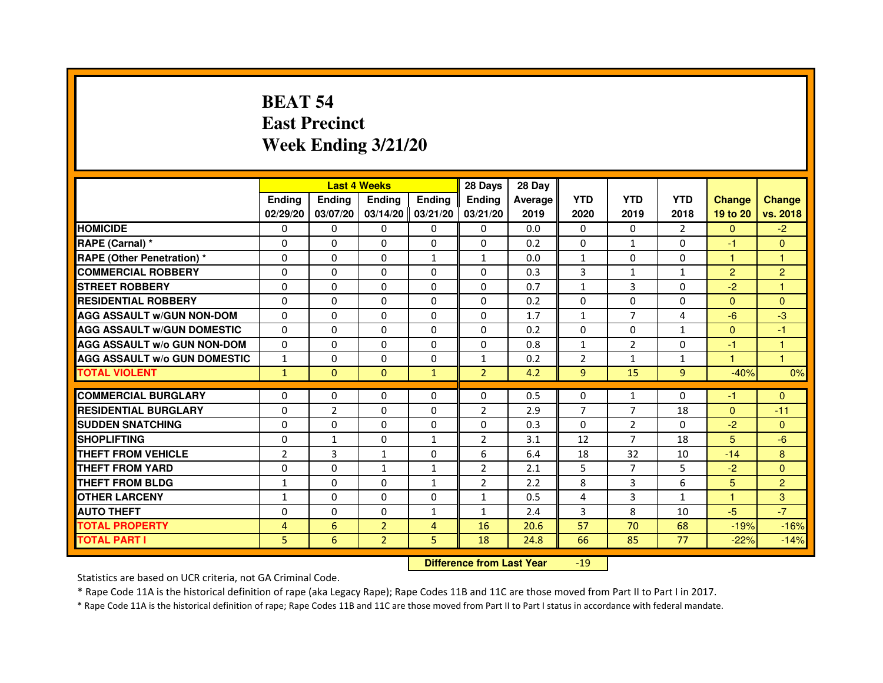# **BEAT 54 East PrecinctWeek Ending 3/21/20**

|                                     |                |                | <b>Last 4 Weeks</b> |                     | 28 Days        | 28 Day  |                |                |              |                |                |
|-------------------------------------|----------------|----------------|---------------------|---------------------|----------------|---------|----------------|----------------|--------------|----------------|----------------|
|                                     | <b>Endina</b>  | Ending         | <b>Endina</b>       | <b>Endina</b>       | <b>Endina</b>  | Average | <b>YTD</b>     | <b>YTD</b>     | <b>YTD</b>   | <b>Change</b>  | <b>Change</b>  |
|                                     | 02/29/20       | 03/07/20       |                     | $03/14/20$ 03/21/20 | 03/21/20       | 2019    | 2020           | 2019           | 2018         | 19 to 20       | vs. 2018       |
| <b>HOMICIDE</b>                     | 0              | 0              | 0                   | 0                   | 0              | 0.0     | $\mathbf{0}$   | 0              | 2            | $\mathbf{0}$   | $-2$           |
| RAPE (Carnal) *                     | $\Omega$       | $\Omega$       | $\Omega$            | $\Omega$            | $\Omega$       | 0.2     | $\Omega$       | $\mathbf{1}$   | $\Omega$     | $-1$           | $\Omega$       |
| <b>RAPE (Other Penetration) *</b>   | 0              | $\Omega$       | $\Omega$            | $\mathbf{1}$        | $\mathbf{1}$   | 0.0     | $\mathbf{1}$   | $\Omega$       | $\Omega$     | $\mathbf{1}$   | 1              |
| <b>COMMERCIAL ROBBERY</b>           | 0              | 0              | 0                   | $\Omega$            | $\Omega$       | 0.3     | 3              | $\mathbf{1}$   | 1            | $\overline{2}$ | $\overline{2}$ |
| <b>STREET ROBBERY</b>               | 0              | $\Omega$       | 0                   | $\Omega$            | 0              | 0.7     | $\mathbf{1}$   | 3              | $\Omega$     | $-2$           | 1              |
| <b>RESIDENTIAL ROBBERY</b>          | 0              | $\Omega$       | 0                   | $\mathbf{0}$        | 0              | 0.2     | 0              | $\Omega$       | $\Omega$     | $\Omega$       | $\Omega$       |
| <b>AGG ASSAULT W/GUN NON-DOM</b>    | $\Omega$       | $\mathbf 0$    | $\Omega$            | $\Omega$            | $\Omega$       | 1.7     | $\mathbf{1}$   | $\overline{7}$ | 4            | $-6$           | -3             |
| <b>AGG ASSAULT W/GUN DOMESTIC</b>   | $\Omega$       | $\Omega$       | 0                   | 0                   | $\Omega$       | 0.2     | 0              | 0              | $\mathbf{1}$ | $\Omega$       | $-1$           |
| <b>AGG ASSAULT W/o GUN NON-DOM</b>  | $\Omega$       | 0              | $\Omega$            | 0                   | $\Omega$       | 0.8     | $\mathbf{1}$   | $\overline{2}$ | $\Omega$     | $-1$           | 1              |
| <b>AGG ASSAULT W/o GUN DOMESTIC</b> | $\mathbf{1}$   | 0              | 0                   | $\mathbf{0}$        | $\mathbf{1}$   | 0.2     | $\overline{2}$ | $\mathbf{1}$   | 1            | 1.             | 1              |
| <b>TOTAL VIOLENT</b>                | $\mathbf{1}$   | $\Omega$       | $\Omega$            | $\mathbf{1}$        | $\overline{2}$ | 4.2     | 9              | 15             | 9            | $-40%$         | 0%             |
|                                     |                |                |                     |                     |                |         |                |                |              |                |                |
| <b>COMMERCIAL BURGLARY</b>          | 0              | 0              | $\Omega$            | 0                   | $\Omega$       | 0.5     | $\Omega$       | $\mathbf{1}$   | $\Omega$     | $-1$           | $\Omega$       |
| <b>RESIDENTIAL BURGLARY</b>         | 0              | $\overline{2}$ | 0                   | $\mathbf{0}$        | $\overline{2}$ | 2.9     | $\overline{7}$ | $\overline{7}$ | 18           | $\Omega$       | $-11$          |
| <b>SUDDEN SNATCHING</b>             | 0              | 0              | $\Omega$            | $\Omega$            | $\Omega$       | 0.3     | $\Omega$       | $\overline{2}$ | $\Omega$     | $-2$           | $\Omega$       |
| <b>SHOPLIFTING</b>                  | $\mathbf 0$    | $\mathbf{1}$   | $\mathbf 0$         | $\mathbf{1}$        | $\overline{2}$ | 3.1     | 12             | 7              | 18           | 5              | $-6$           |
| <b>THEFT FROM VEHICLE</b>           | $\overline{2}$ | 3              | $\mathbf{1}$        | $\mathbf{0}$        | 6              | 6.4     | 18             | 32             | 10           | $-14$          | 8              |
| <b>THEFT FROM YARD</b>              | 0              | 0              | $\mathbf{1}$        | $\mathbf{1}$        | $\overline{2}$ | 2.1     | 5              | $\overline{7}$ | 5            | $-2$           | $\Omega$       |
| <b>THEFT FROM BLDG</b>              | 1              | 0              | 0                   | 1                   | $\overline{2}$ | 2.2     | 8              | 3              | 6            | 5              | $\overline{2}$ |
| <b>OTHER LARCENY</b>                | 1              | $\Omega$       | 0                   | 0                   | $\mathbf{1}$   | 0.5     | $\overline{4}$ | 3              | 1            | 1              | 3              |
| <b>AUTO THEFT</b>                   | $\mathbf 0$    | 0              | $\mathbf 0$         | $\mathbf{1}$        | $\mathbf{1}$   | 2.4     | 3              | 8              | 10           | $-5$           | $-7$           |
| <b>TOTAL PROPERTY</b>               | 4              | 6              | $\overline{2}$      | 4                   | 16             | 20.6    | 57             | 70             | 68           | $-19%$         | $-16%$         |
| <b>TOTAL PART I</b>                 | 5              | 6              | $\overline{2}$      | 5                   | 18             | 24.8    | 66             | 85             | 77           | $-22%$         | $-14%$         |

 **Difference from Last Year**-19

Statistics are based on UCR criteria, not GA Criminal Code.

\* Rape Code 11A is the historical definition of rape (aka Legacy Rape); Rape Codes 11B and 11C are those moved from Part II to Part I in 2017.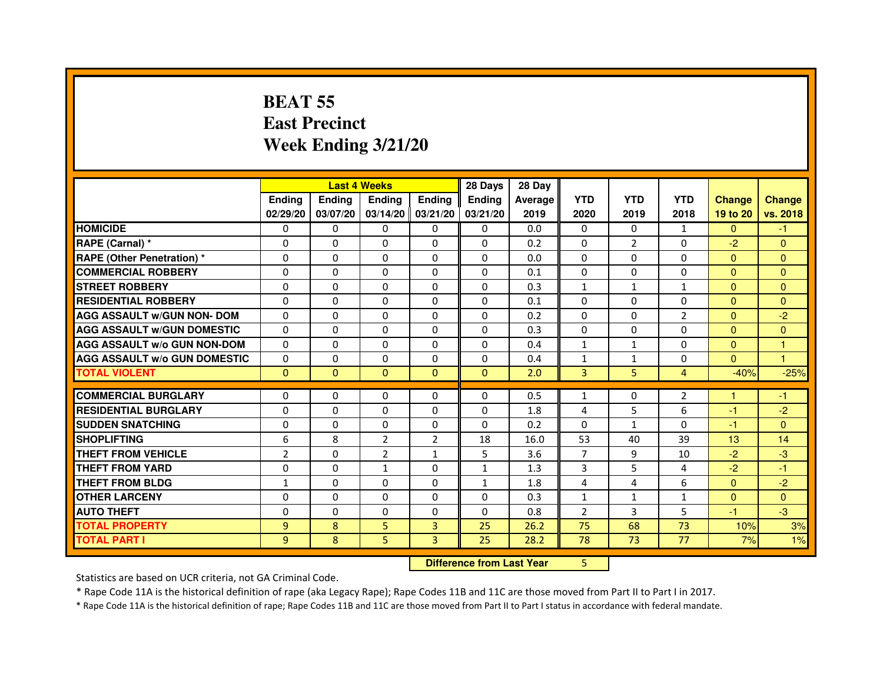# **BEAT 55 East PrecinctWeek Ending 3/21/20**

|                                     |                |                                  | <b>Last 4 Weeks</b> |                | 28 Days       | 28 Day  |                |                |                |               |                |
|-------------------------------------|----------------|----------------------------------|---------------------|----------------|---------------|---------|----------------|----------------|----------------|---------------|----------------|
|                                     | <b>Ending</b>  | <b>Ending</b>                    | Ending              | <b>Ending</b>  | <b>Ending</b> | Average | <b>YTD</b>     | <b>YTD</b>     | <b>YTD</b>     | <b>Change</b> | <b>Change</b>  |
|                                     | 02/29/20       | 03/07/20                         | 03/14/20            | 03/21/20       | 03/21/20      | 2019    | 2020           | 2019           | 2018           | 19 to 20      | vs. 2018       |
| <b>HOMICIDE</b>                     | $\Omega$       | $\Omega$                         | $\mathbf{0}$        | 0              | $\mathbf{0}$  | 0.0     | $\Omega$       | $\Omega$       | $\mathbf{1}$   | $\Omega$      | $-1$           |
| RAPE (Carnal) *                     | 0              | $\Omega$                         | $\Omega$            | $\Omega$       | $\Omega$      | 0.2     | $\mathbf{0}$   | $\overline{2}$ | $\Omega$       | $-2$          | $\mathbf{0}$   |
| <b>RAPE (Other Penetration) *</b>   | $\mathbf{0}$   | $\Omega$                         | $\Omega$            | $\Omega$       | $\Omega$      | 0.0     | $\mathbf{0}$   | $\Omega$       | $\Omega$       | $\Omega$      | $\overline{0}$ |
| <b>COMMERCIAL ROBBERY</b>           | $\mathbf{0}$   | $\Omega$                         | $\Omega$            | $\Omega$       | $\Omega$      | 0.1     | $\Omega$       | $\Omega$       | $\Omega$       | $\Omega$      | $\overline{0}$ |
| <b>STREET ROBBERY</b>               | $\Omega$       | $\Omega$                         | $\Omega$            | $\Omega$       | $\Omega$      | 0.3     | $\mathbf{1}$   | $\mathbf{1}$   | $\mathbf{1}$   | $\Omega$      | $\overline{0}$ |
| <b>RESIDENTIAL ROBBERY</b>          | $\Omega$       | $\Omega$                         | $\Omega$            | $\Omega$       | $\Omega$      | 0.1     | $\mathbf{0}$   | $\Omega$       | $\Omega$       | $\mathbf{0}$  | $\Omega$       |
| <b>AGG ASSAULT w/GUN NON- DOM</b>   | $\Omega$       | $\Omega$                         | $\Omega$            | $\Omega$       | $\Omega$      | 0.2     | $\Omega$       | $\Omega$       | $\overline{2}$ | $\Omega$      | $-2$           |
| <b>AGG ASSAULT w/GUN DOMESTIC</b>   | $\Omega$       | $\Omega$                         | $\Omega$            | $\Omega$       | $\Omega$      | 0.3     | $\Omega$       | $\Omega$       | $\Omega$       | $\Omega$      | $\overline{0}$ |
| <b>AGG ASSAULT w/o GUN NON-DOM</b>  | $\Omega$       | $\mathbf{0}$                     | $\Omega$            | $\Omega$       | 0             | 0.4     | $\mathbf{1}$   | $\mathbf{1}$   | 0              | $\Omega$      | 1              |
| <b>AGG ASSAULT W/o GUN DOMESTIC</b> | $\Omega$       | $\Omega$                         | $\Omega$            | $\Omega$       | $\Omega$      | 0.4     | 1              | $\mathbf{1}$   | $\Omega$       | $\Omega$      | 1              |
| <b>TOTAL VIOLENT</b>                | $\mathbf{0}$   | $\mathbf{0}$                     | $\mathbf{0}$        | $\mathbf{0}$   | $\mathbf{0}$  | 2.0     | 3              | 5              | $\overline{4}$ | $-40%$        | $-25%$         |
| <b>COMMERCIAL BURGLARY</b>          | $\Omega$       | $\Omega$                         | $\Omega$            | $\Omega$       | $\Omega$      | 0.5     | $\mathbf{1}$   | 0              | $\overline{2}$ | 1             | $-1$           |
| <b>RESIDENTIAL BURGLARY</b>         | $\Omega$       | $\Omega$                         | $\Omega$            | $\Omega$       | $\Omega$      | 1.8     | 4              | 5              | 6              | $-1$          | $-2$           |
| <b>SUDDEN SNATCHING</b>             | $\Omega$       | $\Omega$                         | $\Omega$            | $\Omega$       | $\Omega$      | 0.2     | $\Omega$       | $\mathbf{1}$   | $\Omega$       | $-1$          | $\Omega$       |
| <b>SHOPLIFTING</b>                  | 6              | 8                                | $\overline{2}$      | $\overline{2}$ | 18            | 16.0    | 53             | 40             | 39             | 13            | 14             |
| <b>THEFT FROM VEHICLE</b>           | $\overline{2}$ | $\Omega$                         | $\overline{2}$      | $\mathbf{1}$   | 5             | 3.6     | $\overline{7}$ | 9              | 10             | $-2$          | $-3$           |
| <b>THEFT FROM YARD</b>              | $\mathbf{0}$   | $\Omega$                         | $\mathbf{1}$        | 0              | $\mathbf{1}$  | 1.3     | 3              | 5              | 4              | $-2$          | $-1$           |
| <b>THEFT FROM BLDG</b>              | 1              | $\Omega$                         | $\Omega$            | $\Omega$       | $\mathbf{1}$  | 1.8     | 4              | 4              | 6              | $\Omega$      | $-2$           |
| <b>OTHER LARCENY</b>                | $\mathbf{0}$   | $\Omega$                         | $\Omega$            | $\Omega$       | $\Omega$      | 0.3     | $\mathbf{1}$   | $\mathbf{1}$   | $\mathbf{1}$   | $\mathbf{0}$  | $\Omega$       |
| <b>AUTO THEFT</b>                   | $\mathbf{0}$   | $\Omega$                         | $\Omega$            | $\Omega$       | $\Omega$      | 0.8     | $\overline{2}$ | 3              | 5              | $-1$          | $-3$           |
| <b>TOTAL PROPERTY</b>               | $\overline{9}$ | 8                                | 5                   | 3              | 25            | 26.2    | 75             | 68             | 73             | 10%           | 3%             |
| <b>TOTAL PART I</b>                 | 9              | 8                                | 5                   | $\overline{3}$ | 25            | 28.2    | 78             | 73             | 77             | 7%            | 1%             |
|                                     |                | <b>Difference from Last Year</b> |                     | 5              |               |         |                |                |                |               |                |

 **Difference from Last Year**

Statistics are based on UCR criteria, not GA Criminal Code.

\* Rape Code 11A is the historical definition of rape (aka Legacy Rape); Rape Codes 11B and 11C are those moved from Part II to Part I in 2017.